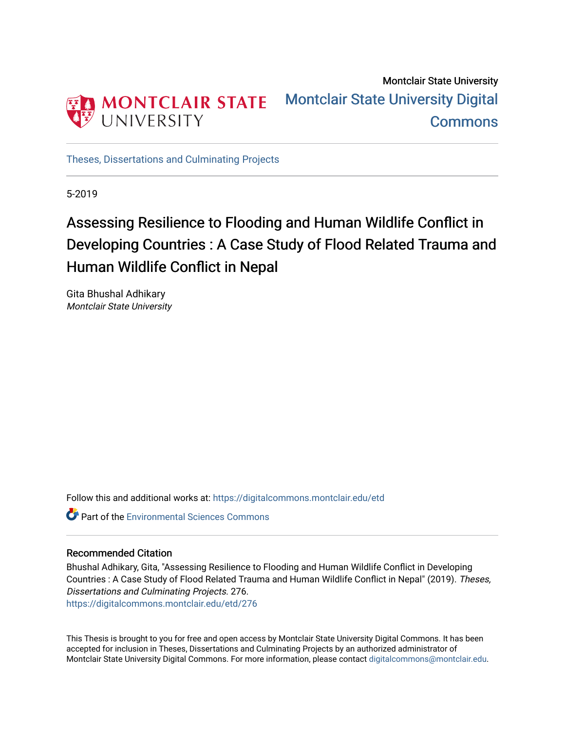

Montclair State University [Montclair State University Digital](https://digitalcommons.montclair.edu/)  **Commons** 

[Theses, Dissertations and Culminating Projects](https://digitalcommons.montclair.edu/etd) 

5-2019

# Assessing Resilience to Flooding and Human Wildlife Conflict in Developing Countries : A Case Study of Flood Related Trauma and Human Wildlife Conflict in Nepal

Gita Bhushal Adhikary Montclair State University

Follow this and additional works at: [https://digitalcommons.montclair.edu/etd](https://digitalcommons.montclair.edu/etd?utm_source=digitalcommons.montclair.edu%2Fetd%2F276&utm_medium=PDF&utm_campaign=PDFCoverPages) 

**C** Part of the [Environmental Sciences Commons](http://network.bepress.com/hgg/discipline/167?utm_source=digitalcommons.montclair.edu%2Fetd%2F276&utm_medium=PDF&utm_campaign=PDFCoverPages)

### Recommended Citation

Bhushal Adhikary, Gita, "Assessing Resilience to Flooding and Human Wildlife Conflict in Developing Countries : A Case Study of Flood Related Trauma and Human Wildlife Conflict in Nepal" (2019). Theses, Dissertations and Culminating Projects. 276. [https://digitalcommons.montclair.edu/etd/276](https://digitalcommons.montclair.edu/etd/276?utm_source=digitalcommons.montclair.edu%2Fetd%2F276&utm_medium=PDF&utm_campaign=PDFCoverPages) 

This Thesis is brought to you for free and open access by Montclair State University Digital Commons. It has been accepted for inclusion in Theses, Dissertations and Culminating Projects by an authorized administrator of Montclair State University Digital Commons. For more information, please contact [digitalcommons@montclair.edu.](mailto:digitalcommons@montclair.edu)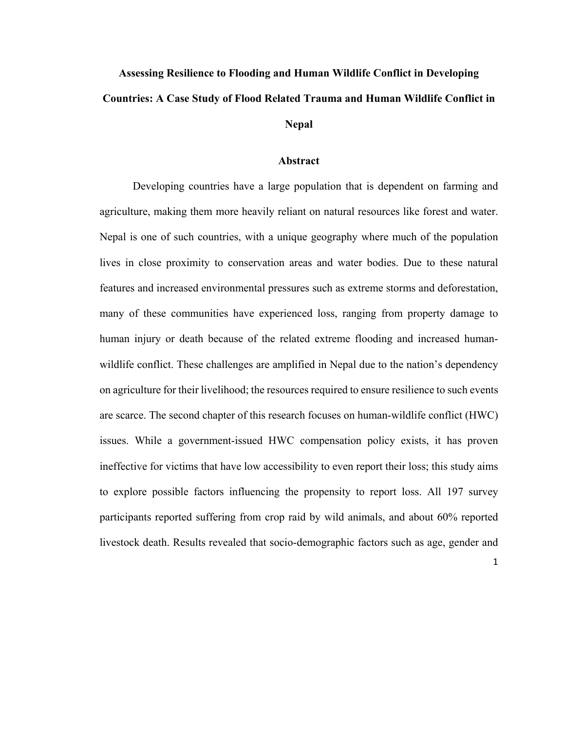# **Assessing Resilience to Flooding and Human Wildlife Conflict in Developing Countries: A Case Study of Flood Related Trauma and Human Wildlife Conflict in Nepal**

#### **Abstract**

Developing countries have a large population that is dependent on farming and agriculture, making them more heavily reliant on natural resources like forest and water. Nepal is one of such countries, with a unique geography where much of the population lives in close proximity to conservation areas and water bodies. Due to these natural features and increased environmental pressures such as extreme storms and deforestation, many of these communities have experienced loss, ranging from property damage to human injury or death because of the related extreme flooding and increased humanwildlife conflict. These challenges are amplified in Nepal due to the nation's dependency on agriculture for their livelihood; the resources required to ensure resilience to such events are scarce. The second chapter of this research focuses on human-wildlife conflict (HWC) issues. While a government-issued HWC compensation policy exists, it has proven ineffective for victims that have low accessibility to even report their loss; this study aims to explore possible factors influencing the propensity to report loss. All 197 survey participants reported suffering from crop raid by wild animals, and about 60% reported livestock death. Results revealed that socio-demographic factors such as age, gender and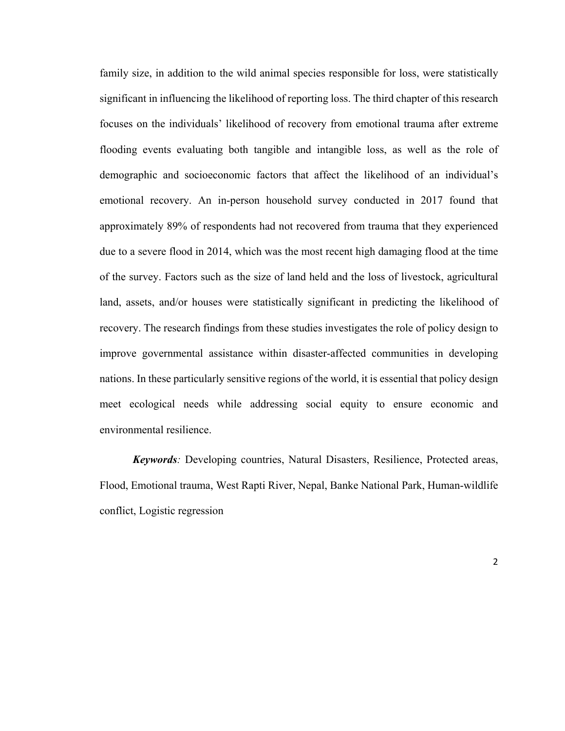family size, in addition to the wild animal species responsible for loss, were statistically significant in influencing the likelihood of reporting loss. The third chapter of this research focuses on the individuals' likelihood of recovery from emotional trauma after extreme flooding events evaluating both tangible and intangible loss, as well as the role of demographic and socioeconomic factors that affect the likelihood of an individual's emotional recovery. An in-person household survey conducted in 2017 found that approximately 89% of respondents had not recovered from trauma that they experienced due to a severe flood in 2014, which was the most recent high damaging flood at the time of the survey. Factors such as the size of land held and the loss of livestock, agricultural land, assets, and/or houses were statistically significant in predicting the likelihood of recovery. The research findings from these studies investigates the role of policy design to improve governmental assistance within disaster-affected communities in developing nations. In these particularly sensitive regions of the world, it is essential that policy design meet ecological needs while addressing social equity to ensure economic and environmental resilience.

*Keywords:* Developing countries, Natural Disasters, Resilience, Protected areas, Flood, Emotional trauma, West Rapti River, Nepal, Banke National Park, Human-wildlife conflict, Logistic regression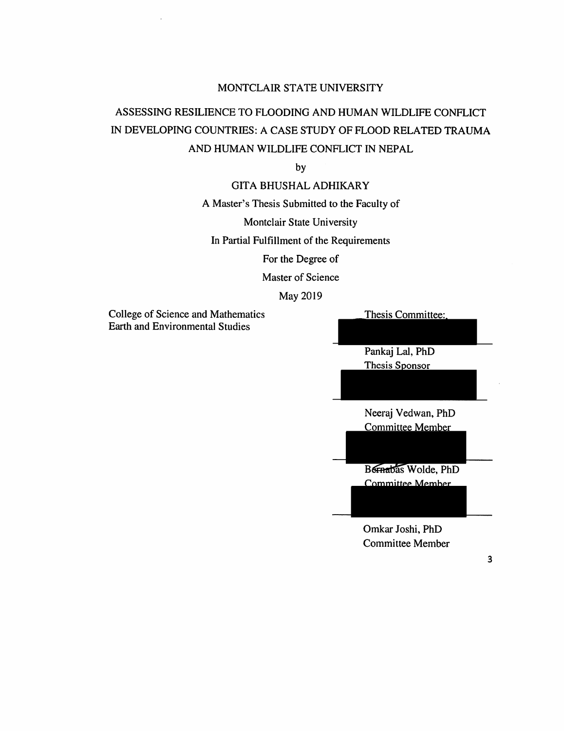### MONTCLAIR STATE UNIVERSITY

## ASSESSING RESILIENCE TO FLOODING AND HUMAN WILDLIFE CONFLICT IN DEVELOPING COUNTRIES: A CASE STUDY OF FLOOD RELATED TRAUMA AND HUMAN WILDLIFE CONFLICT IN NEPAL

by

### **GITA BHUSHAL ADHIKARY**

A Master's Thesis Submitted to the Faculty of

Montclair State University

In Partial Fulfillment of the Requirements

For the Degree of

Master of Science

### May 2019

**College of Science and Mathematics Earth and Environmental Studies** 

Thesis Committee:

Pankaj Lal, PhD Thesis Sponsor

Neeraj Vedwan, PhD **Committee Member** 

Bornabas Wolde, PhD **Committee Member** 

Omkar Joshi, PhD **Committee Member**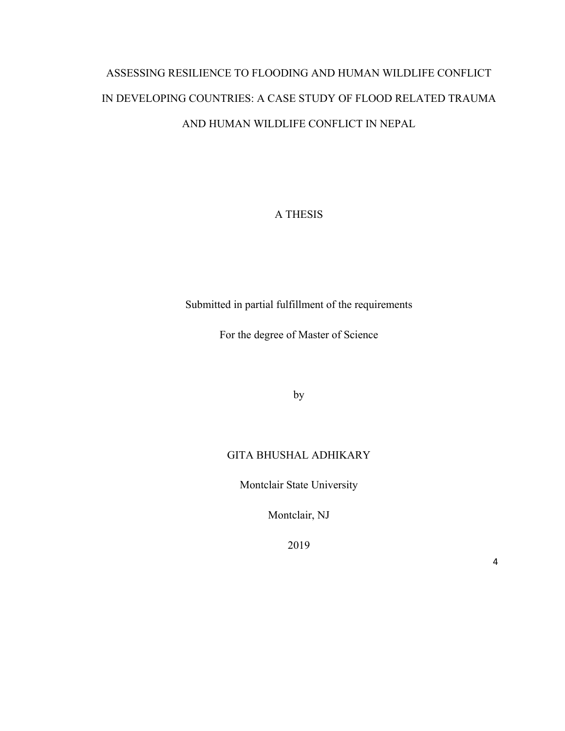# ASSESSING RESILIENCE TO FLOODING AND HUMAN WILDLIFE CONFLICT IN DEVELOPING COUNTRIES: A CASE STUDY OF FLOOD RELATED TRAUMA AND HUMAN WILDLIFE CONFLICT IN NEPAL

A THESIS

Submitted in partial fulfillment of the requirements

For the degree of Master of Science

by

### GITA BHUSHAL ADHIKARY

Montclair State University

Montclair, NJ

2019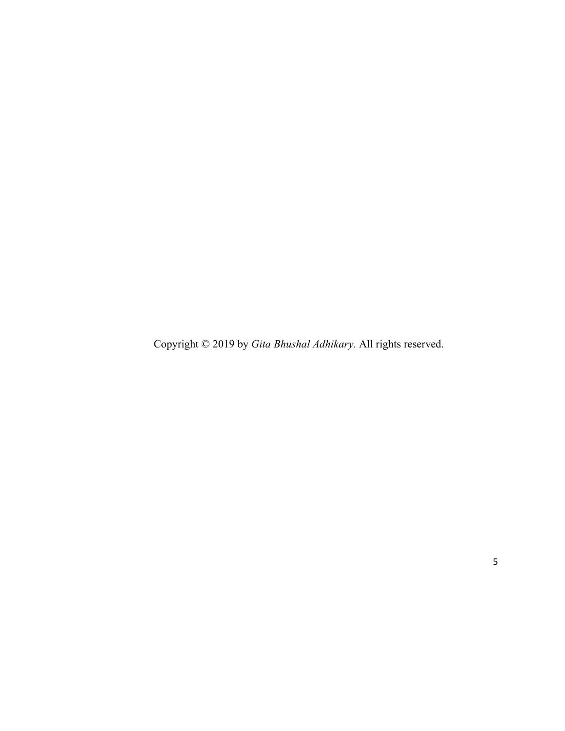Copyright © 2019 by *Gita Bhushal Adhikary.* All rights reserved.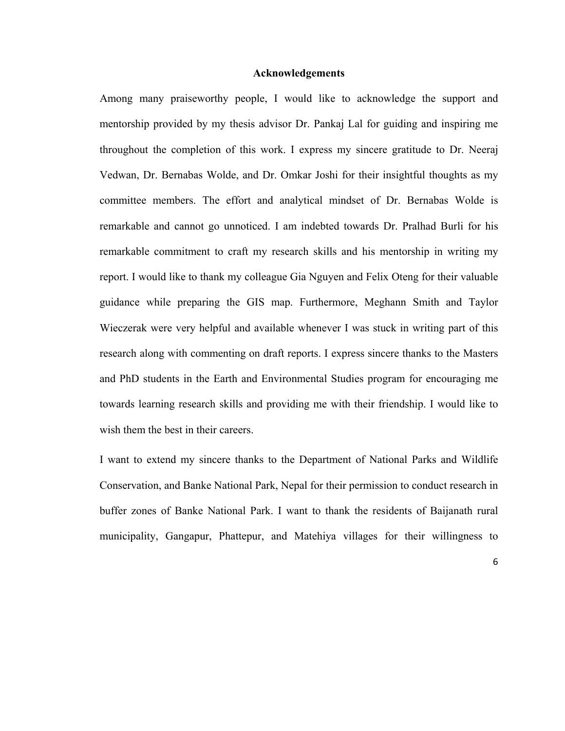### **Acknowledgements**

Among many praiseworthy people, I would like to acknowledge the support and mentorship provided by my thesis advisor Dr. Pankaj Lal for guiding and inspiring me throughout the completion of this work. I express my sincere gratitude to Dr. Neeraj Vedwan, Dr. Bernabas Wolde, and Dr. Omkar Joshi for their insightful thoughts as my committee members. The effort and analytical mindset of Dr. Bernabas Wolde is remarkable and cannot go unnoticed. I am indebted towards Dr. Pralhad Burli for his remarkable commitment to craft my research skills and his mentorship in writing my report. I would like to thank my colleague Gia Nguyen and Felix Oteng for their valuable guidance while preparing the GIS map. Furthermore, Meghann Smith and Taylor Wieczerak were very helpful and available whenever I was stuck in writing part of this research along with commenting on draft reports. I express sincere thanks to the Masters and PhD students in the Earth and Environmental Studies program for encouraging me towards learning research skills and providing me with their friendship. I would like to wish them the best in their careers.

I want to extend my sincere thanks to the Department of National Parks and Wildlife Conservation, and Banke National Park, Nepal for their permission to conduct research in buffer zones of Banke National Park. I want to thank the residents of Baijanath rural municipality, Gangapur, Phattepur, and Matehiya villages for their willingness to

6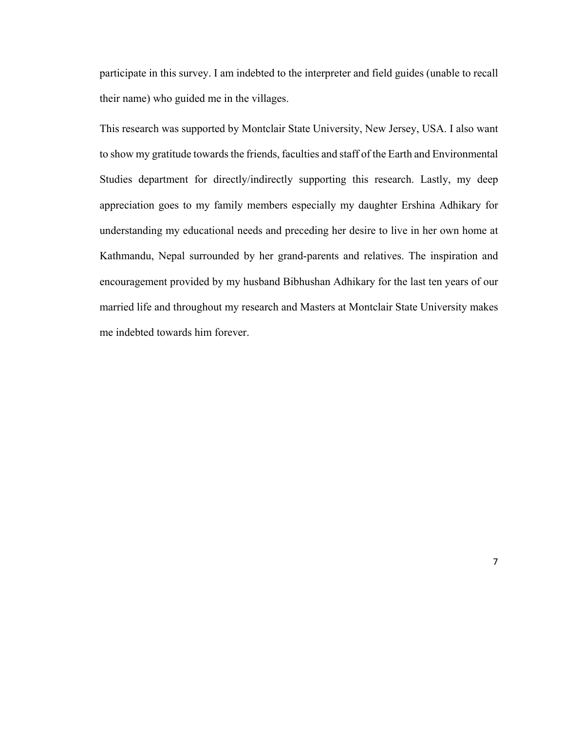participate in this survey. I am indebted to the interpreter and field guides (unable to recall their name) who guided me in the villages.

This research was supported by Montclair State University, New Jersey, USA. I also want to show my gratitude towards the friends, faculties and staff of the Earth and Environmental Studies department for directly/indirectly supporting this research. Lastly, my deep appreciation goes to my family members especially my daughter Ershina Adhikary for understanding my educational needs and preceding her desire to live in her own home at Kathmandu, Nepal surrounded by her grand-parents and relatives. The inspiration and encouragement provided by my husband Bibhushan Adhikary for the last ten years of our married life and throughout my research and Masters at Montclair State University makes me indebted towards him forever.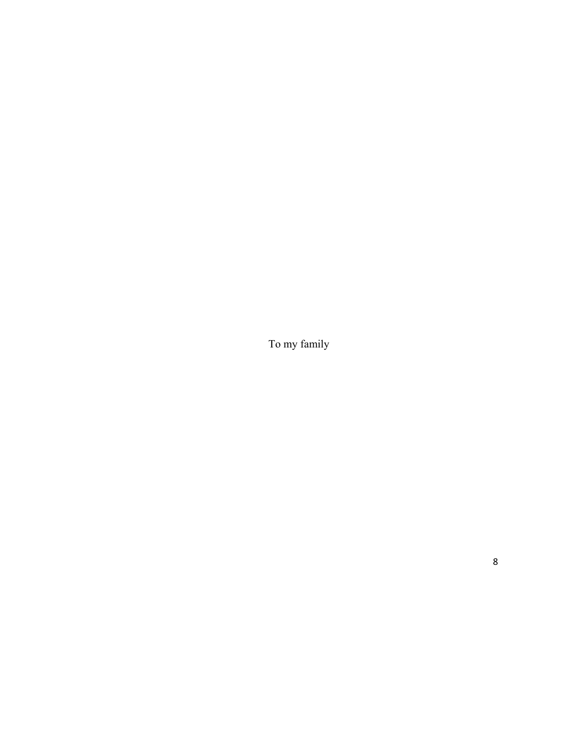To my family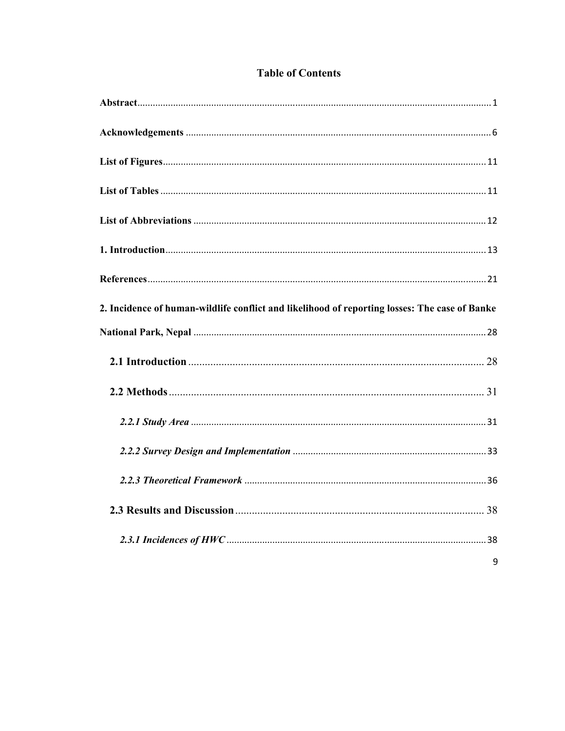| 2. Incidence of human-wildlife conflict and likelihood of reporting losses: The case of Banke |   |
|-----------------------------------------------------------------------------------------------|---|
|                                                                                               |   |
|                                                                                               |   |
|                                                                                               |   |
|                                                                                               |   |
|                                                                                               |   |
|                                                                                               |   |
|                                                                                               |   |
|                                                                                               |   |
|                                                                                               | 9 |

## **Table of Contents**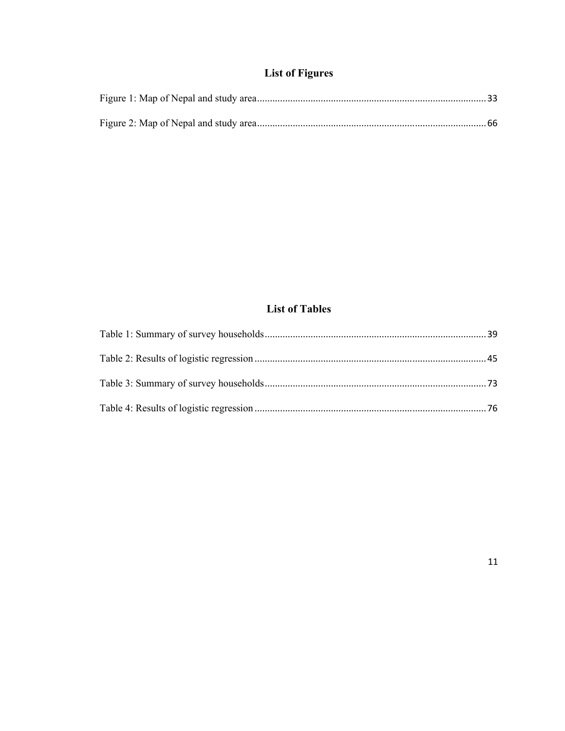## **List of Figures**

## **List of Tables**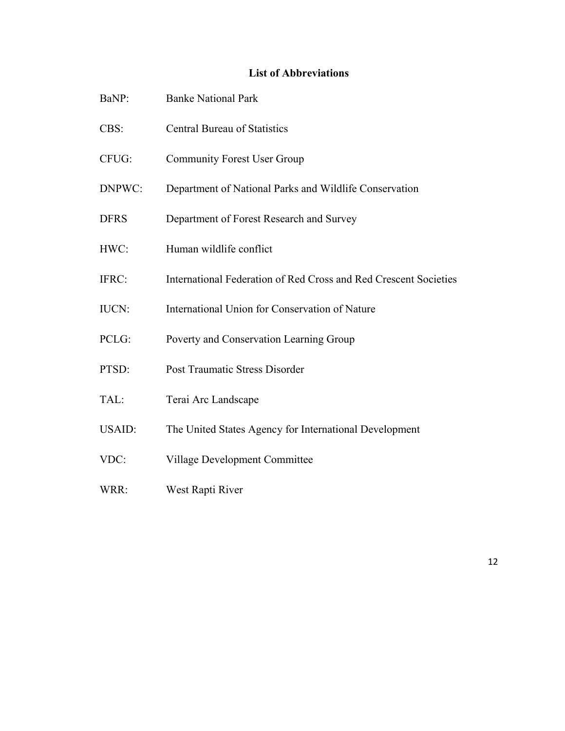### **List of Abbreviations**

| BaNP:         | <b>Banke National Park</b>                                       |
|---------------|------------------------------------------------------------------|
| CBS:          | <b>Central Bureau of Statistics</b>                              |
| CFUG:         | <b>Community Forest User Group</b>                               |
| DNPWC:        | Department of National Parks and Wildlife Conservation           |
| <b>DFRS</b>   | Department of Forest Research and Survey                         |
| HWC:          | Human wildlife conflict                                          |
| IFRC:         | International Federation of Red Cross and Red Crescent Societies |
| <b>IUCN:</b>  | International Union for Conservation of Nature                   |
| PCLG:         | Poverty and Conservation Learning Group                          |
| PTSD:         | Post Traumatic Stress Disorder                                   |
| TAL:          | Terai Arc Landscape                                              |
| <b>USAID:</b> | The United States Agency for International Development           |
| VDC:          | Village Development Committee                                    |
| WRR:          | West Rapti River                                                 |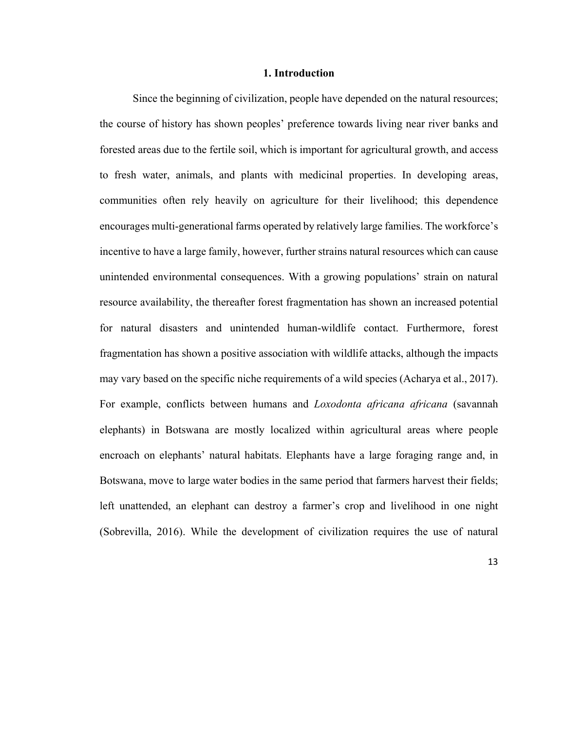#### **1. Introduction**

Since the beginning of civilization, people have depended on the natural resources; the course of history has shown peoples' preference towards living near river banks and forested areas due to the fertile soil, which is important for agricultural growth, and access to fresh water, animals, and plants with medicinal properties. In developing areas, communities often rely heavily on agriculture for their livelihood; this dependence encourages multi-generational farms operated by relatively large families. The workforce's incentive to have a large family, however, further strains natural resources which can cause unintended environmental consequences. With a growing populations' strain on natural resource availability, the thereafter forest fragmentation has shown an increased potential for natural disasters and unintended human-wildlife contact. Furthermore, forest fragmentation has shown a positive association with wildlife attacks, although the impacts may vary based on the specific niche requirements of a wild species (Acharya et al., 2017). For example, conflicts between humans and *Loxodonta africana africana* (savannah elephants) in Botswana are mostly localized within agricultural areas where people encroach on elephants' natural habitats. Elephants have a large foraging range and, in Botswana, move to large water bodies in the same period that farmers harvest their fields; left unattended, an elephant can destroy a farmer's crop and livelihood in one night (Sobrevilla, 2016). While the development of civilization requires the use of natural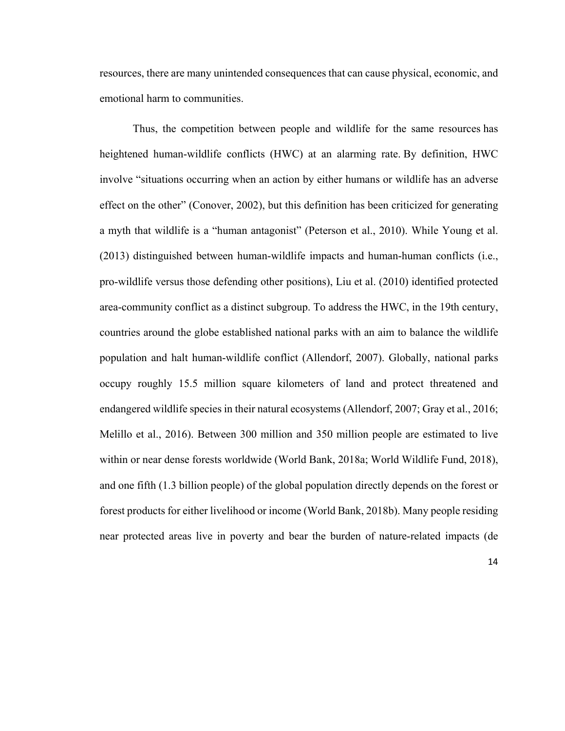resources, there are many unintended consequences that can cause physical, economic, and emotional harm to communities.

Thus, the competition between people and wildlife for the same resources has heightened human-wildlife conflicts (HWC) at an alarming rate. By definition, HWC involve "situations occurring when an action by either humans or wildlife has an adverse effect on the other" (Conover, 2002), but this definition has been criticized for generating a myth that wildlife is a "human antagonist" (Peterson et al., 2010). While Young et al. (2013) distinguished between human-wildlife impacts and human-human conflicts (i.e., pro-wildlife versus those defending other positions), Liu et al. (2010) identified protected area-community conflict as a distinct subgroup. To address the HWC, in the 19th century, countries around the globe established national parks with an aim to balance the wildlife population and halt human-wildlife conflict (Allendorf, 2007). Globally, national parks occupy roughly 15.5 million square kilometers of land and protect threatened and endangered wildlife species in their natural ecosystems (Allendorf, 2007; Gray et al., 2016; Melillo et al., 2016). Between 300 million and 350 million people are estimated to live within or near dense forests worldwide (World Bank, 2018a; World Wildlife Fund, 2018), and one fifth (1.3 billion people) of the global population directly depends on the forest or forest products for either livelihood or income (World Bank, 2018b). Many people residing near protected areas live in poverty and bear the burden of nature-related impacts (de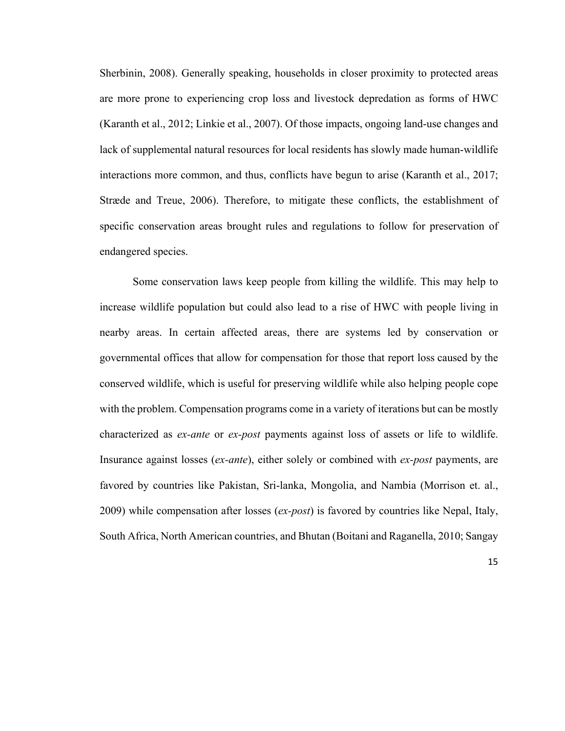Sherbinin, 2008). Generally speaking, households in closer proximity to protected areas are more prone to experiencing crop loss and livestock depredation as forms of HWC (Karanth et al., 2012; Linkie et al., 2007). Of those impacts, ongoing land-use changes and lack of supplemental natural resources for local residents has slowly made human-wildlife interactions more common, and thus, conflicts have begun to arise (Karanth et al., 2017; Stræde and Treue, 2006). Therefore, to mitigate these conflicts, the establishment of specific conservation areas brought rules and regulations to follow for preservation of endangered species.

Some conservation laws keep people from killing the wildlife. This may help to increase wildlife population but could also lead to a rise of HWC with people living in nearby areas. In certain affected areas, there are systems led by conservation or governmental offices that allow for compensation for those that report loss caused by the conserved wildlife, which is useful for preserving wildlife while also helping people cope with the problem. Compensation programs come in a variety of iterations but can be mostly characterized as *ex-ante* or *ex-post* payments against loss of assets or life to wildlife. Insurance against losses (*ex-ante*), either solely or combined with *ex-post* payments, are favored by countries like Pakistan, Sri-lanka, Mongolia, and Nambia (Morrison et. al., 2009) while compensation after losses (*ex-post*) is favored by countries like Nepal, Italy, South Africa, North American countries, and Bhutan (Boitani and Raganella, 2010; Sangay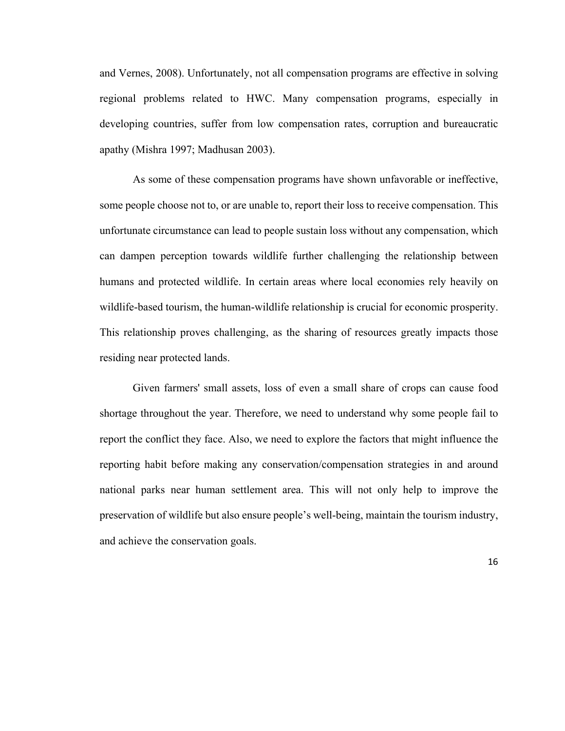and Vernes, 2008). Unfortunately, not all compensation programs are effective in solving regional problems related to HWC. Many compensation programs, especially in developing countries, suffer from low compensation rates, corruption and bureaucratic apathy (Mishra 1997; Madhusan 2003).

As some of these compensation programs have shown unfavorable or ineffective, some people choose not to, or are unable to, report their loss to receive compensation. This unfortunate circumstance can lead to people sustain loss without any compensation, which can dampen perception towards wildlife further challenging the relationship between humans and protected wildlife. In certain areas where local economies rely heavily on wildlife-based tourism, the human-wildlife relationship is crucial for economic prosperity. This relationship proves challenging, as the sharing of resources greatly impacts those residing near protected lands.

Given farmers' small assets, loss of even a small share of crops can cause food shortage throughout the year. Therefore, we need to understand why some people fail to report the conflict they face. Also, we need to explore the factors that might influence the reporting habit before making any conservation/compensation strategies in and around national parks near human settlement area. This will not only help to improve the preservation of wildlife but also ensure people's well-being, maintain the tourism industry, and achieve the conservation goals.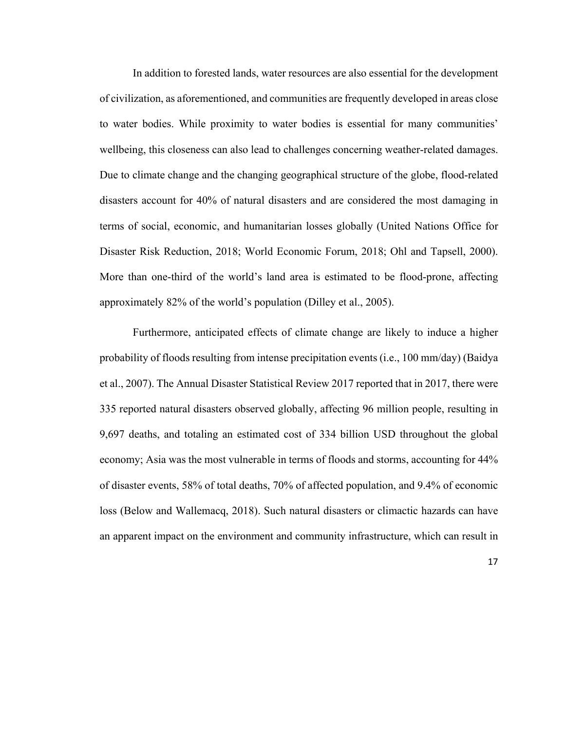In addition to forested lands, water resources are also essential for the development of civilization, as aforementioned, and communities are frequently developed in areas close to water bodies. While proximity to water bodies is essential for many communities' wellbeing, this closeness can also lead to challenges concerning weather-related damages. Due to climate change and the changing geographical structure of the globe, flood-related disasters account for 40% of natural disasters and are considered the most damaging in terms of social, economic, and humanitarian losses globally (United Nations Office for Disaster Risk Reduction, 2018; World Economic Forum, 2018; Ohl and Tapsell, 2000). More than one-third of the world's land area is estimated to be flood-prone, affecting approximately 82% of the world's population (Dilley et al., 2005).

Furthermore, anticipated effects of climate change are likely to induce a higher probability of floods resulting from intense precipitation events (i.e., 100 mm/day) (Baidya et al., 2007). The Annual Disaster Statistical Review 2017 reported that in 2017, there were 335 reported natural disasters observed globally, affecting 96 million people, resulting in 9,697 deaths, and totaling an estimated cost of 334 billion USD throughout the global economy; Asia was the most vulnerable in terms of floods and storms, accounting for 44% of disaster events, 58% of total deaths, 70% of affected population, and 9.4% of economic loss (Below and Wallemacq, 2018). Such natural disasters or climactic hazards can have an apparent impact on the environment and community infrastructure, which can result in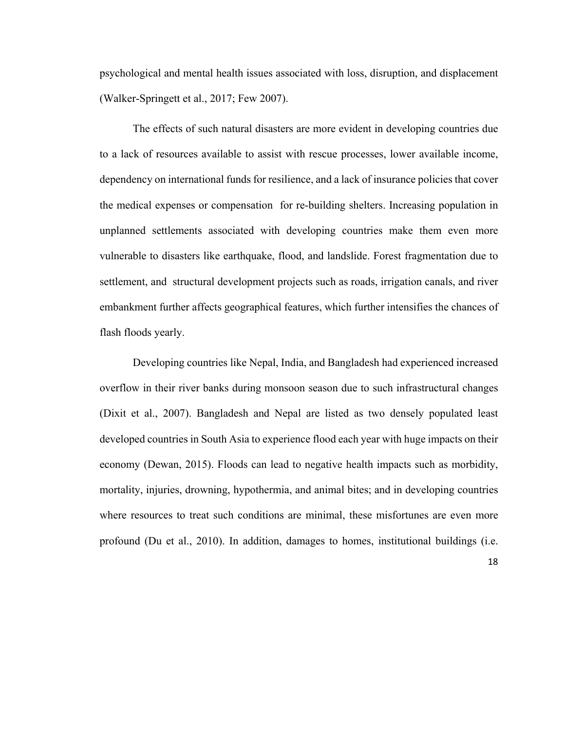psychological and mental health issues associated with loss, disruption, and displacement (Walker-Springett et al., 2017; Few 2007).

The effects of such natural disasters are more evident in developing countries due to a lack of resources available to assist with rescue processes, lower available income, dependency on international funds for resilience, and a lack of insurance policies that cover the medical expenses or compensation for re-building shelters. Increasing population in unplanned settlements associated with developing countries make them even more vulnerable to disasters like earthquake, flood, and landslide. Forest fragmentation due to settlement, and structural development projects such as roads, irrigation canals, and river embankment further affects geographical features, which further intensifies the chances of flash floods yearly.

Developing countries like Nepal, India, and Bangladesh had experienced increased overflow in their river banks during monsoon season due to such infrastructural changes (Dixit et al., 2007). Bangladesh and Nepal are listed as two densely populated least developed countries in South Asia to experience flood each year with huge impacts on their economy (Dewan, 2015). Floods can lead to negative health impacts such as morbidity, mortality, injuries, drowning, hypothermia, and animal bites; and in developing countries where resources to treat such conditions are minimal, these misfortunes are even more profound (Du et al., 2010). In addition, damages to homes, institutional buildings (i.e.

18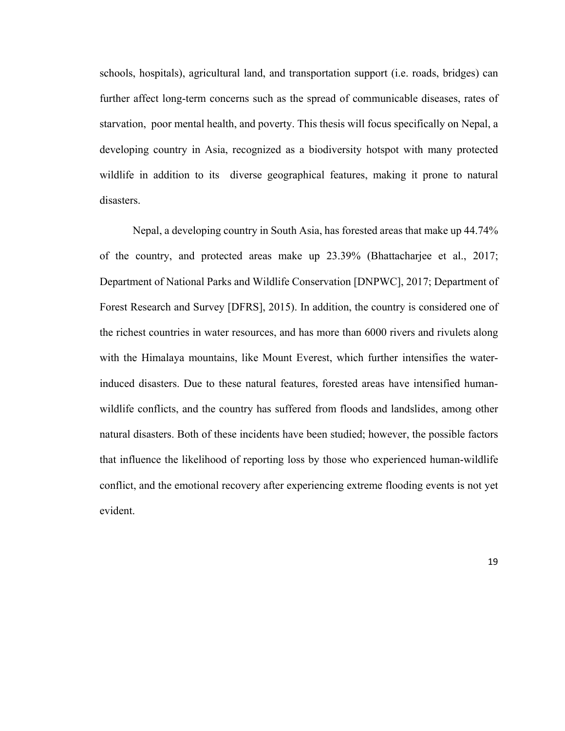schools, hospitals), agricultural land, and transportation support (i.e. roads, bridges) can further affect long-term concerns such as the spread of communicable diseases, rates of starvation, poor mental health, and poverty. This thesis will focus specifically on Nepal, a developing country in Asia, recognized as a biodiversity hotspot with many protected wildlife in addition to its diverse geographical features, making it prone to natural disasters.

Nepal, a developing country in South Asia, has forested areas that make up 44.74% of the country, and protected areas make up 23.39% (Bhattacharjee et al., 2017; Department of National Parks and Wildlife Conservation [DNPWC], 2017; Department of Forest Research and Survey [DFRS], 2015). In addition, the country is considered one of the richest countries in water resources, and has more than 6000 rivers and rivulets along with the Himalaya mountains, like Mount Everest, which further intensifies the waterinduced disasters. Due to these natural features, forested areas have intensified humanwildlife conflicts, and the country has suffered from floods and landslides, among other natural disasters. Both of these incidents have been studied; however, the possible factors that influence the likelihood of reporting loss by those who experienced human-wildlife conflict, and the emotional recovery after experiencing extreme flooding events is not yet evident.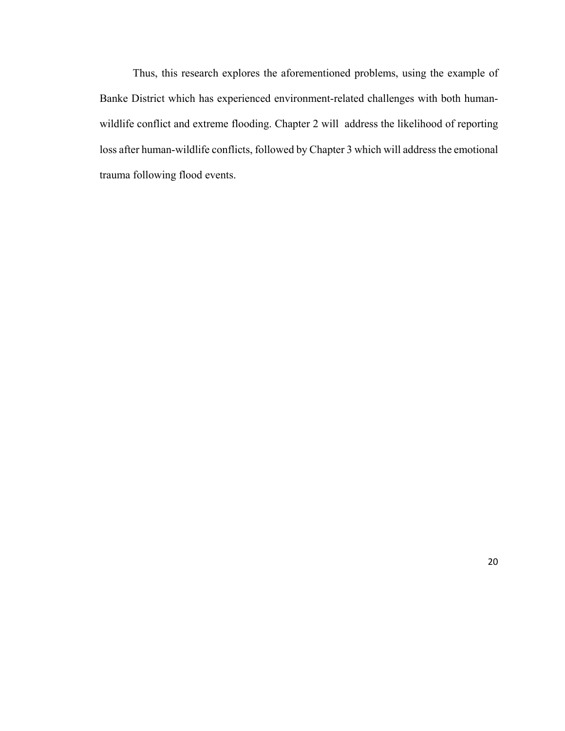Thus, this research explores the aforementioned problems, using the example of Banke District which has experienced environment-related challenges with both humanwildlife conflict and extreme flooding. Chapter 2 will address the likelihood of reporting loss after human-wildlife conflicts, followed by Chapter 3 which will address the emotional trauma following flood events.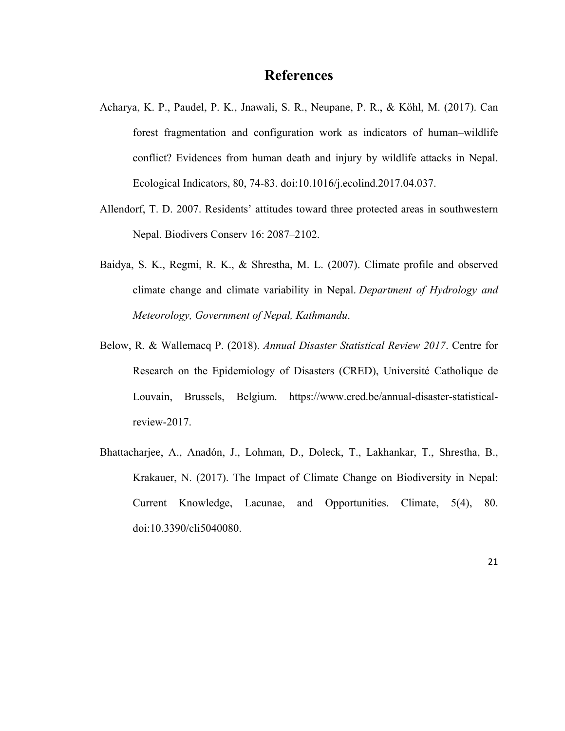### **References**

- Acharya, K. P., Paudel, P. K., Jnawali, S. R., Neupane, P. R., & Köhl, M. (2017). Can forest fragmentation and configuration work as indicators of human–wildlife conflict? Evidences from human death and injury by wildlife attacks in Nepal. Ecological Indicators, 80, 74-83. doi:10.1016/j.ecolind.2017.04.037.
- Allendorf, T. D. 2007. Residents' attitudes toward three protected areas in southwestern Nepal. Biodivers Conserv 16: 2087–2102.
- Baidya, S. K., Regmi, R. K., & Shrestha, M. L. (2007). Climate profile and observed climate change and climate variability in Nepal. *Department of Hydrology and Meteorology, Government of Nepal, Kathmandu*.
- Below, R. & Wallemacq P. (2018). *Annual Disaster Statistical Review 2017*. Centre for Research on the Epidemiology of Disasters (CRED), Université Catholique de Louvain, Brussels, Belgium. https://www.cred.be/annual-disaster-statisticalreview-2017.
- Bhattacharjee, A., Anadón, J., Lohman, D., Doleck, T., Lakhankar, T., Shrestha, B., Krakauer, N. (2017). The Impact of Climate Change on Biodiversity in Nepal: Current Knowledge, Lacunae, and Opportunities. Climate, 5(4), 80. doi:10.3390/cli5040080.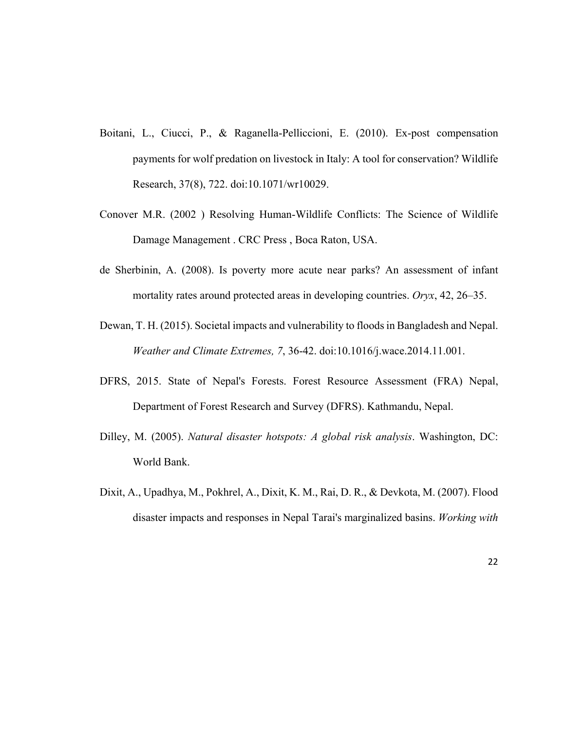- Boitani, L., Ciucci, P., & Raganella-Pelliccioni, E. (2010). Ex-post compensation payments for wolf predation on livestock in Italy: A tool for conservation? Wildlife Research, 37(8), 722. doi:10.1071/wr10029.
- Conover M.R. (2002 ) Resolving Human-Wildlife Conflicts: The Science of Wildlife Damage Management . CRC Press , Boca Raton, USA.
- de Sherbinin, A. (2008). Is poverty more acute near parks? An assessment of infant mortality rates around protected areas in developing countries. *Oryx*, 42, 26–35.
- Dewan, T. H. (2015). Societal impacts and vulnerability to floods in Bangladesh and Nepal. *Weather and Climate Extremes, 7*, 36-42. doi:10.1016/j.wace.2014.11.001.
- DFRS, 2015. State of Nepal's Forests. Forest Resource Assessment (FRA) Nepal, Department of Forest Research and Survey (DFRS). Kathmandu, Nepal.
- Dilley, M. (2005). *Natural disaster hotspots: A global risk analysis*. Washington, DC: World Bank.
- Dixit, A., Upadhya, M., Pokhrel, A., Dixit, K. M., Rai, D. R., & Devkota, M. (2007). Flood disaster impacts and responses in Nepal Tarai's marginalized basins. *Working with*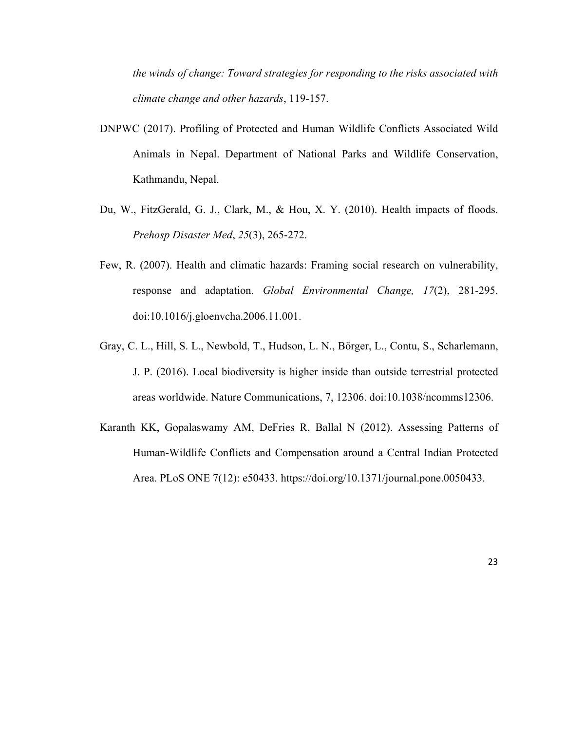*the winds of change: Toward strategies for responding to the risks associated with climate change and other hazards*, 119-157.

- DNPWC (2017). Profiling of Protected and Human Wildlife Conflicts Associated Wild Animals in Nepal. Department of National Parks and Wildlife Conservation, Kathmandu, Nepal.
- Du, W., FitzGerald, G. J., Clark, M., & Hou, X. Y. (2010). Health impacts of floods. *Prehosp Disaster Med*, *25*(3), 265-272.
- Few, R. (2007). Health and climatic hazards: Framing social research on vulnerability, response and adaptation. *Global Environmental Change, 17*(2), 281-295. doi:10.1016/j.gloenvcha.2006.11.001.
- Gray, C. L., Hill, S. L., Newbold, T., Hudson, L. N., Börger, L., Contu, S., Scharlemann, J. P. (2016). Local biodiversity is higher inside than outside terrestrial protected areas worldwide. Nature Communications, 7, 12306. doi:10.1038/ncomms12306.
- Karanth KK, Gopalaswamy AM, DeFries R, Ballal N (2012). Assessing Patterns of Human-Wildlife Conflicts and Compensation around a Central Indian Protected Area. PLoS ONE 7(12): e50433. https://doi.org/10.1371/journal.pone.0050433.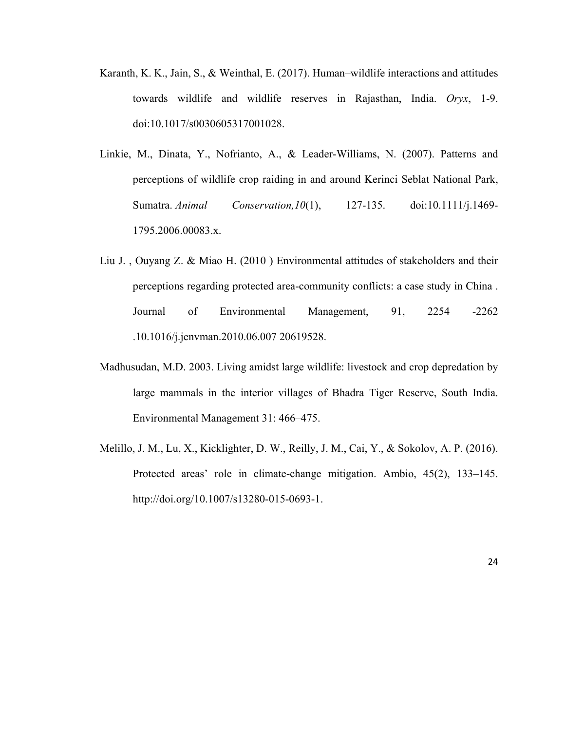- Karanth, K. K., Jain, S., & Weinthal, E. (2017). Human–wildlife interactions and attitudes towards wildlife and wildlife reserves in Rajasthan, India. *Oryx*, 1-9. doi:10.1017/s0030605317001028.
- Linkie, M., Dinata, Y., Nofrianto, A., & Leader-Williams, N. (2007). Patterns and perceptions of wildlife crop raiding in and around Kerinci Seblat National Park, Sumatra. *Animal Conservation,10*(1), 127-135. doi:10.1111/j.1469- 1795.2006.00083.x.
- Liu J. , Ouyang Z. & Miao H. (2010 ) Environmental attitudes of stakeholders and their perceptions regarding protected area-community conflicts: a case study in China . Journal of Environmental Management, 91, 2254 -2262 .10.1016/j.jenvman.2010.06.007 20619528.
- Madhusudan, M.D. 2003. Living amidst large wildlife: livestock and crop depredation by large mammals in the interior villages of Bhadra Tiger Reserve, South India. Environmental Management 31: 466–475.
- Melillo, J. M., Lu, X., Kicklighter, D. W., Reilly, J. M., Cai, Y., & Sokolov, A. P. (2016). Protected areas' role in climate-change mitigation. Ambio, 45(2), 133–145. http://doi.org/10.1007/s13280-015-0693-1.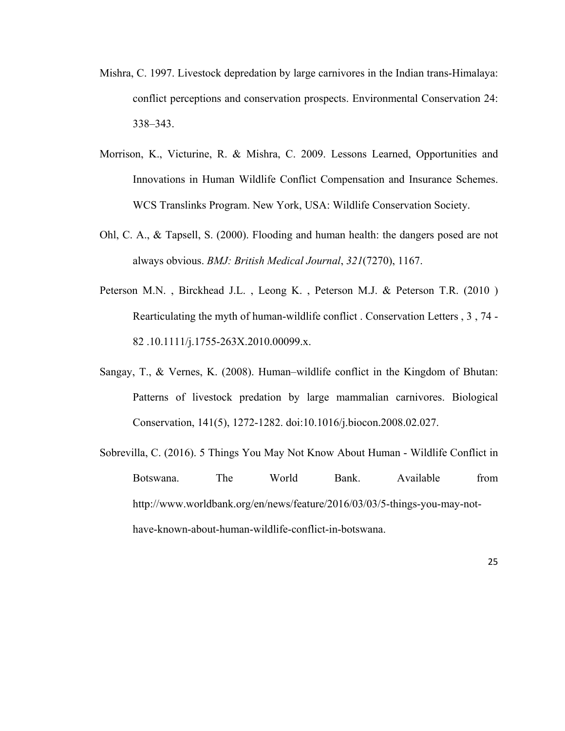- Mishra, C. 1997. Livestock depredation by large carnivores in the Indian trans-Himalaya: conflict perceptions and conservation prospects. Environmental Conservation 24: 338–343.
- Morrison, K., Victurine, R. & Mishra, C. 2009. Lessons Learned, Opportunities and Innovations in Human Wildlife Conflict Compensation and Insurance Schemes. WCS Translinks Program. New York, USA: Wildlife Conservation Society.
- Ohl, C. A., & Tapsell, S. (2000). Flooding and human health: the dangers posed are not always obvious. *BMJ: British Medical Journal*, *321*(7270), 1167.
- Peterson M.N. , Birckhead J.L. , Leong K. , Peterson M.J. & Peterson T.R. (2010 ) Rearticulating the myth of human-wildlife conflict . Conservation Letters , 3 , 74 - 82 .10.1111/j.1755-263X.2010.00099.x.
- Sangay, T., & Vernes, K. (2008). Human–wildlife conflict in the Kingdom of Bhutan: Patterns of livestock predation by large mammalian carnivores. Biological Conservation, 141(5), 1272-1282. doi:10.1016/j.biocon.2008.02.027.
- Sobrevilla, C. (2016). 5 Things You May Not Know About Human Wildlife Conflict in Botswana. The World Bank. Available from http://www.worldbank.org/en/news/feature/2016/03/03/5-things-you-may-nothave-known-about-human-wildlife-conflict-in-botswana.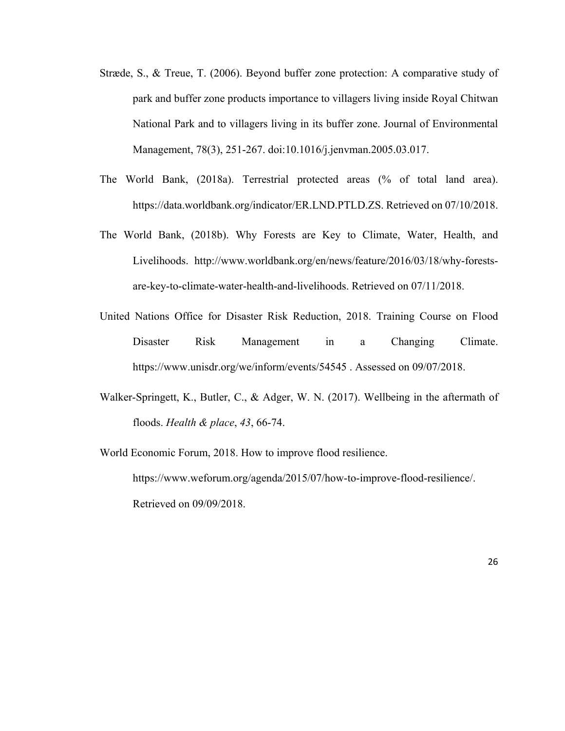- Stræde, S., & Treue, T. (2006). Beyond buffer zone protection: A comparative study of park and buffer zone products importance to villagers living inside Royal Chitwan National Park and to villagers living in its buffer zone. Journal of Environmental Management, 78(3), 251-267. doi:10.1016/j.jenvman.2005.03.017.
- The World Bank, (2018a). Terrestrial protected areas (% of total land area). https://data.worldbank.org/indicator/ER.LND.PTLD.ZS. Retrieved on 07/10/2018.
- The World Bank, (2018b). Why Forests are Key to Climate, Water, Health, and Livelihoods. http://www.worldbank.org/en/news/feature/2016/03/18/why-forestsare-key-to-climate-water-health-and-livelihoods. Retrieved on 07/11/2018.
- United Nations Office for Disaster Risk Reduction, 2018. Training Course on Flood Disaster Risk Management in a Changing Climate. https://www.unisdr.org/we/inform/events/54545 . Assessed on 09/07/2018.
- Walker-Springett, K., Butler, C., & Adger, W. N. (2017). Wellbeing in the aftermath of floods. *Health & place*, *43*, 66-74.
- World Economic Forum, 2018. How to improve flood resilience. https://www.weforum.org/agenda/2015/07/how-to-improve-flood-resilience/. Retrieved on 09/09/2018.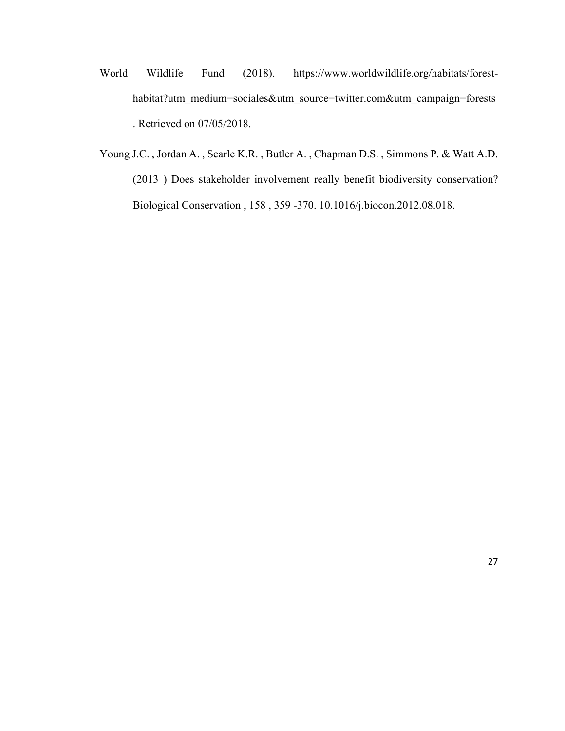- World Wildlife Fund (2018). https://www.worldwildlife.org/habitats/foresthabitat?utm\_medium=sociales&utm\_source=twitter.com&utm\_campaign=forests . Retrieved on 07/05/2018.
- Young J.C. , Jordan A. , Searle K.R. , Butler A. , Chapman D.S. , Simmons P. & Watt A.D. (2013 ) Does stakeholder involvement really benefit biodiversity conservation? Biological Conservation , 158 , 359 -370. 10.1016/j.biocon.2012.08.018.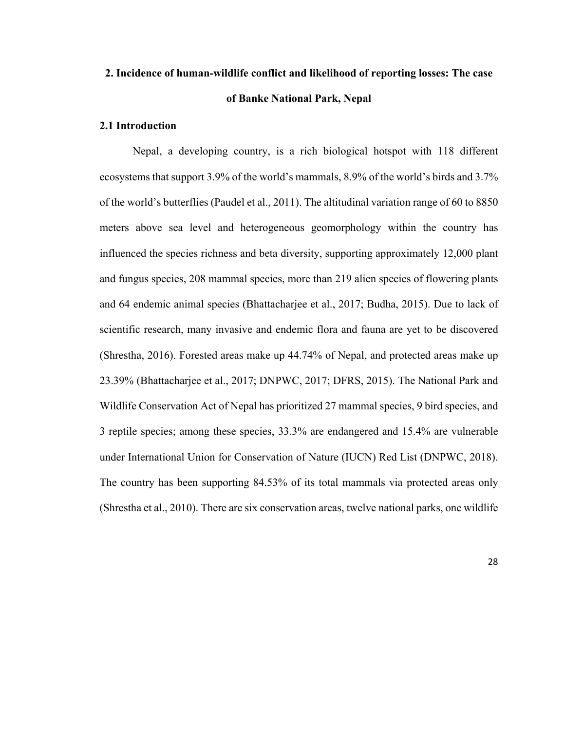# **2. Incidence of human-wildlife conflict and likelihood of reporting losses: The case of Banke National Park, Nepal**

### **2.1 Introduction**

Nepal, a developing country, is a rich biological hotspot with 118 different ecosystems that support 3.9% of the world's mammals, 8.9% of the world's birds and 3.7% of the world's butterflies (Paudel et al., 2011). The altitudinal variation range of 60 to 8850 meters above sea level and heterogeneous geomorphology within the country has influenced the species richness and beta diversity, supporting approximately 12,000 plant and fungus species, 208 mammal species, more than 219 alien species of flowering plants and 64 endemic animal species (Bhattacharjee et al., 2017; Budha, 2015). Due to lack of scientific research, many invasive and endemic flora and fauna are yet to be discovered (Shrestha, 2016). Forested areas make up 44.74% of Nepal, and protected areas make up 23.39% (Bhattacharjee et al., 2017; DNPWC, 2017; DFRS, 2015). The National Park and Wildlife Conservation Act of Nepal has prioritized 27 mammal species, 9 bird species, and 3 reptile species; among these species, 33.3% are endangered and 15.4% are vulnerable under International Union for Conservation of Nature (IUCN) Red List (DNPWC, 2018). The country has been supporting 84.53% of its total mammals via protected areas only (Shrestha et al., 2010). There are six conservation areas, twelve national parks, one wildlife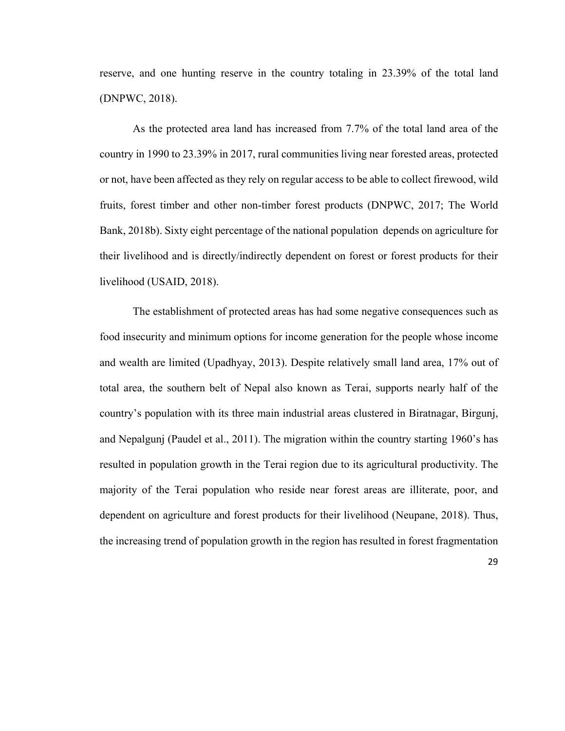reserve, and one hunting reserve in the country totaling in 23.39% of the total land (DNPWC, 2018).

As the protected area land has increased from 7.7% of the total land area of the country in 1990 to 23.39% in 2017, rural communities living near forested areas, protected or not, have been affected as they rely on regular access to be able to collect firewood, wild fruits, forest timber and other non-timber forest products (DNPWC, 2017; The World Bank, 2018b). Sixty eight percentage of the national population depends on agriculture for their livelihood and is directly/indirectly dependent on forest or forest products for their livelihood (USAID, 2018).

The establishment of protected areas has had some negative consequences such as food insecurity and minimum options for income generation for the people whose income and wealth are limited (Upadhyay, 2013). Despite relatively small land area, 17% out of total area, the southern belt of Nepal also known as Terai, supports nearly half of the country's population with its three main industrial areas clustered in Biratnagar, Birgunj, and Nepalgunj (Paudel et al., 2011). The migration within the country starting 1960's has resulted in population growth in the Terai region due to its agricultural productivity. The majority of the Terai population who reside near forest areas are illiterate, poor, and dependent on agriculture and forest products for their livelihood (Neupane, 2018). Thus, the increasing trend of population growth in the region has resulted in forest fragmentation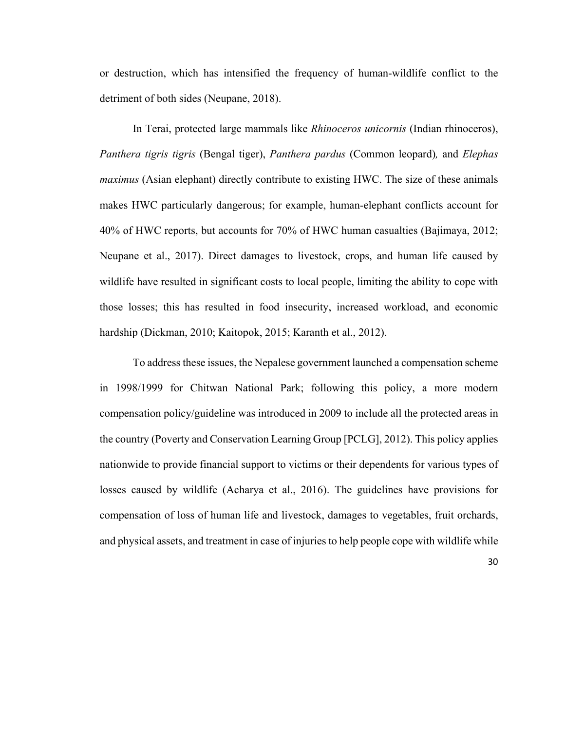or destruction, which has intensified the frequency of human-wildlife conflict to the detriment of both sides (Neupane, 2018).

In Terai, protected large mammals like *Rhinoceros unicornis* (Indian rhinoceros), *Panthera tigris tigris* (Bengal tiger), *Panthera pardus* (Common leopard)*,* and *Elephas maximus* (Asian elephant) directly contribute to existing HWC. The size of these animals makes HWC particularly dangerous; for example, human-elephant conflicts account for 40% of HWC reports, but accounts for 70% of HWC human casualties (Bajimaya, 2012; Neupane et al., 2017). Direct damages to livestock, crops, and human life caused by wildlife have resulted in significant costs to local people, limiting the ability to cope with those losses; this has resulted in food insecurity, increased workload, and economic hardship (Dickman, 2010; Kaitopok, 2015; Karanth et al., 2012).

To address these issues, the Nepalese government launched a compensation scheme in 1998/1999 for Chitwan National Park; following this policy, a more modern compensation policy/guideline was introduced in 2009 to include all the protected areas in the country (Poverty and Conservation Learning Group [PCLG], 2012). This policy applies nationwide to provide financial support to victims or their dependents for various types of losses caused by wildlife (Acharya et al., 2016). The guidelines have provisions for compensation of loss of human life and livestock, damages to vegetables, fruit orchards, and physical assets, and treatment in case of injuries to help people cope with wildlife while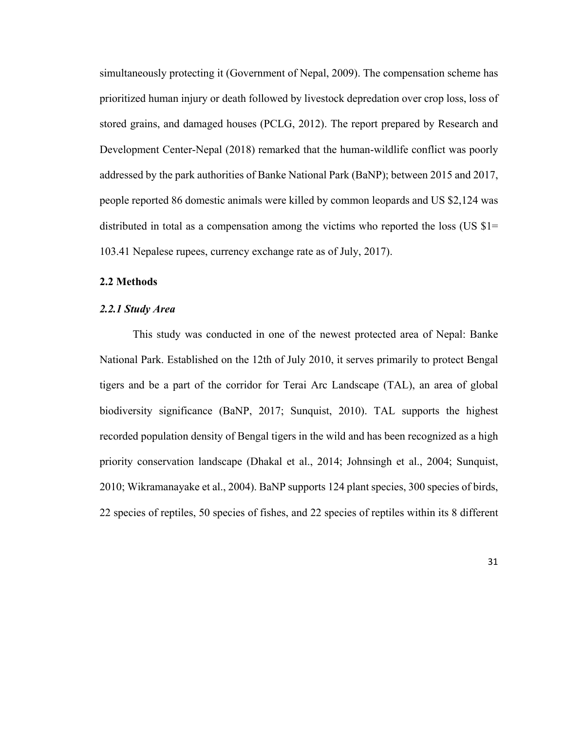simultaneously protecting it (Government of Nepal, 2009). The compensation scheme has prioritized human injury or death followed by livestock depredation over crop loss, loss of stored grains, and damaged houses (PCLG, 2012). The report prepared by Research and Development Center-Nepal (2018) remarked that the human-wildlife conflict was poorly addressed by the park authorities of Banke National Park (BaNP); between 2015 and 2017, people reported 86 domestic animals were killed by common leopards and US \$2,124 was distributed in total as a compensation among the victims who reported the loss (US  $\$1=$ 103.41 Nepalese rupees, currency exchange rate as of July, 2017).

### **2.2 Methods**

#### *2.2.1 Study Area*

This study was conducted in one of the newest protected area of Nepal: Banke National Park. Established on the 12th of July 2010, it serves primarily to protect Bengal tigers and be a part of the corridor for Terai Arc Landscape (TAL), an area of global biodiversity significance (BaNP, 2017; Sunquist, 2010). TAL supports the highest recorded population density of Bengal tigers in the wild and has been recognized as a high priority conservation landscape (Dhakal et al., 2014; Johnsingh et al., 2004; Sunquist, 2010; Wikramanayake et al., 2004). BaNP supports 124 plant species, 300 species of birds, 22 species of reptiles, 50 species of fishes, and 22 species of reptiles within its 8 different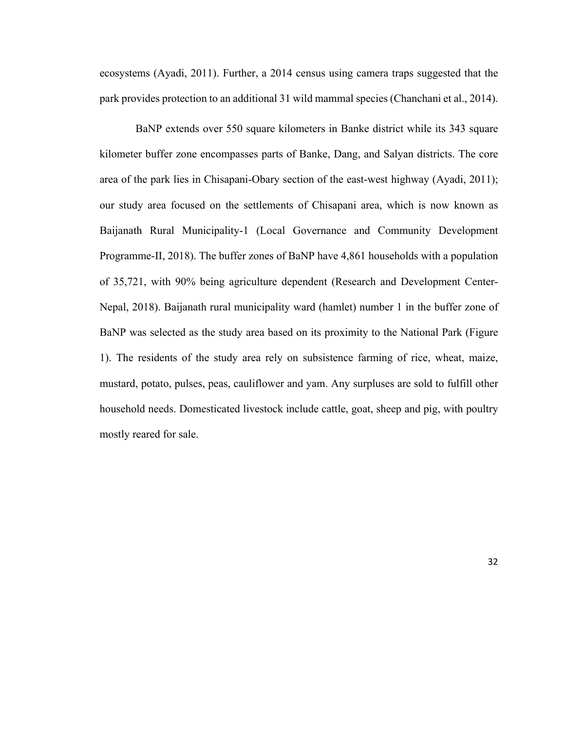ecosystems (Ayadi, 2011). Further, a 2014 census using camera traps suggested that the park provides protection to an additional 31 wild mammal species (Chanchani et al., 2014).

 BaNP extends over 550 square kilometers in Banke district while its 343 square kilometer buffer zone encompasses parts of Banke, Dang, and Salyan districts. The core area of the park lies in Chisapani-Obary section of the east-west highway (Ayadi, 2011); our study area focused on the settlements of Chisapani area, which is now known as Baijanath Rural Municipality-1 (Local Governance and Community Development Programme-II, 2018). The buffer zones of BaNP have 4,861 households with a population of 35,721, with 90% being agriculture dependent (Research and Development Center-Nepal, 2018). Baijanath rural municipality ward (hamlet) number 1 in the buffer zone of BaNP was selected as the study area based on its proximity to the National Park (Figure 1). The residents of the study area rely on subsistence farming of rice, wheat, maize, mustard, potato, pulses, peas, cauliflower and yam. Any surpluses are sold to fulfill other household needs. Domesticated livestock include cattle, goat, sheep and pig, with poultry mostly reared for sale.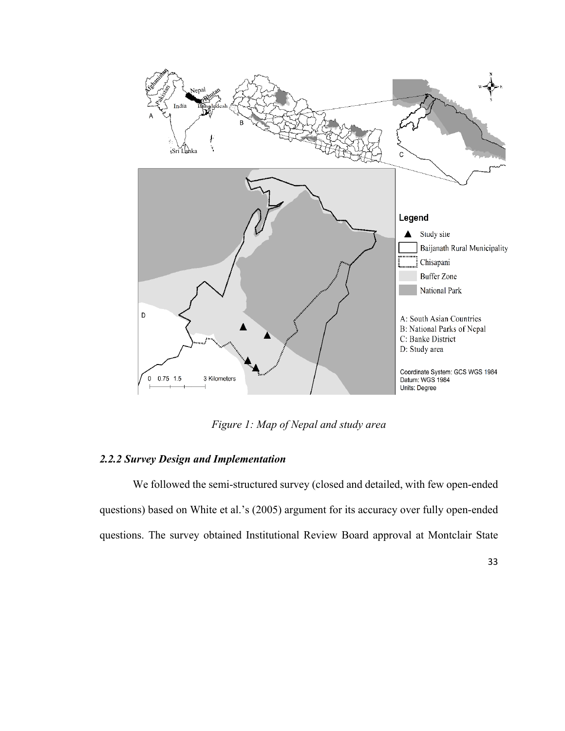

*Figure 1: Map of Nepal and study area* 

### *2.2.2 Survey Design and Implementation*

We followed the semi-structured survey (closed and detailed, with few open-ended questions) based on White et al.'s (2005) argument for its accuracy over fully open-ended questions. The survey obtained Institutional Review Board approval at Montclair State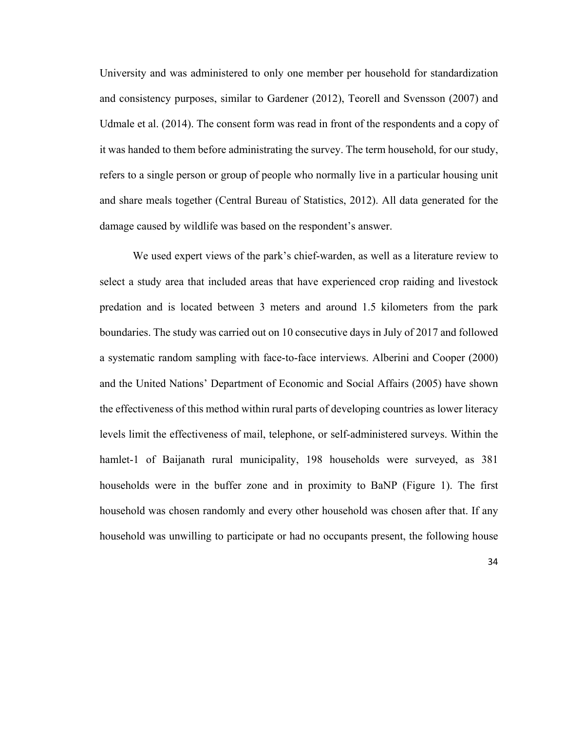University and was administered to only one member per household for standardization and consistency purposes, similar to Gardener (2012), Teorell and Svensson (2007) and Udmale et al. (2014). The consent form was read in front of the respondents and a copy of it was handed to them before administrating the survey. The term household, for our study, refers to a single person or group of people who normally live in a particular housing unit and share meals together (Central Bureau of Statistics, 2012). All data generated for the damage caused by wildlife was based on the respondent's answer.

We used expert views of the park's chief-warden, as well as a literature review to select a study area that included areas that have experienced crop raiding and livestock predation and is located between 3 meters and around 1.5 kilometers from the park boundaries. The study was carried out on 10 consecutive days in July of 2017 and followed a systematic random sampling with face-to-face interviews. Alberini and Cooper (2000) and the United Nations' Department of Economic and Social Affairs (2005) have shown the effectiveness of this method within rural parts of developing countries as lower literacy levels limit the effectiveness of mail, telephone, or self-administered surveys. Within the hamlet-1 of Baijanath rural municipality, 198 households were surveyed, as 381 households were in the buffer zone and in proximity to BaNP (Figure 1). The first household was chosen randomly and every other household was chosen after that. If any household was unwilling to participate or had no occupants present, the following house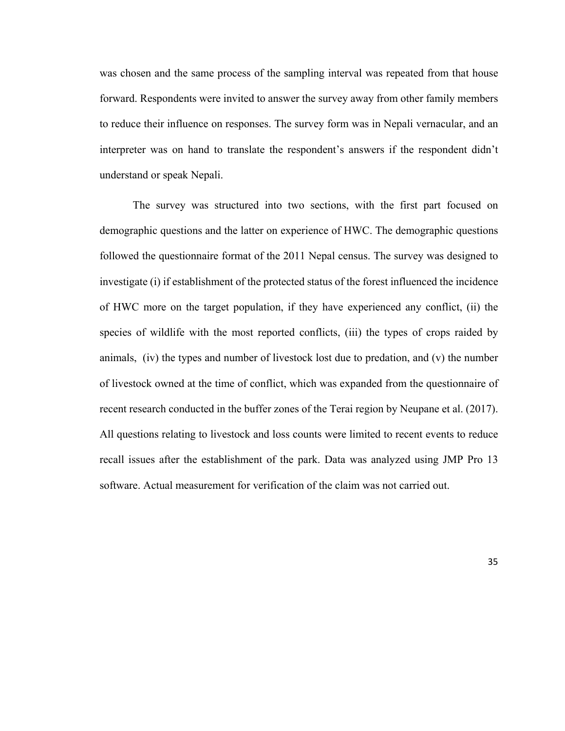was chosen and the same process of the sampling interval was repeated from that house forward. Respondents were invited to answer the survey away from other family members to reduce their influence on responses. The survey form was in Nepali vernacular, and an interpreter was on hand to translate the respondent's answers if the respondent didn't understand or speak Nepali.

The survey was structured into two sections, with the first part focused on demographic questions and the latter on experience of HWC. The demographic questions followed the questionnaire format of the 2011 Nepal census. The survey was designed to investigate (i) if establishment of the protected status of the forest influenced the incidence of HWC more on the target population, if they have experienced any conflict, (ii) the species of wildlife with the most reported conflicts, (iii) the types of crops raided by animals, (iv) the types and number of livestock lost due to predation, and (v) the number of livestock owned at the time of conflict, which was expanded from the questionnaire of recent research conducted in the buffer zones of the Terai region by Neupane et al. (2017). All questions relating to livestock and loss counts were limited to recent events to reduce recall issues after the establishment of the park. Data was analyzed using JMP Pro 13 software. Actual measurement for verification of the claim was not carried out.

35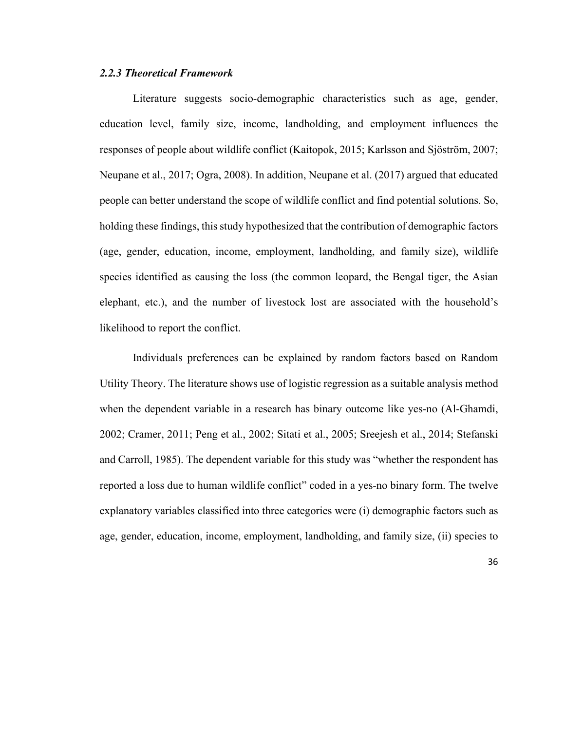# *2.2.3 Theoretical Framework*

Literature suggests socio-demographic characteristics such as age, gender, education level, family size, income, landholding, and employment influences the responses of people about wildlife conflict (Kaitopok, 2015; Karlsson and Sjöström, 2007; Neupane et al., 2017; Ogra, 2008). In addition, Neupane et al. (2017) argued that educated people can better understand the scope of wildlife conflict and find potential solutions. So, holding these findings, this study hypothesized that the contribution of demographic factors (age, gender, education, income, employment, landholding, and family size), wildlife species identified as causing the loss (the common leopard, the Bengal tiger, the Asian elephant, etc.), and the number of livestock lost are associated with the household's likelihood to report the conflict.

Individuals preferences can be explained by random factors based on Random Utility Theory. The literature shows use of logistic regression as a suitable analysis method when the dependent variable in a research has binary outcome like yes-no (Al-Ghamdi, 2002; Cramer, 2011; Peng et al., 2002; Sitati et al., 2005; Sreejesh et al., 2014; Stefanski and Carroll, 1985). The dependent variable for this study was "whether the respondent has reported a loss due to human wildlife conflict" coded in a yes-no binary form. The twelve explanatory variables classified into three categories were (i) demographic factors such as age, gender, education, income, employment, landholding, and family size, (ii) species to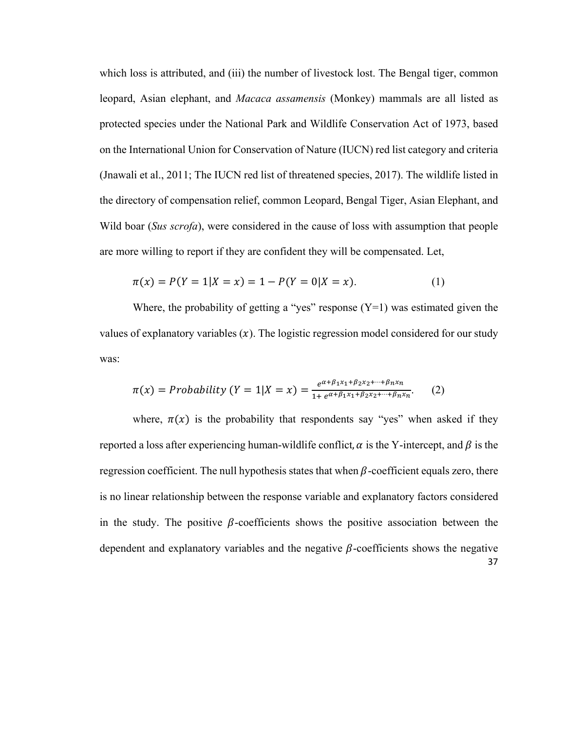which loss is attributed, and (iii) the number of livestock lost. The Bengal tiger, common leopard, Asian elephant, and *Macaca assamensis* (Monkey) mammals are all listed as protected species under the National Park and Wildlife Conservation Act of 1973, based on the International Union for Conservation of Nature (IUCN) red list category and criteria (Jnawali et al., 2011; The IUCN red list of threatened species, 2017). The wildlife listed in the directory of compensation relief, common Leopard, Bengal Tiger, Asian Elephant, and Wild boar (*Sus scrofa*), were considered in the cause of loss with assumption that people are more willing to report if they are confident they will be compensated. Let,

$$
\pi(x) = P(Y = 1 | X = x) = 1 - P(Y = 0 | X = x).
$$
\n(1)

Where, the probability of getting a "yes" response  $(Y=1)$  was estimated given the values of explanatory variables  $(x)$ . The logistic regression model considered for our study was:

$$
\pi(x) = Probability(Y = 1|X = x) = \frac{e^{\alpha + \beta_1 x_1 + \beta_2 x_2 + \dots + \beta_n x_n}}{1 + e^{\alpha + \beta_1 x_1 + \beta_2 x_2 + \dots + \beta_n x_n}}.
$$
 (2)

37 where,  $\pi(x)$  is the probability that respondents say "yes" when asked if they reported a loss after experiencing human-wildlife conflict,  $\alpha$  is the Y-intercept, and  $\beta$  is the regression coefficient. The null hypothesis states that when  $\beta$ -coefficient equals zero, there is no linear relationship between the response variable and explanatory factors considered in the study. The positive  $\beta$ -coefficients shows the positive association between the dependent and explanatory variables and the negative  $\beta$ -coefficients shows the negative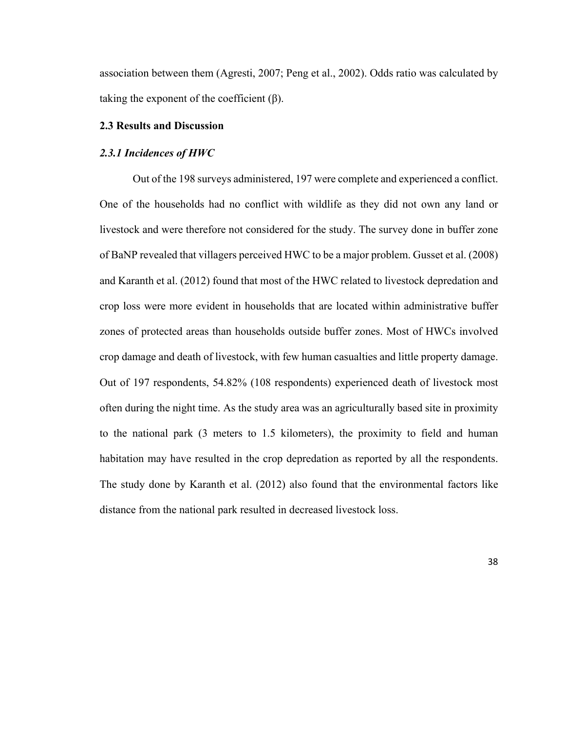association between them (Agresti, 2007; Peng et al., 2002). Odds ratio was calculated by taking the exponent of the coefficient  $(\beta)$ .

# **2.3 Results and Discussion**

#### *2.3.1 Incidences of HWC*

Out of the 198 surveys administered, 197 were complete and experienced a conflict. One of the households had no conflict with wildlife as they did not own any land or livestock and were therefore not considered for the study. The survey done in buffer zone of BaNP revealed that villagers perceived HWC to be a major problem. Gusset et al. (2008) and Karanth et al. (2012) found that most of the HWC related to livestock depredation and crop loss were more evident in households that are located within administrative buffer zones of protected areas than households outside buffer zones. Most of HWCs involved crop damage and death of livestock, with few human casualties and little property damage. Out of 197 respondents, 54.82% (108 respondents) experienced death of livestock most often during the night time. As the study area was an agriculturally based site in proximity to the national park (3 meters to 1.5 kilometers), the proximity to field and human habitation may have resulted in the crop depredation as reported by all the respondents. The study done by Karanth et al. (2012) also found that the environmental factors like distance from the national park resulted in decreased livestock loss.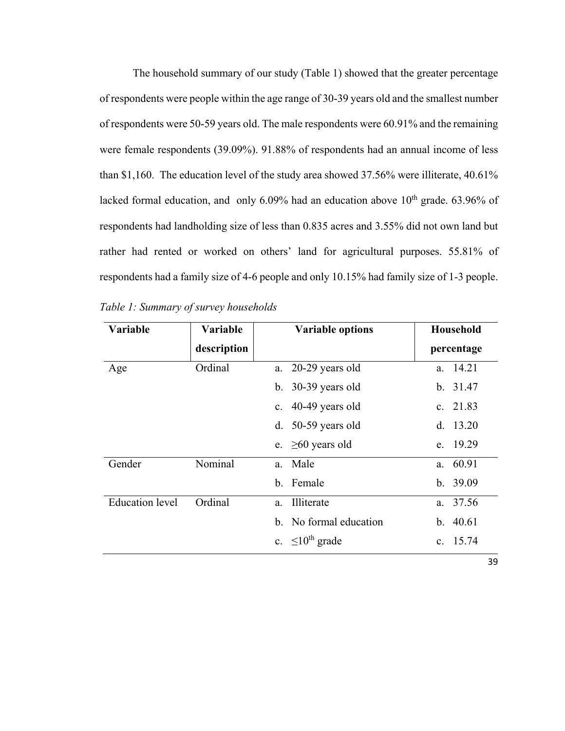The household summary of our study (Table 1) showed that the greater percentage of respondents were people within the age range of 30-39 years old and the smallest number of respondents were 50-59 years old. The male respondents were 60.91% and the remaining were female respondents (39.09%). 91.88% of respondents had an annual income of less than \$1,160. The education level of the study area showed 37.56% were illiterate, 40.61% lacked formal education, and only  $6.09\%$  had an education above  $10<sup>th</sup>$  grade. 63.96% of respondents had landholding size of less than 0.835 acres and 3.55% did not own land but rather had rented or worked on others' land for agricultural purposes. 55.81% of respondents had a family size of 4-6 people and only 10.15% had family size of 1-3 people.

| <b>Variable</b>        | <b>Variable</b> |    | <b>Variable options</b> | <b>Household</b> |
|------------------------|-----------------|----|-------------------------|------------------|
|                        | description     |    |                         | percentage       |
| Age                    | Ordinal         |    | a. 20-29 years old      | a. 14.21         |
|                        |                 |    | b. $30-39$ years old    | b. 31.47         |
|                        |                 |    | c. 40-49 years old      | c. $21.83$       |
|                        |                 |    | d. $50-59$ years old    | d. $13.20$       |
|                        |                 |    | e. $\geq 60$ years old  | e. 19.29         |
| Gender                 | Nominal         |    | a. Male                 | a. 60.91         |
|                        |                 |    | b. Female               | b. 39.09         |
| <b>Education</b> level | Ordinal         | a. | Illiterate              | a. 37.56         |
|                        |                 |    | b. No formal education  | b. $40.61$       |
|                        |                 |    | c. $\leq 10^{th}$ grade | c. 15.74         |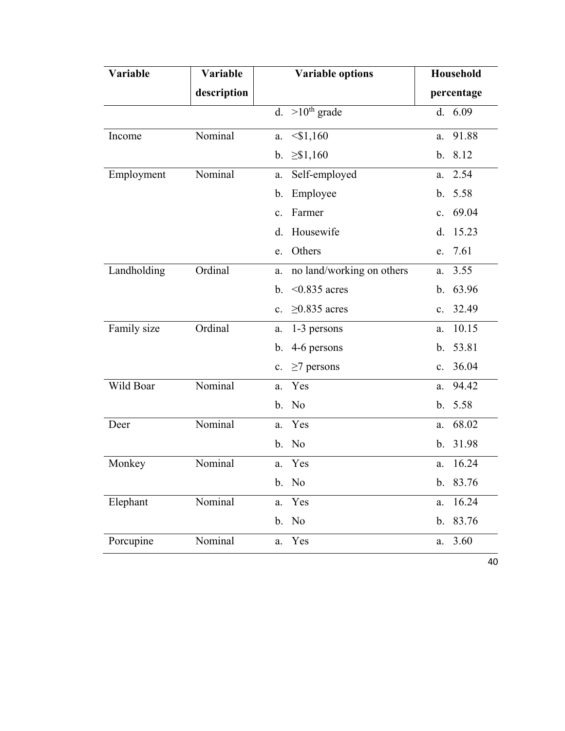| Variable    | Variable    | <b>Variable options</b>           | Household   |
|-------------|-------------|-----------------------------------|-------------|
|             | description |                                   | percentage  |
|             |             | d. $>10^{th}$ grade               | d. 6.09     |
| Income      | Nominal     | $<$ \$1,160<br>a.                 | 91.88<br>a. |
|             |             | $\geq$ \$1,160<br>b.              | b. 8.12     |
| Employment  | Nominal     | Self-employed<br>a.               | 2.54<br>a.  |
|             |             | Employee<br>b.                    | b. 5.58     |
|             |             | Farmer<br>$\mathbf{c}$ .          | c. 69.04    |
|             |             | Housewife<br>d.                   | 15.23<br>d. |
|             |             | Others<br>e.                      | e. 7.61     |
| Landholding | Ordinal     | no land/working on others<br>a.   | 3.55<br>a.  |
|             |             | b. $\leq 0.835$ acres             | b. 63.96    |
|             |             | $\geq$ 0.835 acres<br>$c_{\cdot}$ | c. 32.49    |
| Family size | Ordinal     | a. 1-3 persons                    | 10.15<br>a. |
|             |             | 4-6 persons<br>b.                 | b. 53.81    |
|             |             | $\geq$ 7 persons<br>c.            | c. 36.04    |
| Wild Boar   | Nominal     | a. Yes                            | 94.42<br>a. |
|             |             | b. No                             | b. 5.58     |
| Deer        | Nominal     | a. Yes                            | 68.02<br>a. |
|             |             | b. No                             | b. 31.98    |
| Monkey      | Nominal     | a. Yes                            | 16.24<br>a. |
|             |             | b. No                             | b. 83.76    |
| Elephant    | Nominal     | a. Yes                            | 16.24<br>a. |
|             |             | b. No                             | b. 83.76    |
| Porcupine   | Nominal     | a. Yes                            | 3.60<br>a.  |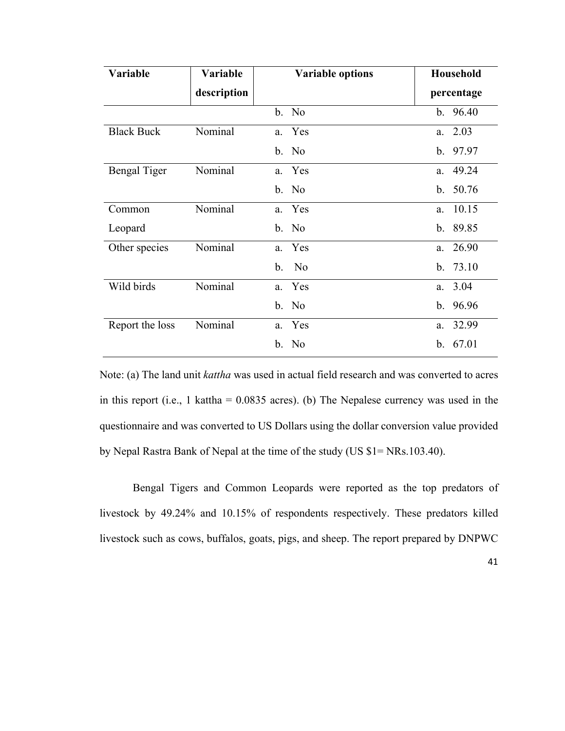| <b>Variable</b>     | <b>Variable</b> | <b>Variable options</b> | <b>Household</b> |
|---------------------|-----------------|-------------------------|------------------|
|                     | description     |                         | percentage       |
|                     |                 | b. No                   | b.96.40          |
| <b>Black Buck</b>   | Nominal         | a. Yes                  | a. 2.03          |
|                     |                 | b. No                   | b. 97.97         |
| <b>Bengal Tiger</b> | Nominal         | a. Yes                  | a. 49.24         |
|                     |                 | b. No                   | b. $50.76$       |
| Common              | Nominal         | a. Yes                  | a. 10.15         |
| Leopard             |                 | b. No                   | b. 89.85         |
| Other species       | Nominal         | a. Yes                  | a. 26.90         |
|                     |                 | b. No                   | b. 73.10         |
| Wild birds          | Nominal         | a. Yes                  | a. 3.04          |
|                     |                 | b. No                   | b.96.96          |
| Report the loss     | Nominal         | a. Yes                  | a. 32.99         |
|                     |                 | b. No                   | b. 67.01         |

Note: (a) The land unit *kattha* was used in actual field research and was converted to acres in this report (i.e., 1 kattha =  $0.0835$  acres). (b) The Nepalese currency was used in the questionnaire and was converted to US Dollars using the dollar conversion value provided by Nepal Rastra Bank of Nepal at the time of the study (US \$1= NRs.103.40).

Bengal Tigers and Common Leopards were reported as the top predators of livestock by 49.24% and 10.15% of respondents respectively. These predators killed livestock such as cows, buffalos, goats, pigs, and sheep. The report prepared by DNPWC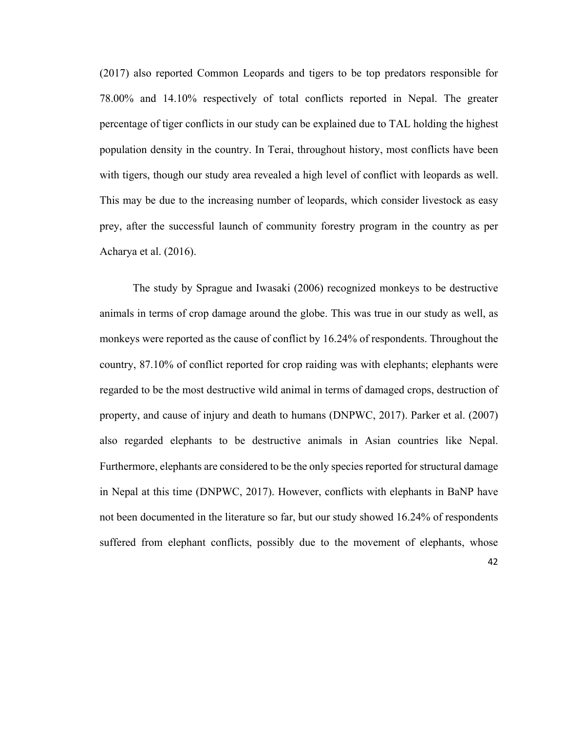(2017) also reported Common Leopards and tigers to be top predators responsible for 78.00% and 14.10% respectively of total conflicts reported in Nepal. The greater percentage of tiger conflicts in our study can be explained due to TAL holding the highest population density in the country. In Terai, throughout history, most conflicts have been with tigers, though our study area revealed a high level of conflict with leopards as well. This may be due to the increasing number of leopards, which consider livestock as easy prey, after the successful launch of community forestry program in the country as per Acharya et al. (2016).

The study by Sprague and Iwasaki (2006) recognized monkeys to be destructive animals in terms of crop damage around the globe. This was true in our study as well, as monkeys were reported as the cause of conflict by 16.24% of respondents. Throughout the country, 87.10% of conflict reported for crop raiding was with elephants; elephants were regarded to be the most destructive wild animal in terms of damaged crops, destruction of property, and cause of injury and death to humans (DNPWC, 2017). Parker et al. (2007) also regarded elephants to be destructive animals in Asian countries like Nepal. Furthermore, elephants are considered to be the only species reported for structural damage in Nepal at this time (DNPWC, 2017). However, conflicts with elephants in BaNP have not been documented in the literature so far, but our study showed 16.24% of respondents suffered from elephant conflicts, possibly due to the movement of elephants, whose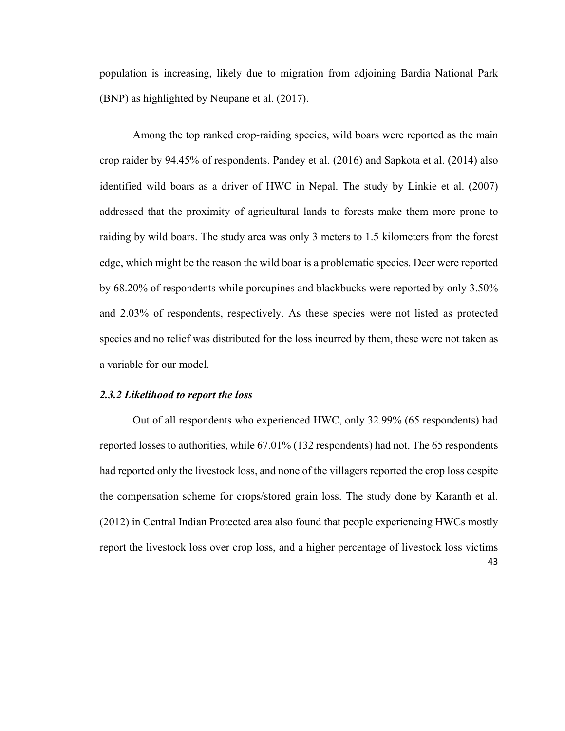population is increasing, likely due to migration from adjoining Bardia National Park (BNP) as highlighted by Neupane et al. (2017).

Among the top ranked crop-raiding species, wild boars were reported as the main crop raider by 94.45% of respondents. Pandey et al. (2016) and Sapkota et al. (2014) also identified wild boars as a driver of HWC in Nepal. The study by Linkie et al. (2007) addressed that the proximity of agricultural lands to forests make them more prone to raiding by wild boars. The study area was only 3 meters to 1.5 kilometers from the forest edge, which might be the reason the wild boar is a problematic species. Deer were reported by 68.20% of respondents while porcupines and blackbucks were reported by only 3.50% and 2.03% of respondents, respectively. As these species were not listed as protected species and no relief was distributed for the loss incurred by them, these were not taken as a variable for our model.

#### *2.3.2 Likelihood to report the loss*

43 Out of all respondents who experienced HWC, only 32.99% (65 respondents) had reported losses to authorities, while 67.01% (132 respondents) had not. The 65 respondents had reported only the livestock loss, and none of the villagers reported the crop loss despite the compensation scheme for crops/stored grain loss. The study done by Karanth et al. (2012) in Central Indian Protected area also found that people experiencing HWCs mostly report the livestock loss over crop loss, and a higher percentage of livestock loss victims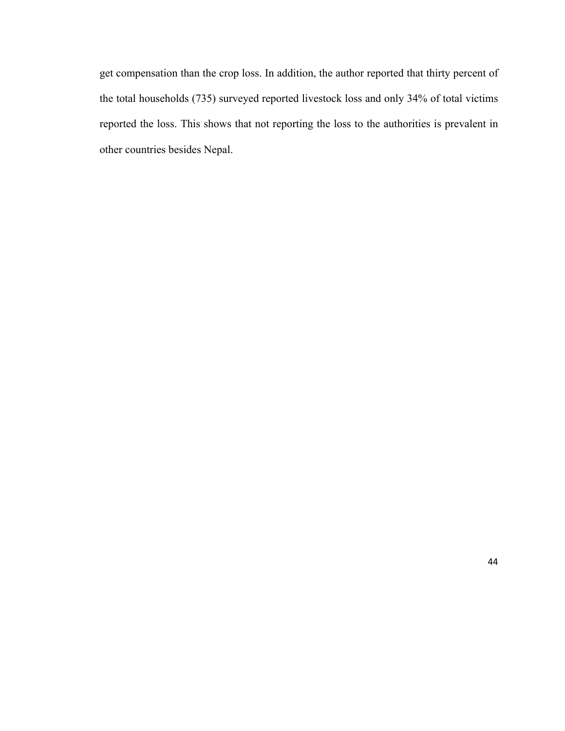get compensation than the crop loss. In addition, the author reported that thirty percent of the total households (735) surveyed reported livestock loss and only 34% of total victims reported the loss. This shows that not reporting the loss to the authorities is prevalent in other countries besides Nepal.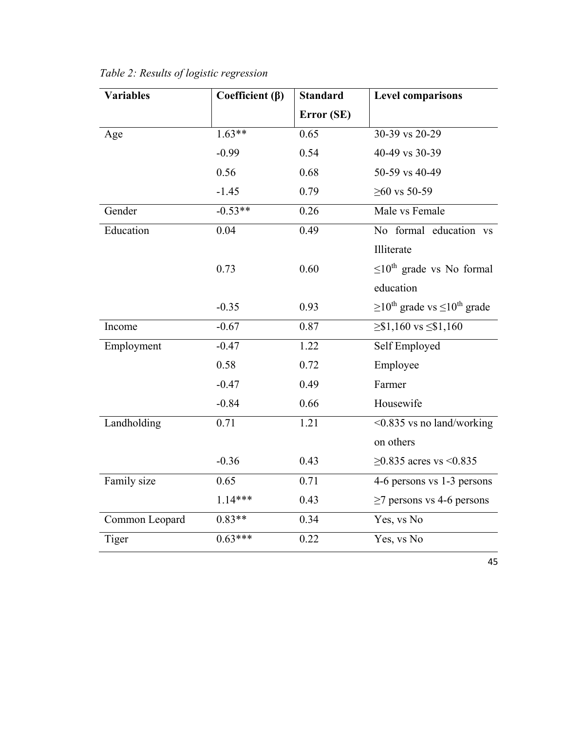| <b>Variables</b> | Coefficient $(\beta)$ | <b>Standard</b> | <b>Level comparisons</b>                                   |
|------------------|-----------------------|-----------------|------------------------------------------------------------|
|                  |                       | Error (SE)      |                                                            |
| Age              | $1.63***$             | 0.65            | 30-39 vs 20-29                                             |
|                  | $-0.99$               | 0.54            | 40-49 vs 30-39                                             |
|                  | 0.56                  | 0.68            | 50-59 vs 40-49                                             |
|                  | $-1.45$               | 0.79            | $≥60$ vs 50-59                                             |
| Gender           | $-0.53**$             | 0.26            | Male vs Female                                             |
| Education        | 0.04                  | 0.49            | No formal education vs                                     |
|                  |                       |                 | Illiterate                                                 |
|                  | 0.73                  | 0.60            | $\leq 10^{th}$ grade vs No formal                          |
|                  |                       |                 | education                                                  |
|                  | $-0.35$               | 0.93            | $\geq 10^{\text{th}}$ grade vs $\leq 10^{\text{th}}$ grade |
| Income           | $-0.67$               | 0.87            | $\geq$ \$1,160 vs $\leq$ \$1,160                           |
| Employment       | $-0.47$               | 1.22            | Self Employed                                              |
|                  | 0.58                  | 0.72            | Employee                                                   |
|                  | $-0.47$               | 0.49            | Farmer                                                     |
|                  | $-0.84$               | 0.66            | Housewife                                                  |
| Landholding      | 0.71                  | 1.21            | <0.835 vs no land/working                                  |
|                  |                       |                 | on others                                                  |
|                  | $-0.36$               | 0.43            | $\geq$ 0.835 acres vs <0.835                               |
| Family size      | 0.65                  | 0.71            | 4-6 persons vs 1-3 persons                                 |
|                  | $1.14***$             | 0.43            | $\geq$ 7 persons vs 4-6 persons                            |
| Common Leopard   | $0.83**$              | 0.34            | Yes, vs No                                                 |
| Tiger            | $0.63***$             | 0.22            | Yes, vs No                                                 |

*Table 2: Results of logistic regression*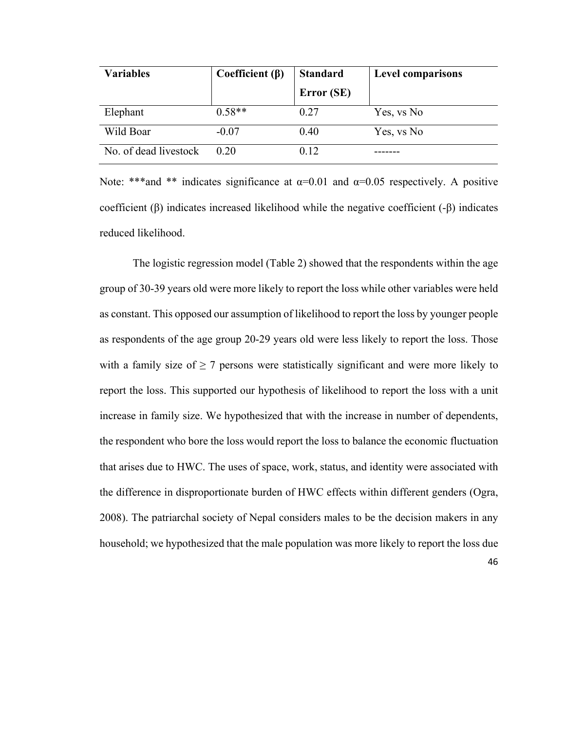| <b>Variables</b>      | Coefficient $(\beta)$ | <b>Standard</b> | <b>Level comparisons</b> |
|-----------------------|-----------------------|-----------------|--------------------------|
|                       |                       | Error (SE)      |                          |
| Elephant              | $0.58**$              | 0.27            | Yes, vs No               |
| Wild Boar             | $-0.07$               | 0.40            | Yes, vs No               |
| No. of dead livestock | 0.20                  | 0.12            |                          |

Note: \*\*\*and \*\* indicates significance at  $\alpha=0.01$  and  $\alpha=0.05$  respectively. A positive coefficient (β) indicates increased likelihood while the negative coefficient (-β) indicates reduced likelihood.

The logistic regression model (Table 2) showed that the respondents within the age group of 30-39 years old were more likely to report the loss while other variables were held as constant. This opposed our assumption of likelihood to report the loss by younger people as respondents of the age group 20-29 years old were less likely to report the loss. Those with a family size of  $\geq 7$  persons were statistically significant and were more likely to report the loss. This supported our hypothesis of likelihood to report the loss with a unit increase in family size. We hypothesized that with the increase in number of dependents, the respondent who bore the loss would report the loss to balance the economic fluctuation that arises due to HWC. The uses of space, work, status, and identity were associated with the difference in disproportionate burden of HWC effects within different genders (Ogra, 2008). The patriarchal society of Nepal considers males to be the decision makers in any household; we hypothesized that the male population was more likely to report the loss due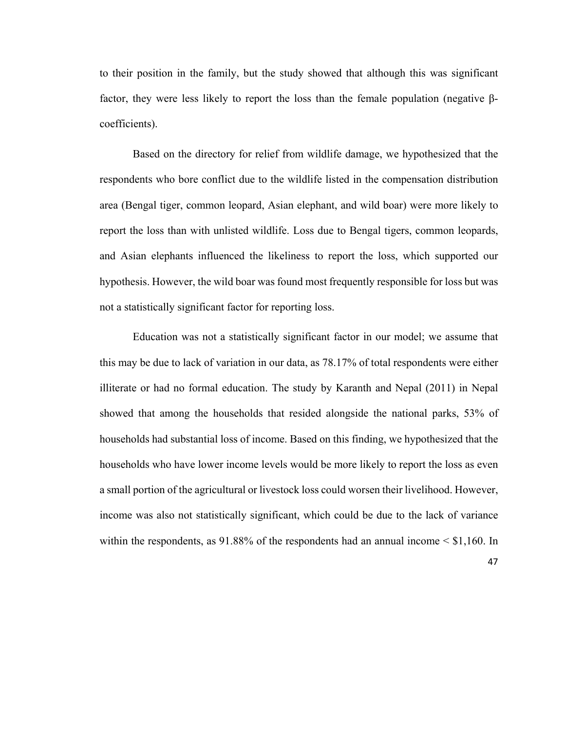to their position in the family, but the study showed that although this was significant factor, they were less likely to report the loss than the female population (negative βcoefficients).

Based on the directory for relief from wildlife damage, we hypothesized that the respondents who bore conflict due to the wildlife listed in the compensation distribution area (Bengal tiger, common leopard, Asian elephant, and wild boar) were more likely to report the loss than with unlisted wildlife. Loss due to Bengal tigers, common leopards, and Asian elephants influenced the likeliness to report the loss, which supported our hypothesis. However, the wild boar was found most frequently responsible for loss but was not a statistically significant factor for reporting loss.

Education was not a statistically significant factor in our model; we assume that this may be due to lack of variation in our data, as 78.17% of total respondents were either illiterate or had no formal education. The study by Karanth and Nepal (2011) in Nepal showed that among the households that resided alongside the national parks, 53% of households had substantial loss of income. Based on this finding, we hypothesized that the households who have lower income levels would be more likely to report the loss as even a small portion of the agricultural or livestock loss could worsen their livelihood. However, income was also not statistically significant, which could be due to the lack of variance within the respondents, as  $91.88\%$  of the respondents had an annual income  $\leq$  \$1,160. In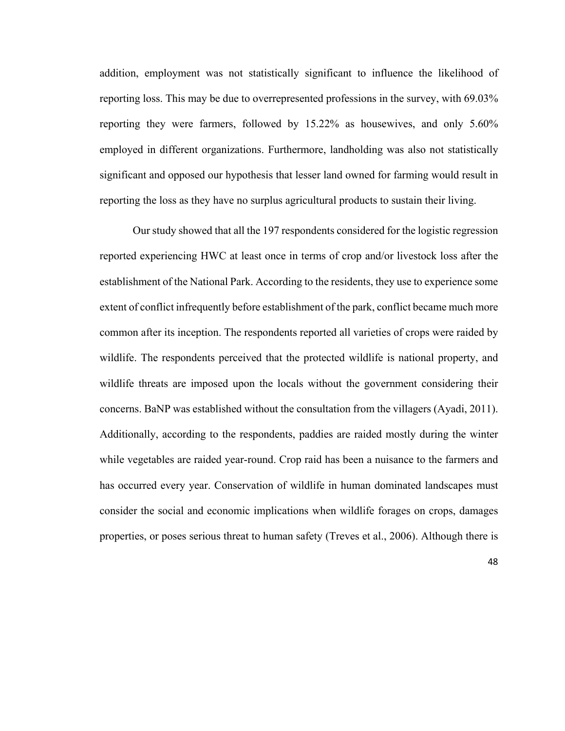addition, employment was not statistically significant to influence the likelihood of reporting loss. This may be due to overrepresented professions in the survey, with 69.03% reporting they were farmers, followed by 15.22% as housewives, and only 5.60% employed in different organizations. Furthermore, landholding was also not statistically significant and opposed our hypothesis that lesser land owned for farming would result in reporting the loss as they have no surplus agricultural products to sustain their living.

Our study showed that all the 197 respondents considered for the logistic regression reported experiencing HWC at least once in terms of crop and/or livestock loss after the establishment of the National Park. According to the residents, they use to experience some extent of conflict infrequently before establishment of the park, conflict became much more common after its inception. The respondents reported all varieties of crops were raided by wildlife. The respondents perceived that the protected wildlife is national property, and wildlife threats are imposed upon the locals without the government considering their concerns. BaNP was established without the consultation from the villagers (Ayadi, 2011). Additionally, according to the respondents, paddies are raided mostly during the winter while vegetables are raided year-round. Crop raid has been a nuisance to the farmers and has occurred every year. Conservation of wildlife in human dominated landscapes must consider the social and economic implications when wildlife forages on crops, damages properties, or poses serious threat to human safety (Treves et al., 2006). Although there is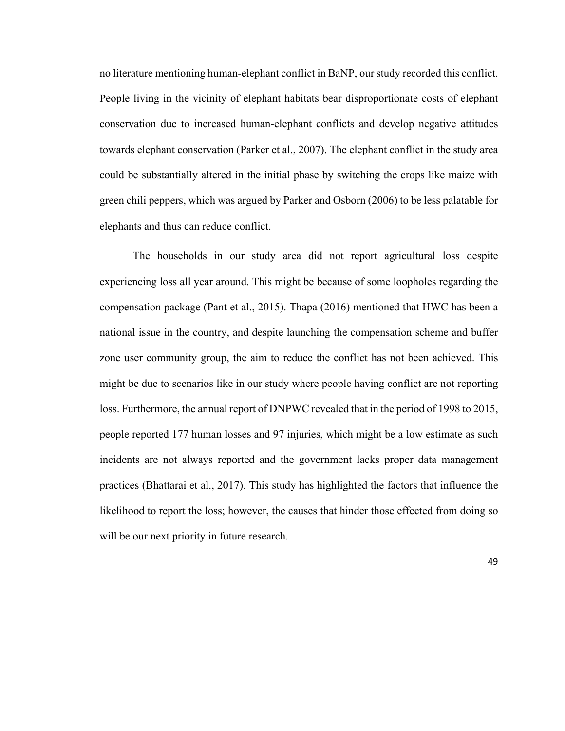no literature mentioning human-elephant conflict in BaNP, our study recorded this conflict. People living in the vicinity of elephant habitats bear disproportionate costs of elephant conservation due to increased human-elephant conflicts and develop negative attitudes towards elephant conservation (Parker et al., 2007). The elephant conflict in the study area could be substantially altered in the initial phase by switching the crops like maize with green chili peppers, which was argued by Parker and Osborn (2006) to be less palatable for elephants and thus can reduce conflict.

The households in our study area did not report agricultural loss despite experiencing loss all year around. This might be because of some loopholes regarding the compensation package (Pant et al., 2015). Thapa (2016) mentioned that HWC has been a national issue in the country, and despite launching the compensation scheme and buffer zone user community group, the aim to reduce the conflict has not been achieved. This might be due to scenarios like in our study where people having conflict are not reporting loss. Furthermore, the annual report of DNPWC revealed that in the period of 1998 to 2015, people reported 177 human losses and 97 injuries, which might be a low estimate as such incidents are not always reported and the government lacks proper data management practices (Bhattarai et al., 2017). This study has highlighted the factors that influence the likelihood to report the loss; however, the causes that hinder those effected from doing so will be our next priority in future research.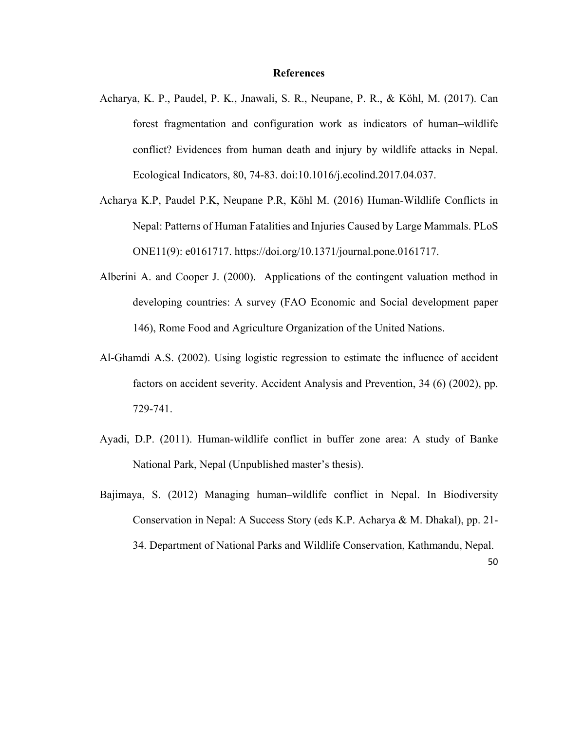# **References**

- Acharya, K. P., Paudel, P. K., Jnawali, S. R., Neupane, P. R., & Köhl, M. (2017). Can forest fragmentation and configuration work as indicators of human–wildlife conflict? Evidences from human death and injury by wildlife attacks in Nepal. Ecological Indicators, 80, 74-83. doi:10.1016/j.ecolind.2017.04.037.
- Acharya K.P, Paudel P.K, Neupane P.R, Köhl M. (2016) Human-Wildlife Conflicts in Nepal: Patterns of Human Fatalities and Injuries Caused by Large Mammals. PLoS ONE11(9): e0161717. https://doi.org/10.1371/journal.pone.0161717.
- Alberini A. and Cooper J. (2000). Applications of the contingent valuation method in developing countries: A survey (FAO Economic and Social development paper 146), Rome Food and Agriculture Organization of the United Nations.
- Al-Ghamdi A.S. (2002). Using logistic regression to estimate the influence of accident factors on accident severity. Accident Analysis and Prevention, 34 (6) (2002), pp. 729-741.
- Ayadi, D.P. (2011). Human-wildlife conflict in buffer zone area: A study of Banke National Park, Nepal (Unpublished master's thesis).
- Bajimaya, S. (2012) Managing human–wildlife conflict in Nepal. In Biodiversity Conservation in Nepal: A Success Story (eds K.P. Acharya & M. Dhakal), pp. 21- 34. Department of National Parks and Wildlife Conservation, Kathmandu, Nepal.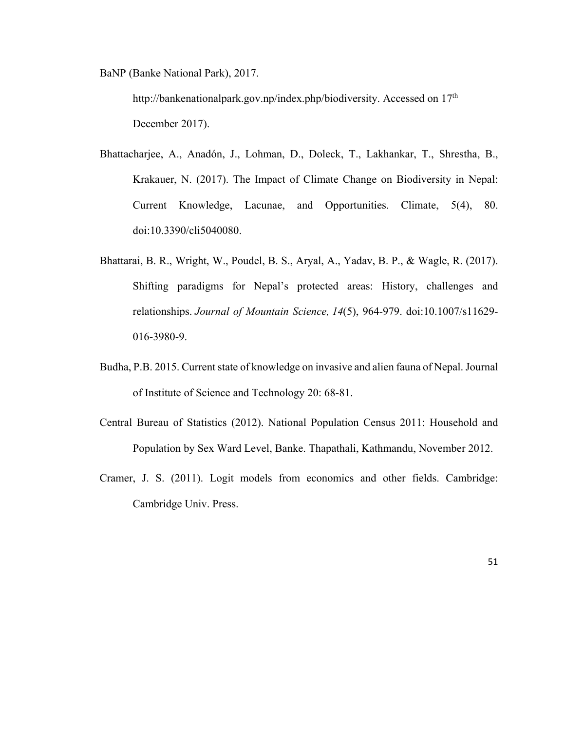BaNP (Banke National Park), 2017.

http://bankenationalpark.gov.np/index.php/biodiversity. Accessed on 17<sup>th</sup> December 2017).

- Bhattacharjee, A., Anadón, J., Lohman, D., Doleck, T., Lakhankar, T., Shrestha, B., Krakauer, N. (2017). The Impact of Climate Change on Biodiversity in Nepal: Current Knowledge, Lacunae, and Opportunities. Climate, 5(4), 80. doi:10.3390/cli5040080.
- Bhattarai, B. R., Wright, W., Poudel, B. S., Aryal, A., Yadav, B. P., & Wagle, R. (2017). Shifting paradigms for Nepal's protected areas: History, challenges and relationships. *Journal of Mountain Science, 14*(5), 964-979. doi:10.1007/s11629- 016-3980-9.
- Budha, P.B. 2015. Current state of knowledge on invasive and alien fauna of Nepal. Journal of Institute of Science and Technology 20: 68-81.
- Central Bureau of Statistics (2012). National Population Census 2011: Household and Population by Sex Ward Level, Banke. Thapathali, Kathmandu, November 2012.
- Cramer, J. S. (2011). Logit models from economics and other fields. Cambridge: Cambridge Univ. Press.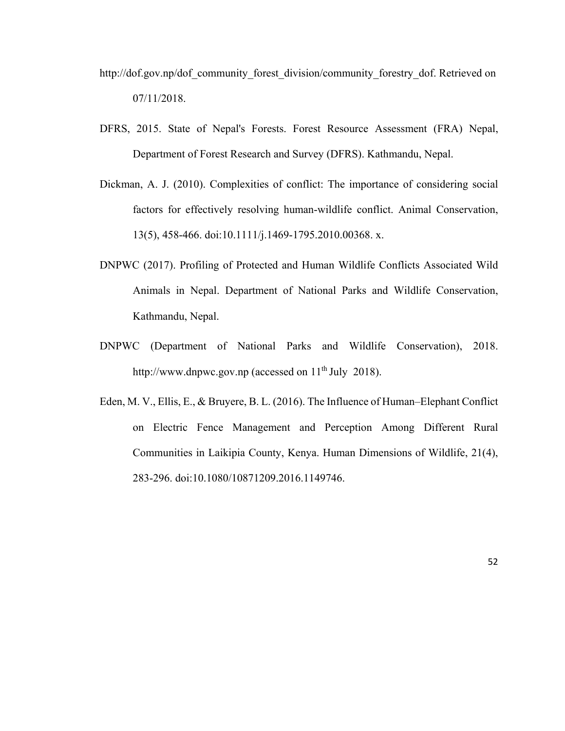- http://dof.gov.np/dof\_community\_forest\_division/community\_forestry\_dof. Retrieved on 07/11/2018.
- DFRS, 2015. State of Nepal's Forests. Forest Resource Assessment (FRA) Nepal, Department of Forest Research and Survey (DFRS). Kathmandu, Nepal.
- Dickman, A. J. (2010). Complexities of conflict: The importance of considering social factors for effectively resolving human-wildlife conflict. Animal Conservation, 13(5), 458-466. doi:10.1111/j.1469-1795.2010.00368. x.
- DNPWC (2017). Profiling of Protected and Human Wildlife Conflicts Associated Wild Animals in Nepal. Department of National Parks and Wildlife Conservation, Kathmandu, Nepal.
- DNPWC (Department of National Parks and Wildlife Conservation), 2018. http://www.dnpwc.gov.np (accessed on  $11<sup>th</sup>$  July 2018).
- Eden, M. V., Ellis, E., & Bruyere, B. L. (2016). The Influence of Human–Elephant Conflict on Electric Fence Management and Perception Among Different Rural Communities in Laikipia County, Kenya. Human Dimensions of Wildlife, 21(4), 283-296. doi:10.1080/10871209.2016.1149746.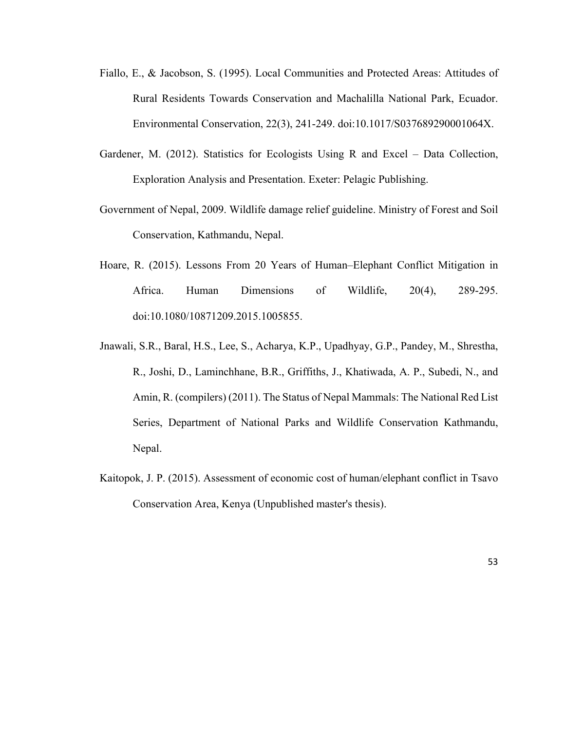- Fiallo, E., & Jacobson, S. (1995). Local Communities and Protected Areas: Attitudes of Rural Residents Towards Conservation and Machalilla National Park, Ecuador. Environmental Conservation, 22(3), 241-249. doi:10.1017/S037689290001064X.
- Gardener, M. (2012). Statistics for Ecologists Using R and Excel Data Collection, Exploration Analysis and Presentation. Exeter: Pelagic Publishing.
- Government of Nepal, 2009. Wildlife damage relief guideline. Ministry of Forest and Soil Conservation, Kathmandu, Nepal.
- Hoare, R. (2015). Lessons From 20 Years of Human–Elephant Conflict Mitigation in Africa. Human Dimensions of Wildlife, 20(4), 289-295. doi:10.1080/10871209.2015.1005855.
- Jnawali, S.R., Baral, H.S., Lee, S., Acharya, K.P., Upadhyay, G.P., Pandey, M., Shrestha, R., Joshi, D., Laminchhane, B.R., Griffiths, J., Khatiwada, A. P., Subedi, N., and Amin, R. (compilers) (2011). The Status of Nepal Mammals: The National Red List Series, Department of National Parks and Wildlife Conservation Kathmandu, Nepal.
- Kaitopok, J. P. (2015). Assessment of economic cost of human/elephant conflict in Tsavo Conservation Area, Kenya (Unpublished master's thesis).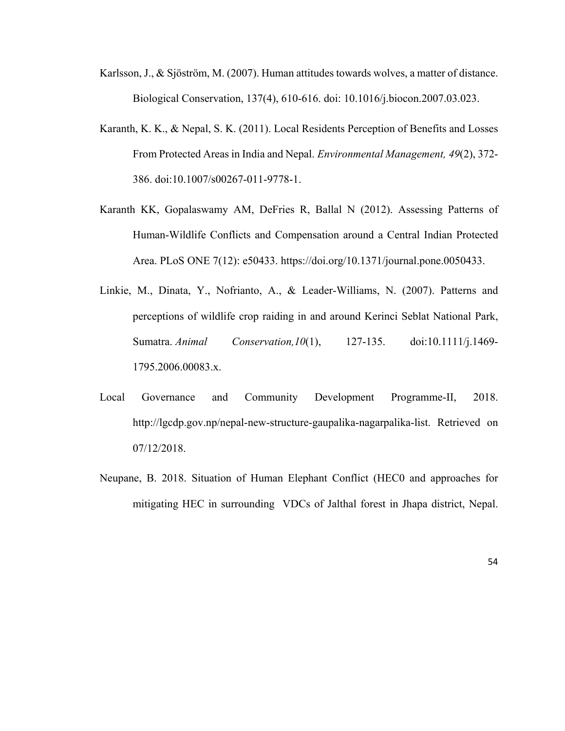- Karlsson, J., & Sjöström, M. (2007). Human attitudes towards wolves, a matter of distance. Biological Conservation, 137(4), 610-616. doi: 10.1016/j.biocon.2007.03.023.
- Karanth, K. K., & Nepal, S. K. (2011). Local Residents Perception of Benefits and Losses From Protected Areas in India and Nepal. *Environmental Management, 49*(2), 372- 386. doi:10.1007/s00267-011-9778-1.
- Karanth KK, Gopalaswamy AM, DeFries R, Ballal N (2012). Assessing Patterns of Human-Wildlife Conflicts and Compensation around a Central Indian Protected Area. PLoS ONE 7(12): e50433. https://doi.org/10.1371/journal.pone.0050433.
- Linkie, M., Dinata, Y., Nofrianto, A., & Leader-Williams, N. (2007). Patterns and perceptions of wildlife crop raiding in and around Kerinci Seblat National Park, Sumatra. *Animal Conservation,10*(1), 127-135. doi:10.1111/j.1469- 1795.2006.00083.x.
- Local Governance and Community Development Programme-II, 2018. http://lgcdp.gov.np/nepal-new-structure-gaupalika-nagarpalika-list. Retrieved on 07/12/2018.
- Neupane, B. 2018. Situation of Human Elephant Conflict (HEC0 and approaches for mitigating HEC in surrounding VDCs of Jalthal forest in Jhapa district, Nepal.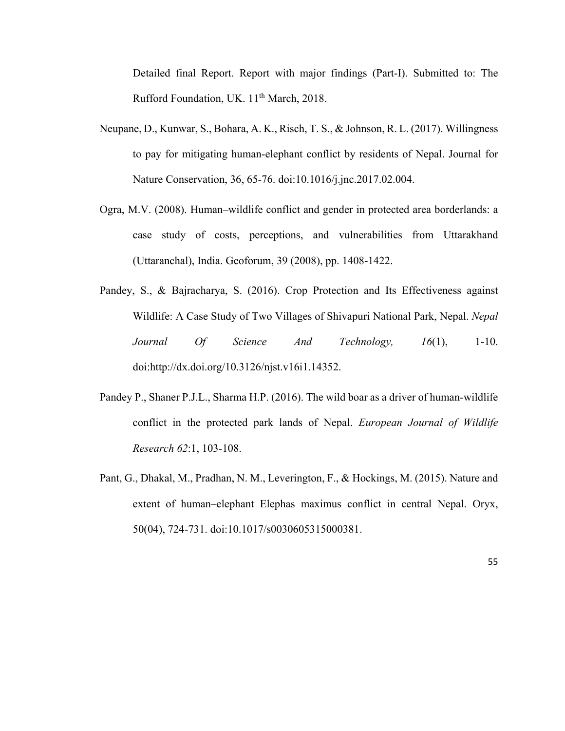Detailed final Report. Report with major findings (Part-I). Submitted to: The Rufford Foundation, UK. 11<sup>th</sup> March, 2018.

- Neupane, D., Kunwar, S., Bohara, A. K., Risch, T. S., & Johnson, R. L. (2017). Willingness to pay for mitigating human-elephant conflict by residents of Nepal. Journal for Nature Conservation, 36, 65-76. doi:10.1016/j.jnc.2017.02.004.
- Ogra, M.V. (2008). Human–wildlife conflict and gender in protected area borderlands: a case study of costs, perceptions, and vulnerabilities from Uttarakhand (Uttaranchal), India. Geoforum, 39 (2008), pp. 1408-1422.
- Pandey, S., & Bajracharya, S. (2016). Crop Protection and Its Effectiveness against Wildlife: A Case Study of Two Villages of Shivapuri National Park, Nepal. *Nepal Journal Of Science And Technology, 16*(1), 1-10. doi:http://dx.doi.org/10.3126/njst.v16i1.14352.
- Pandey P., Shaner P.J.L., Sharma H.P. (2016). The wild boar as a driver of human-wildlife conflict in the protected park lands of Nepal. *European Journal of Wildlife Research 62*:1, 103-108.
- Pant, G., Dhakal, M., Pradhan, N. M., Leverington, F., & Hockings, M. (2015). Nature and extent of human–elephant Elephas maximus conflict in central Nepal. Oryx, 50(04), 724-731. doi:10.1017/s0030605315000381.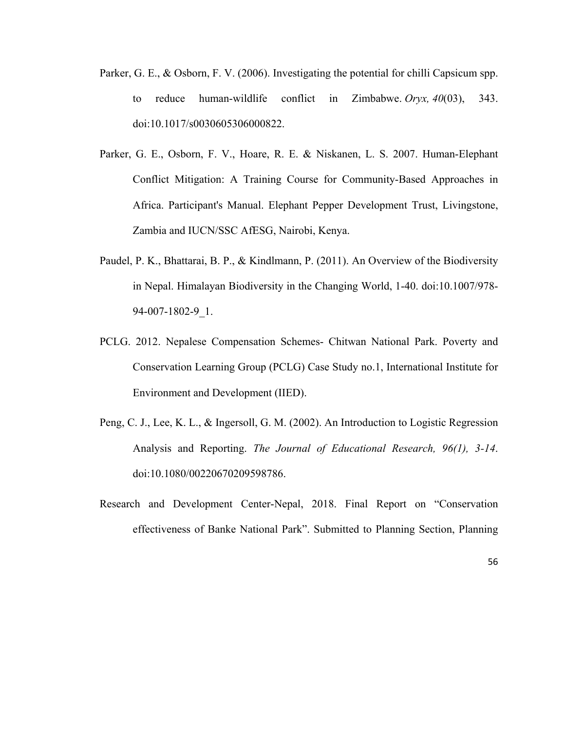- Parker, G. E., & Osborn, F. V. (2006). Investigating the potential for chilli Capsicum spp. to reduce human-wildlife conflict in Zimbabwe. *Oryx, 40*(03), 343. doi:10.1017/s0030605306000822.
- Parker, G. E., Osborn, F. V., Hoare, R. E. & Niskanen, L. S. 2007. Human-Elephant Conflict Mitigation: A Training Course for Community-Based Approaches in Africa. Participant's Manual. Elephant Pepper Development Trust, Livingstone, Zambia and IUCN/SSC AfESG, Nairobi, Kenya.
- Paudel, P. K., Bhattarai, B. P., & Kindlmann, P. (2011). An Overview of the Biodiversity in Nepal. Himalayan Biodiversity in the Changing World, 1-40. doi:10.1007/978- 94-007-1802-9\_1.
- PCLG. 2012. Nepalese Compensation Schemes- Chitwan National Park. Poverty and Conservation Learning Group (PCLG) Case Study no.1, International Institute for Environment and Development (IIED).
- Peng, C. J., Lee, K. L., & Ingersoll, G. M. (2002). An Introduction to Logistic Regression Analysis and Reporting. *The Journal of Educational Research, 96(1), 3-14*. doi:10.1080/00220670209598786.
- Research and Development Center-Nepal, 2018. Final Report on "Conservation effectiveness of Banke National Park". Submitted to Planning Section, Planning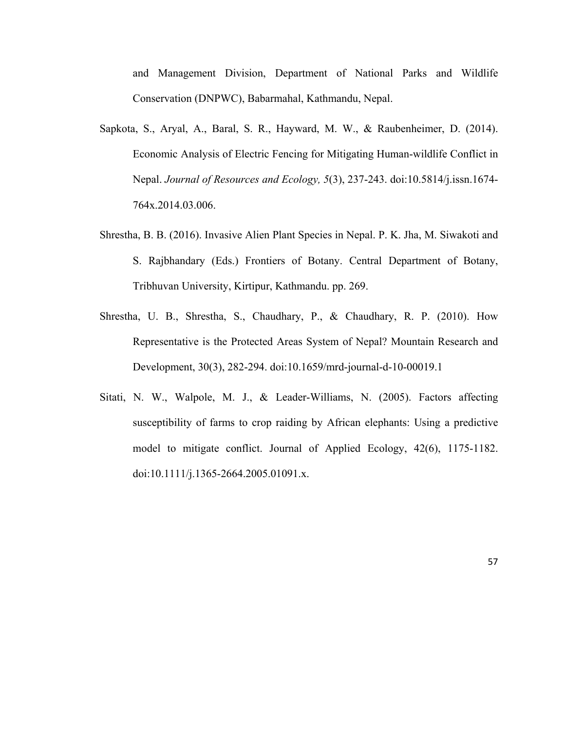and Management Division, Department of National Parks and Wildlife Conservation (DNPWC), Babarmahal, Kathmandu, Nepal.

- Sapkota, S., Aryal, A., Baral, S. R., Hayward, M. W., & Raubenheimer, D. (2014). Economic Analysis of Electric Fencing for Mitigating Human-wildlife Conflict in Nepal. *Journal of Resources and Ecology, 5*(3), 237-243. doi:10.5814/j.issn.1674- 764x.2014.03.006.
- Shrestha, B. B. (2016). Invasive Alien Plant Species in Nepal. P. K. Jha, M. Siwakoti and S. Rajbhandary (Eds.) Frontiers of Botany. Central Department of Botany, Tribhuvan University, Kirtipur, Kathmandu. pp. 269.
- Shrestha, U. B., Shrestha, S., Chaudhary, P., & Chaudhary, R. P. (2010). How Representative is the Protected Areas System of Nepal? Mountain Research and Development, 30(3), 282-294. doi:10.1659/mrd-journal-d-10-00019.1
- Sitati, N. W., Walpole, M. J., & Leader-Williams, N. (2005). Factors affecting susceptibility of farms to crop raiding by African elephants: Using a predictive model to mitigate conflict. Journal of Applied Ecology, 42(6), 1175-1182. doi:10.1111/j.1365-2664.2005.01091.x.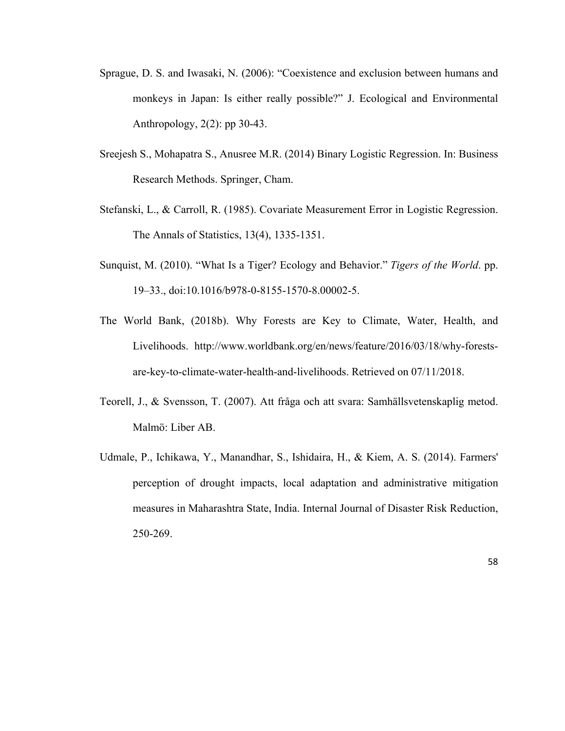- Sprague, D. S. and Iwasaki, N. (2006): "Coexistence and exclusion between humans and monkeys in Japan: Is either really possible?" J. Ecological and Environmental Anthropology, 2(2): pp 30-43.
- Sreejesh S., Mohapatra S., Anusree M.R. (2014) Binary Logistic Regression. In: Business Research Methods. Springer, Cham.
- Stefanski, L., & Carroll, R. (1985). Covariate Measurement Error in Logistic Regression. The Annals of Statistics, 13(4), 1335-1351.
- Sunquist, M. (2010). "What Is a Tiger? Ecology and Behavior." *Tigers of the World*. pp. 19–33., doi:10.1016/b978-0-8155-1570-8.00002-5.
- The World Bank, (2018b). Why Forests are Key to Climate, Water, Health, and Livelihoods. http://www.worldbank.org/en/news/feature/2016/03/18/why-forestsare-key-to-climate-water-health-and-livelihoods. Retrieved on 07/11/2018.
- Teorell, J., & Svensson, T. (2007). Att fråga och att svara: Samhällsvetenskaplig metod. Malmö: Liber AB.
- Udmale, P., Ichikawa, Y., Manandhar, S., Ishidaira, H., & Kiem, A. S. (2014). Farmers' perception of drought impacts, local adaptation and administrative mitigation measures in Maharashtra State, India. Internal Journal of Disaster Risk Reduction, 250-269.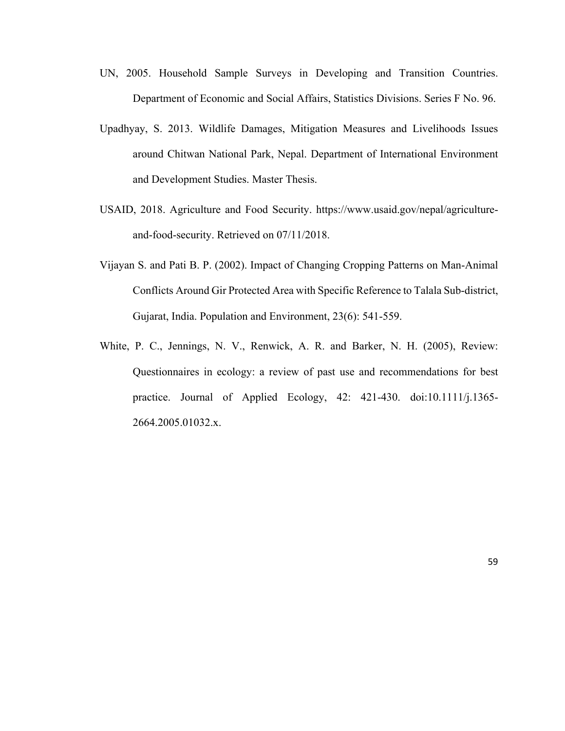- UN, 2005. Household Sample Surveys in Developing and Transition Countries. Department of Economic and Social Affairs, Statistics Divisions. Series F No. 96.
- Upadhyay, S. 2013. Wildlife Damages, Mitigation Measures and Livelihoods Issues around Chitwan National Park, Nepal. Department of International Environment and Development Studies. Master Thesis.
- USAID, 2018. Agriculture and Food Security. https://www.usaid.gov/nepal/agricultureand-food-security. Retrieved on 07/11/2018.
- Vijayan S. and Pati B. P. (2002). Impact of Changing Cropping Patterns on Man-Animal Conflicts Around Gir Protected Area with Specific Reference to Talala Sub-district, Gujarat, India. Population and Environment, 23(6): 541-559.
- White, P. C., Jennings, N. V., Renwick, A. R. and Barker, N. H. (2005), Review: Questionnaires in ecology: a review of past use and recommendations for best practice. Journal of Applied Ecology, 42: 421-430. doi:10.1111/j.1365- 2664.2005.01032.x.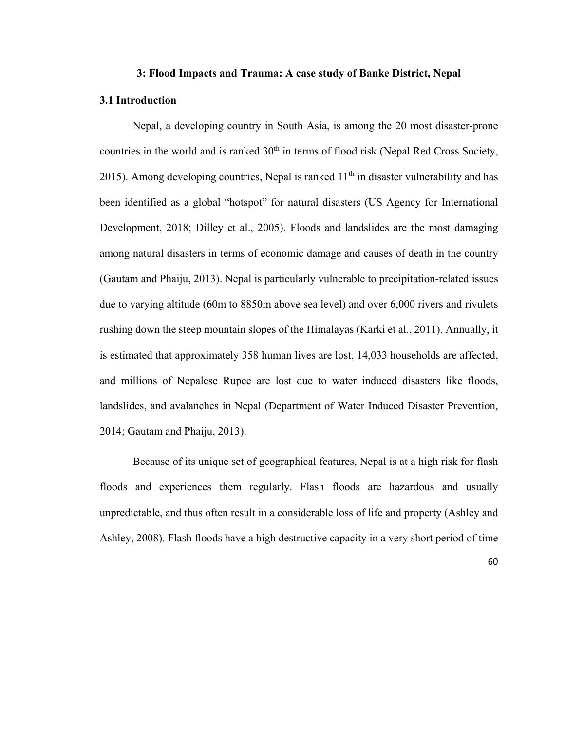#### **3: Flood Impacts and Trauma: A case study of Banke District, Nepal**

### **3.1 Introduction**

Nepal, a developing country in South Asia, is among the 20 most disaster-prone countries in the world and is ranked 30<sup>th</sup> in terms of flood risk (Nepal Red Cross Society, 2015). Among developing countries, Nepal is ranked  $11<sup>th</sup>$  in disaster vulnerability and has been identified as a global "hotspot" for natural disasters (US Agency for International Development, 2018; Dilley et al., 2005). Floods and landslides are the most damaging among natural disasters in terms of economic damage and causes of death in the country (Gautam and Phaiju, 2013). Nepal is particularly vulnerable to precipitation-related issues due to varying altitude (60m to 8850m above sea level) and over 6,000 rivers and rivulets rushing down the steep mountain slopes of the Himalayas (Karki et al., 2011). Annually, it is estimated that approximately 358 human lives are lost, 14,033 households are affected, and millions of Nepalese Rupee are lost due to water induced disasters like floods, landslides, and avalanches in Nepal (Department of Water Induced Disaster Prevention, 2014; Gautam and Phaiju, 2013).

Because of its unique set of geographical features, Nepal is at a high risk for flash floods and experiences them regularly. Flash floods are hazardous and usually unpredictable, and thus often result in a considerable loss of life and property (Ashley and Ashley, 2008). Flash floods have a high destructive capacity in a very short period of time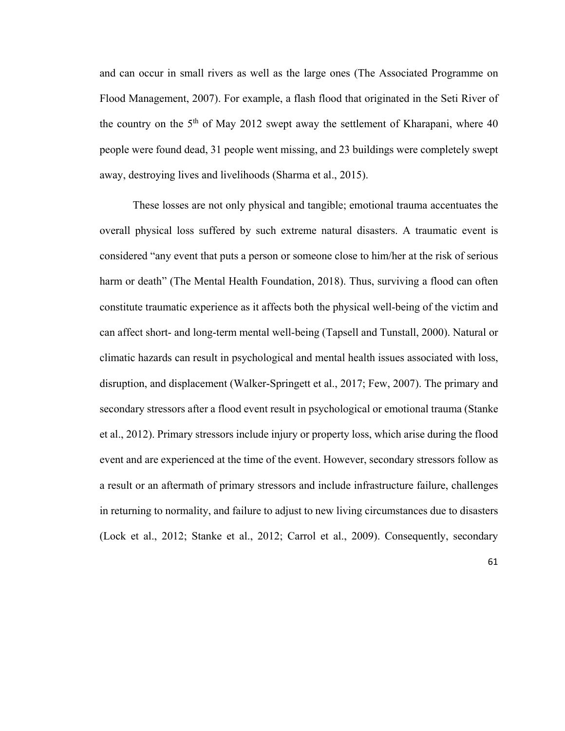and can occur in small rivers as well as the large ones (The Associated Programme on Flood Management, 2007). For example, a flash flood that originated in the Seti River of the country on the  $5<sup>th</sup>$  of May 2012 swept away the settlement of Kharapani, where 40 people were found dead, 31 people went missing, and 23 buildings were completely swept away, destroying lives and livelihoods (Sharma et al., 2015).

These losses are not only physical and tangible; emotional trauma accentuates the overall physical loss suffered by such extreme natural disasters. A traumatic event is considered "any event that puts a person or someone close to him/her at the risk of serious harm or death" (The Mental Health Foundation, 2018). Thus, surviving a flood can often constitute traumatic experience as it affects both the physical well-being of the victim and can affect short- and long-term mental well-being (Tapsell and Tunstall, 2000). Natural or climatic hazards can result in psychological and mental health issues associated with loss, disruption, and displacement (Walker-Springett et al., 2017; Few, 2007). The primary and secondary stressors after a flood event result in psychological or emotional trauma (Stanke et al., 2012). Primary stressors include injury or property loss, which arise during the flood event and are experienced at the time of the event. However, secondary stressors follow as a result or an aftermath of primary stressors and include infrastructure failure, challenges in returning to normality, and failure to adjust to new living circumstances due to disasters (Lock et al., 2012; Stanke et al., 2012; Carrol et al., 2009). Consequently, secondary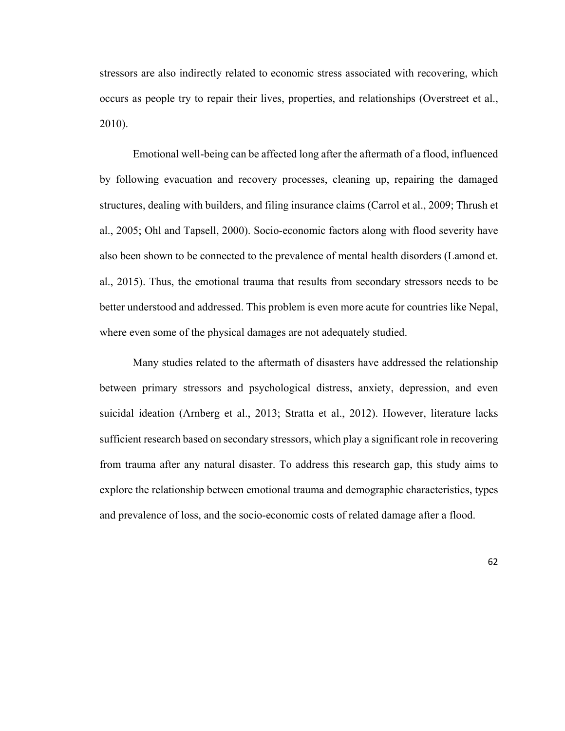stressors are also indirectly related to economic stress associated with recovering, which occurs as people try to repair their lives, properties, and relationships (Overstreet et al., 2010).

Emotional well-being can be affected long after the aftermath of a flood, influenced by following evacuation and recovery processes, cleaning up, repairing the damaged structures, dealing with builders, and filing insurance claims (Carrol et al., 2009; Thrush et al., 2005; Ohl and Tapsell, 2000). Socio-economic factors along with flood severity have also been shown to be connected to the prevalence of mental health disorders (Lamond et. al., 2015). Thus, the emotional trauma that results from secondary stressors needs to be better understood and addressed. This problem is even more acute for countries like Nepal, where even some of the physical damages are not adequately studied.

Many studies related to the aftermath of disasters have addressed the relationship between primary stressors and psychological distress, anxiety, depression, and even suicidal ideation (Arnberg et al., 2013; Stratta et al., 2012). However, literature lacks sufficient research based on secondary stressors, which play a significant role in recovering from trauma after any natural disaster. To address this research gap, this study aims to explore the relationship between emotional trauma and demographic characteristics, types and prevalence of loss, and the socio-economic costs of related damage after a flood.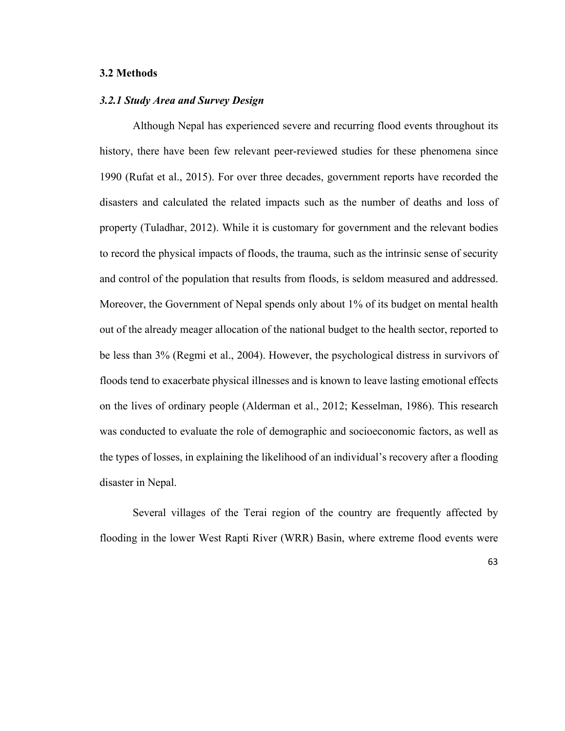# **3.2 Methods**

#### *3.2.1 Study Area and Survey Design*

Although Nepal has experienced severe and recurring flood events throughout its history, there have been few relevant peer-reviewed studies for these phenomena since 1990 (Rufat et al., 2015). For over three decades, government reports have recorded the disasters and calculated the related impacts such as the number of deaths and loss of property (Tuladhar, 2012). While it is customary for government and the relevant bodies to record the physical impacts of floods, the trauma, such as the intrinsic sense of security and control of the population that results from floods, is seldom measured and addressed. Moreover, the Government of Nepal spends only about 1% of its budget on mental health out of the already meager allocation of the national budget to the health sector, reported to be less than 3% (Regmi et al., 2004). However, the psychological distress in survivors of floods tend to exacerbate physical illnesses and is known to leave lasting emotional effects on the lives of ordinary people (Alderman et al., 2012; Kesselman, 1986). This research was conducted to evaluate the role of demographic and socioeconomic factors, as well as the types of losses, in explaining the likelihood of an individual's recovery after a flooding disaster in Nepal.

Several villages of the Terai region of the country are frequently affected by flooding in the lower West Rapti River (WRR) Basin, where extreme flood events were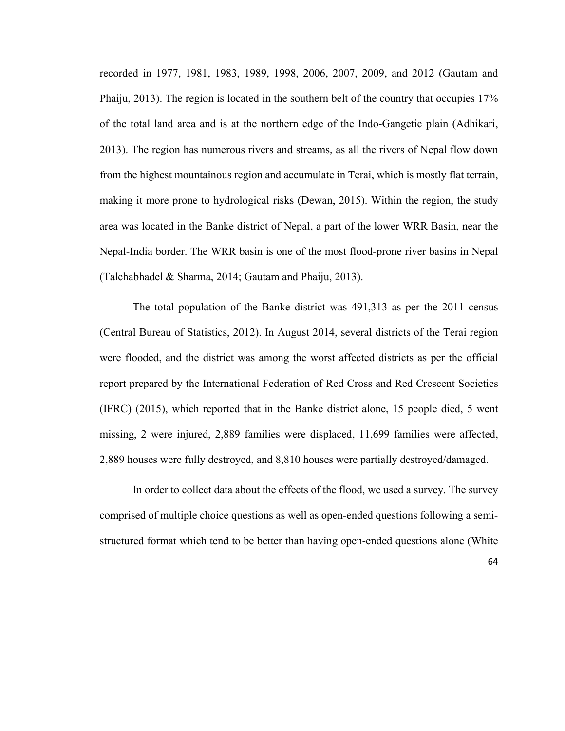recorded in 1977, 1981, 1983, 1989, 1998, 2006, 2007, 2009, and 2012 (Gautam and Phaiju, 2013). The region is located in the southern belt of the country that occupies 17% of the total land area and is at the northern edge of the Indo-Gangetic plain (Adhikari, 2013). The region has numerous rivers and streams, as all the rivers of Nepal flow down from the highest mountainous region and accumulate in Terai, which is mostly flat terrain, making it more prone to hydrological risks (Dewan, 2015). Within the region, the study area was located in the Banke district of Nepal, a part of the lower WRR Basin, near the Nepal-India border. The WRR basin is one of the most flood-prone river basins in Nepal (Talchabhadel & Sharma, 2014; Gautam and Phaiju, 2013).

The total population of the Banke district was 491,313 as per the 2011 census (Central Bureau of Statistics, 2012). In August 2014, several districts of the Terai region were flooded, and the district was among the worst affected districts as per the official report prepared by the International Federation of Red Cross and Red Crescent Societies (IFRC) (2015), which reported that in the Banke district alone, 15 people died, 5 went missing, 2 were injured, 2,889 families were displaced, 11,699 families were affected, 2,889 houses were fully destroyed, and 8,810 houses were partially destroyed/damaged.

In order to collect data about the effects of the flood, we used a survey. The survey comprised of multiple choice questions as well as open-ended questions following a semistructured format which tend to be better than having open-ended questions alone (White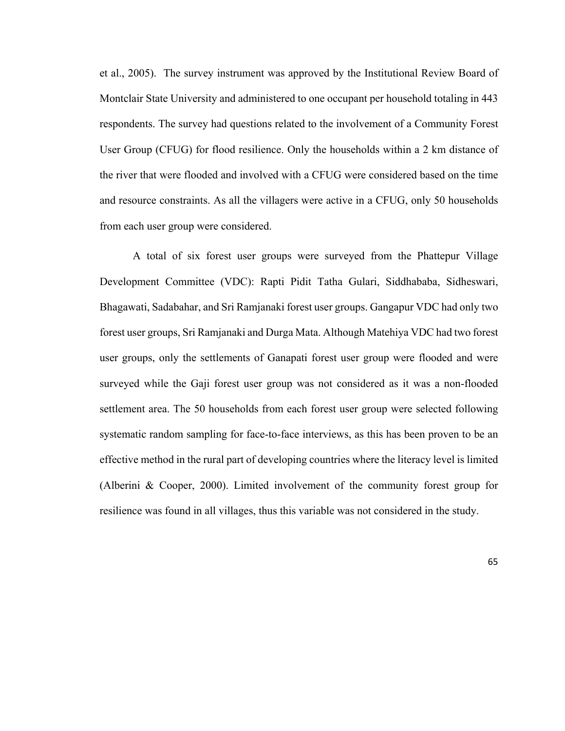et al., 2005). The survey instrument was approved by the Institutional Review Board of Montclair State University and administered to one occupant per household totaling in 443 respondents. The survey had questions related to the involvement of a Community Forest User Group (CFUG) for flood resilience. Only the households within a 2 km distance of the river that were flooded and involved with a CFUG were considered based on the time and resource constraints. As all the villagers were active in a CFUG, only 50 households from each user group were considered.

A total of six forest user groups were surveyed from the Phattepur Village Development Committee (VDC): Rapti Pidit Tatha Gulari, Siddhababa, Sidheswari, Bhagawati, Sadabahar, and Sri Ramjanaki forest user groups. Gangapur VDC had only two forest user groups, Sri Ramjanaki and Durga Mata. Although Matehiya VDC had two forest user groups, only the settlements of Ganapati forest user group were flooded and were surveyed while the Gaji forest user group was not considered as it was a non-flooded settlement area. The 50 households from each forest user group were selected following systematic random sampling for face-to-face interviews, as this has been proven to be an effective method in the rural part of developing countries where the literacy level is limited (Alberini & Cooper, 2000). Limited involvement of the community forest group for resilience was found in all villages, thus this variable was not considered in the study.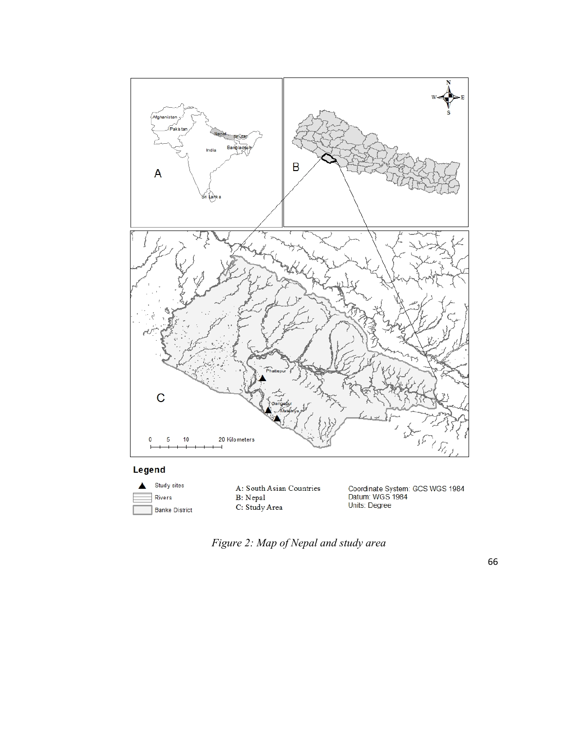

# Legend



A: South Asian Countries<br>B: Nepal<br>C: Study Area

Coordinate System: GCS WGS 1984<br>Datum: WGS 1984<br>Units: Degree

*Figure 2: Map of Nepal and study area*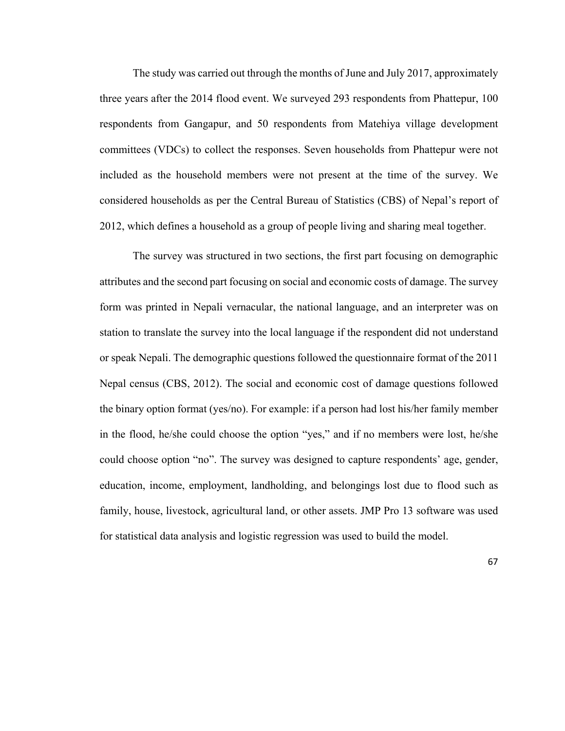The study was carried out through the months of June and July 2017, approximately three years after the 2014 flood event. We surveyed 293 respondents from Phattepur, 100 respondents from Gangapur, and 50 respondents from Matehiya village development committees (VDCs) to collect the responses. Seven households from Phattepur were not included as the household members were not present at the time of the survey. We considered households as per the Central Bureau of Statistics (CBS) of Nepal's report of 2012, which defines a household as a group of people living and sharing meal together.

The survey was structured in two sections, the first part focusing on demographic attributes and the second part focusing on social and economic costs of damage. The survey form was printed in Nepali vernacular, the national language, and an interpreter was on station to translate the survey into the local language if the respondent did not understand or speak Nepali. The demographic questions followed the questionnaire format of the 2011 Nepal census (CBS, 2012). The social and economic cost of damage questions followed the binary option format (yes/no). For example: if a person had lost his/her family member in the flood, he/she could choose the option "yes," and if no members were lost, he/she could choose option "no". The survey was designed to capture respondents' age, gender, education, income, employment, landholding, and belongings lost due to flood such as family, house, livestock, agricultural land, or other assets. JMP Pro 13 software was used for statistical data analysis and logistic regression was used to build the model.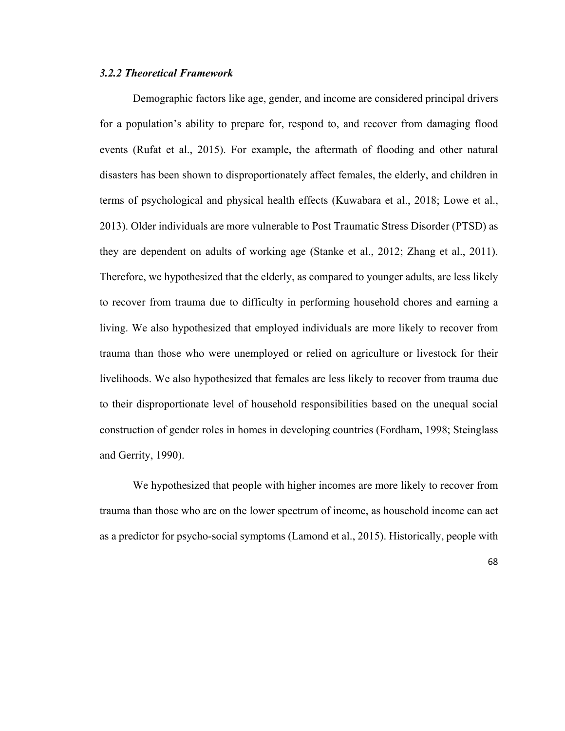# *3.2.2 Theoretical Framework*

Demographic factors like age, gender, and income are considered principal drivers for a population's ability to prepare for, respond to, and recover from damaging flood events (Rufat et al., 2015). For example, the aftermath of flooding and other natural disasters has been shown to disproportionately affect females, the elderly, and children in terms of psychological and physical health effects (Kuwabara et al., 2018; Lowe et al., 2013). Older individuals are more vulnerable to Post Traumatic Stress Disorder (PTSD) as they are dependent on adults of working age (Stanke et al., 2012; Zhang et al., 2011). Therefore, we hypothesized that the elderly, as compared to younger adults, are less likely to recover from trauma due to difficulty in performing household chores and earning a living. We also hypothesized that employed individuals are more likely to recover from trauma than those who were unemployed or relied on agriculture or livestock for their livelihoods. We also hypothesized that females are less likely to recover from trauma due to their disproportionate level of household responsibilities based on the unequal social construction of gender roles in homes in developing countries (Fordham, 1998; Steinglass and Gerrity, 1990).

We hypothesized that people with higher incomes are more likely to recover from trauma than those who are on the lower spectrum of income, as household income can act as a predictor for psycho-social symptoms (Lamond et al., 2015). Historically, people with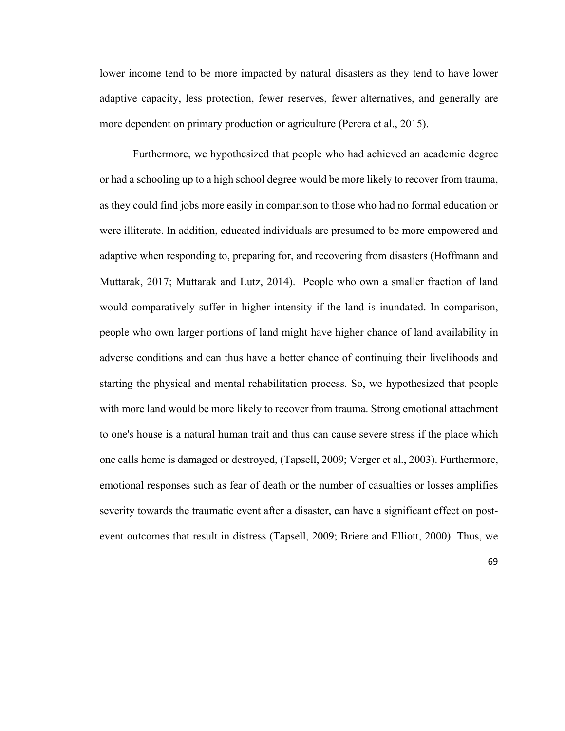lower income tend to be more impacted by natural disasters as they tend to have lower adaptive capacity, less protection, fewer reserves, fewer alternatives, and generally are more dependent on primary production or agriculture (Perera et al., 2015).

Furthermore, we hypothesized that people who had achieved an academic degree or had a schooling up to a high school degree would be more likely to recover from trauma, as they could find jobs more easily in comparison to those who had no formal education or were illiterate. In addition, educated individuals are presumed to be more empowered and adaptive when responding to, preparing for, and recovering from disasters (Hoffmann and Muttarak, 2017; Muttarak and Lutz, 2014). People who own a smaller fraction of land would comparatively suffer in higher intensity if the land is inundated. In comparison, people who own larger portions of land might have higher chance of land availability in adverse conditions and can thus have a better chance of continuing their livelihoods and starting the physical and mental rehabilitation process. So, we hypothesized that people with more land would be more likely to recover from trauma. Strong emotional attachment to one's house is a natural human trait and thus can cause severe stress if the place which one calls home is damaged or destroyed, (Tapsell, 2009; Verger et al., 2003). Furthermore, emotional responses such as fear of death or the number of casualties or losses amplifies severity towards the traumatic event after a disaster, can have a significant effect on postevent outcomes that result in distress (Tapsell, 2009; Briere and Elliott, 2000). Thus, we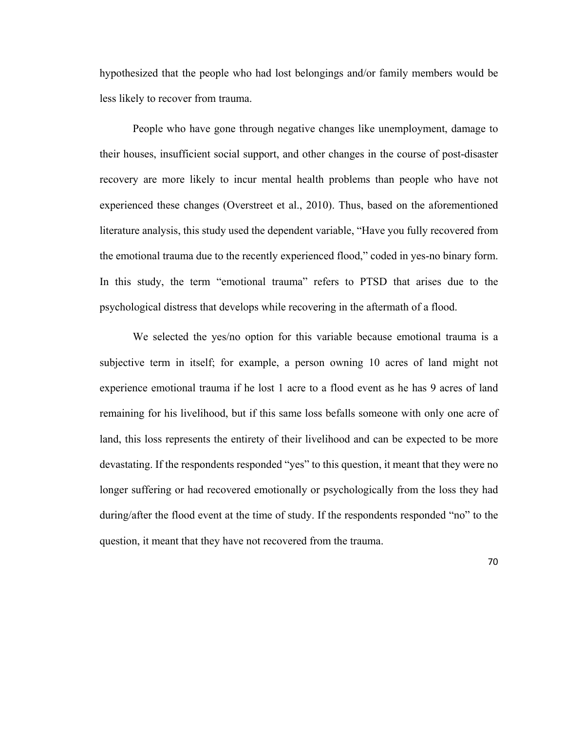hypothesized that the people who had lost belongings and/or family members would be less likely to recover from trauma.

People who have gone through negative changes like unemployment, damage to their houses, insufficient social support, and other changes in the course of post-disaster recovery are more likely to incur mental health problems than people who have not experienced these changes (Overstreet et al., 2010). Thus, based on the aforementioned literature analysis, this study used the dependent variable, "Have you fully recovered from the emotional trauma due to the recently experienced flood," coded in yes-no binary form. In this study, the term "emotional trauma" refers to PTSD that arises due to the psychological distress that develops while recovering in the aftermath of a flood.

We selected the yes/no option for this variable because emotional trauma is a subjective term in itself; for example, a person owning 10 acres of land might not experience emotional trauma if he lost 1 acre to a flood event as he has 9 acres of land remaining for his livelihood, but if this same loss befalls someone with only one acre of land, this loss represents the entirety of their livelihood and can be expected to be more devastating. If the respondents responded "yes" to this question, it meant that they were no longer suffering or had recovered emotionally or psychologically from the loss they had during/after the flood event at the time of study. If the respondents responded "no" to the question, it meant that they have not recovered from the trauma.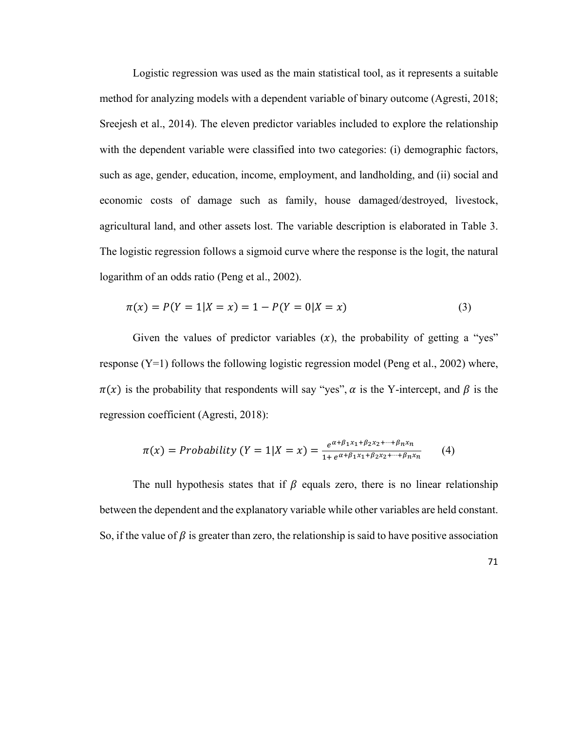Logistic regression was used as the main statistical tool, as it represents a suitable method for analyzing models with a dependent variable of binary outcome (Agresti, 2018; Sreejesh et al., 2014). The eleven predictor variables included to explore the relationship with the dependent variable were classified into two categories: (i) demographic factors, such as age, gender, education, income, employment, and landholding, and (ii) social and economic costs of damage such as family, house damaged/destroyed, livestock, agricultural land, and other assets lost. The variable description is elaborated in Table 3. The logistic regression follows a sigmoid curve where the response is the logit, the natural logarithm of an odds ratio (Peng et al., 2002).

$$
\pi(x) = P(Y = 1 | X = x) = 1 - P(Y = 0 | X = x)
$$
\n(3)

Given the values of predictor variables  $(x)$ , the probability of getting a "yes" response  $(Y=1)$  follows the following logistic regression model (Peng et al., 2002) where,  $\pi(x)$  is the probability that respondents will say "yes",  $\alpha$  is the Y-intercept, and  $\beta$  is the regression coefficient (Agresti, 2018):

$$
\pi(x) = Probability(Y = 1|X = x) = \frac{e^{\alpha + \beta_1 x_1 + \beta_2 x_2 + \dots + \beta_n x_n}}{1 + e^{\alpha + \beta_1 x_1 + \beta_2 x_2 + \dots + \beta_n x_n}} \tag{4}
$$

The null hypothesis states that if  $\beta$  equals zero, there is no linear relationship between the dependent and the explanatory variable while other variables are held constant. So, if the value of  $\beta$  is greater than zero, the relationship is said to have positive association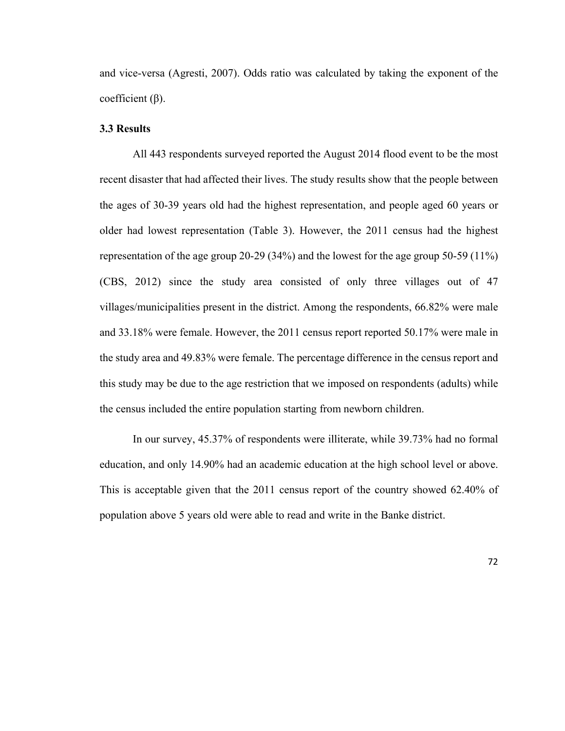and vice-versa (Agresti, 2007). Odds ratio was calculated by taking the exponent of the coefficient  $(β)$ .

#### **3.3 Results**

All 443 respondents surveyed reported the August 2014 flood event to be the most recent disaster that had affected their lives. The study results show that the people between the ages of 30-39 years old had the highest representation, and people aged 60 years or older had lowest representation (Table 3). However, the 2011 census had the highest representation of the age group 20-29 (34%) and the lowest for the age group 50-59 (11%) (CBS, 2012) since the study area consisted of only three villages out of 47 villages/municipalities present in the district. Among the respondents, 66.82% were male and 33.18% were female. However, the 2011 census report reported 50.17% were male in the study area and 49.83% were female. The percentage difference in the census report and this study may be due to the age restriction that we imposed on respondents (adults) while the census included the entire population starting from newborn children.

In our survey, 45.37% of respondents were illiterate, while 39.73% had no formal education, and only 14.90% had an academic education at the high school level or above. This is acceptable given that the 2011 census report of the country showed 62.40% of population above 5 years old were able to read and write in the Banke district.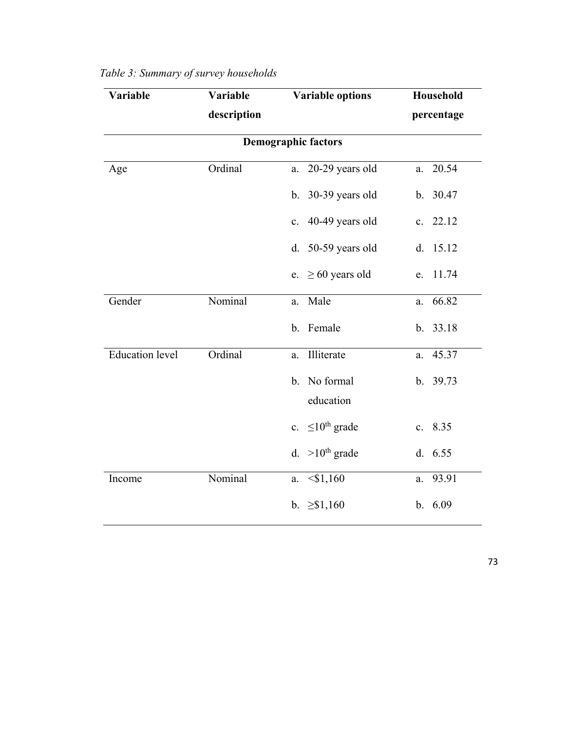| Variable               | Variable    | <b>Variable options</b>      | Household   |
|------------------------|-------------|------------------------------|-------------|
|                        | description |                              | percentage  |
|                        |             | <b>Demographic factors</b>   |             |
| Age                    | Ordinal     | 20-29 years old<br>a.        | 20.54<br>a. |
|                        |             | 30-39 years old<br>b.        | b. 30.47    |
|                        |             | 40-49 years old<br>c.        | c. $22.12$  |
|                        |             | d. 50-59 years old           | 15.12<br>d. |
|                        |             | $\geq 60$ years old<br>e.    | 11.74<br>e. |
| Gender                 | Nominal     | Male<br>a.                   | 66.82<br>a. |
|                        |             | b. Female                    | b. 33.18    |
| <b>Education</b> level | Ordinal     | Illiterate<br>a.             | 45.37<br>a. |
|                        |             | No formal<br>b.<br>education | b. 39.73    |
|                        |             | c. $\leq 10^{th}$ grade      | c. 8.35     |
|                        |             | d. $>10^{th}$ grade          | d. 6.55     |
| Income                 | Nominal     | $<$ \$1,160<br>a.            | 93.91<br>a. |
|                        |             | b. $\geq$ \$1,160            | b. 6.09     |

# *Table 3: Summary of survey households*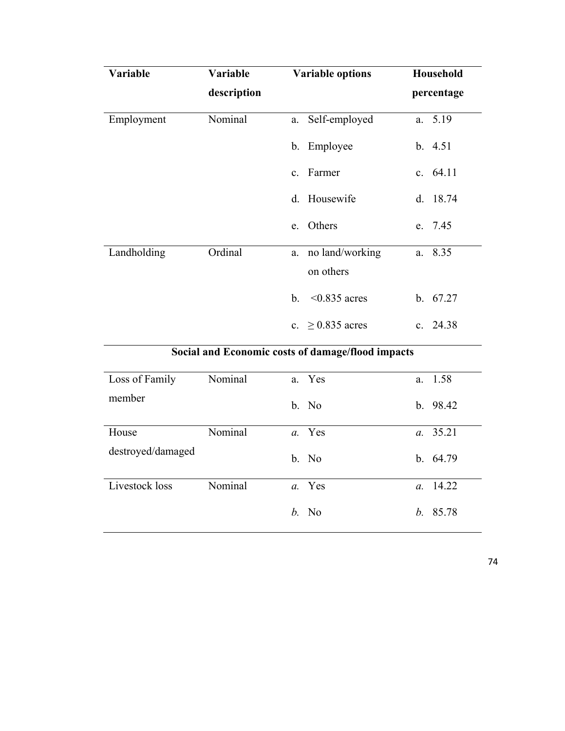| <b>Variable</b> | Variable    | <b>Variable options</b>                           | <b>Household</b> |  |  |
|-----------------|-------------|---------------------------------------------------|------------------|--|--|
|                 | description |                                                   | percentage       |  |  |
| Employment      | Nominal     | a. Self-employed                                  | a. 5.19          |  |  |
|                 |             | b. Employee                                       | b. 4.51          |  |  |
|                 |             | c. Farmer                                         | c. $64.11$       |  |  |
|                 |             | d. Housewife                                      | d. 18.74         |  |  |
|                 |             | e. Others                                         | e. 7.45          |  |  |
| Landholding     | Ordinal     | a. no land/working                                | a. 8.35          |  |  |
|                 |             | on others                                         |                  |  |  |
|                 |             | b. $\leq 0.835$ acres                             | b. 67.27         |  |  |
|                 |             | c. $\geq$ 0.835 acres                             | c. 24.38         |  |  |
|                 |             | Social and Economic costs of damage/flood impacts |                  |  |  |

| Loss of Family    | Nominal | a. Yes  |                  | a. 1.58    |
|-------------------|---------|---------|------------------|------------|
| member            |         | b. No   |                  | b.98.42    |
| House             | Nominal | a. Yes  |                  | a. 35.21   |
| destroyed/damaged |         | b. No   |                  | b. $64.79$ |
| Livestock loss    | Nominal | a. Yes  | $\mathfrak{a}$ . | 14.22      |
|                   |         | $b.$ No |                  | b. 85.78   |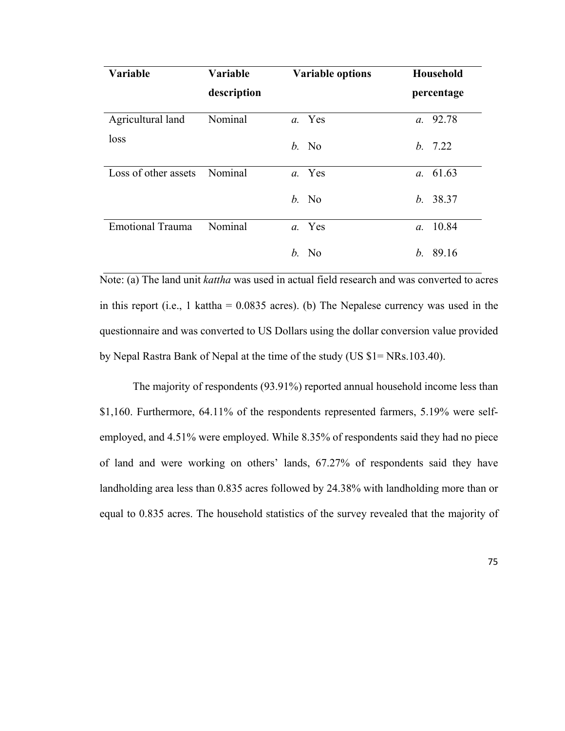| Variable                | Variable    | <b>Variable options</b> | Household                 |
|-------------------------|-------------|-------------------------|---------------------------|
|                         | description |                         | percentage                |
| Agricultural land       | Nominal     | a. Yes                  | a. 92.78                  |
| loss                    |             | $b.$ No                 | b. 7.22                   |
| Loss of other assets    | Nominal     | a. Yes                  | a. 61.63                  |
|                         |             | $b.$ No                 | b. 38.37                  |
| <b>Emotional Trauma</b> | Nominal     | a. Yes                  | 10.84<br>$\mathfrak{a}$ . |
|                         |             | $b.$ No                 | b. 89.16                  |

Note: (a) The land unit *kattha* was used in actual field research and was converted to acres in this report (i.e., 1 kattha =  $0.0835$  acres). (b) The Nepalese currency was used in the questionnaire and was converted to US Dollars using the dollar conversion value provided by Nepal Rastra Bank of Nepal at the time of the study (US \$1= NRs.103.40).

The majority of respondents (93.91%) reported annual household income less than \$1,160. Furthermore, 64.11% of the respondents represented farmers, 5.19% were selfemployed, and 4.51% were employed. While 8.35% of respondents said they had no piece of land and were working on others' lands, 67.27% of respondents said they have landholding area less than 0.835 acres followed by 24.38% with landholding more than or equal to 0.835 acres. The household statistics of the survey revealed that the majority of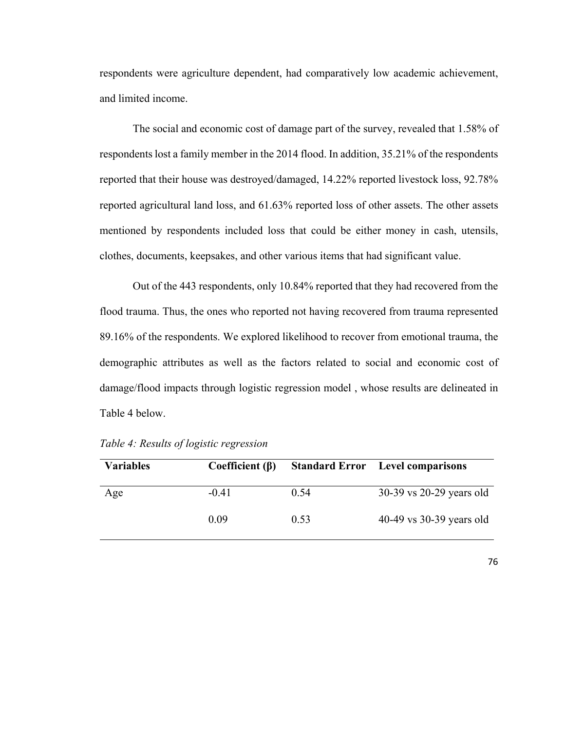respondents were agriculture dependent, had comparatively low academic achievement, and limited income.

The social and economic cost of damage part of the survey, revealed that 1.58% of respondents lost a family member in the 2014 flood. In addition, 35.21% of the respondents reported that their house was destroyed/damaged, 14.22% reported livestock loss, 92.78% reported agricultural land loss, and 61.63% reported loss of other assets. The other assets mentioned by respondents included loss that could be either money in cash, utensils, clothes, documents, keepsakes, and other various items that had significant value.

Out of the 443 respondents, only 10.84% reported that they had recovered from the flood trauma. Thus, the ones who reported not having recovered from trauma represented 89.16% of the respondents. We explored likelihood to recover from emotional trauma, the demographic attributes as well as the factors related to social and economic cost of damage/flood impacts through logistic regression model , whose results are delineated in Table 4 below.

| <b>Variables</b> | Coefficient $(\beta)$ |      | <b>Standard Error</b> Level comparisons |
|------------------|-----------------------|------|-----------------------------------------|
| Age              | $-0.41$               | 0.54 | 30-39 vs 20-29 years old                |
|                  | 0.09                  | 0.53 | 40-49 vs 30-39 years old                |

*Table 4: Results of logistic regression*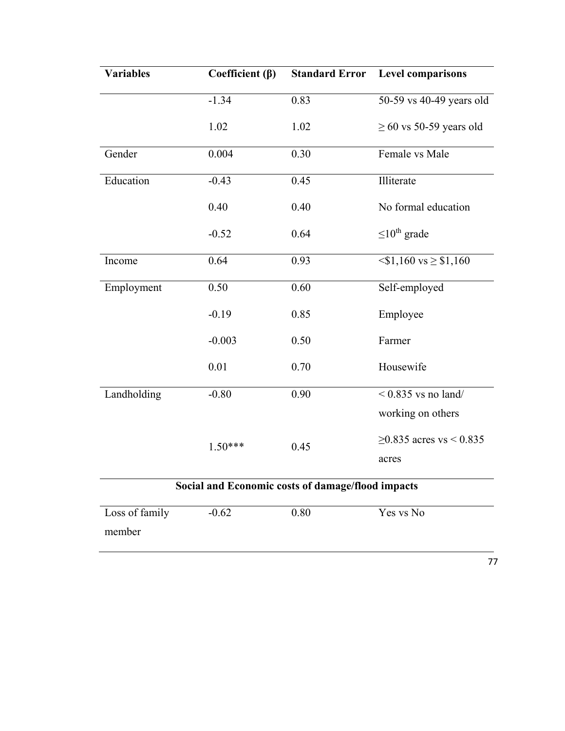| <b>Variables</b>                                  | Coefficient $(\beta)$ | <b>Standard Error</b> | <b>Level comparisons</b>         |  |  |  |
|---------------------------------------------------|-----------------------|-----------------------|----------------------------------|--|--|--|
|                                                   | $-1.34$               | 0.83                  | 50-59 vs 40-49 years old         |  |  |  |
|                                                   | 1.02                  | 1.02                  | $\geq 60$ vs 50-59 years old     |  |  |  |
| Gender                                            | 0.004                 | 0.30                  | Female vs Male                   |  |  |  |
| Education                                         | $-0.43$               | 0.45                  | Illiterate                       |  |  |  |
|                                                   | 0.40                  | 0.40                  | No formal education              |  |  |  |
|                                                   | $-0.52$               | 0.64                  | $\leq 10^{\text{th}}$ grade      |  |  |  |
| Income                                            | 0.64                  | 0.93                  | $\leq$ \$1,160 vs $\geq$ \$1,160 |  |  |  |
| Employment                                        | 0.50                  | 0.60                  | Self-employed                    |  |  |  |
|                                                   | $-0.19$               | 0.85                  | Employee                         |  |  |  |
|                                                   | $-0.003$              | 0.50                  | Farmer                           |  |  |  |
|                                                   | 0.01                  | 0.70                  | Housewife                        |  |  |  |
| Landholding                                       | $-0.80$               | 0.90                  | $< 0.835$ vs no land/            |  |  |  |
|                                                   |                       |                       | working on others                |  |  |  |
|                                                   | $1.50***$             | 0.45                  | ≥0.835 acres vs < 0.835          |  |  |  |
|                                                   |                       |                       | acres                            |  |  |  |
| Social and Economic costs of damage/flood impacts |                       |                       |                                  |  |  |  |
| Loss of family                                    | $-0.62$               | 0.80                  | Yes vs No                        |  |  |  |
| member                                            |                       |                       |                                  |  |  |  |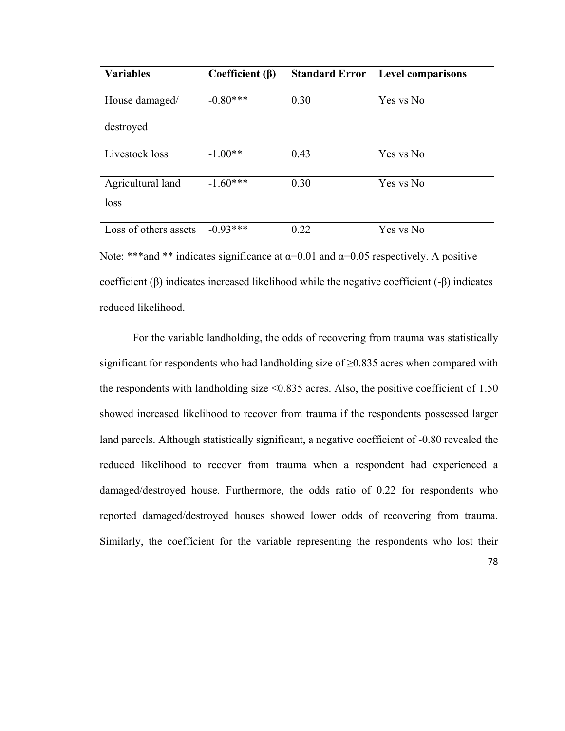| <b>Variables</b>      | Coefficient $(\beta)$ |      | <b>Standard Error</b> Level comparisons |
|-----------------------|-----------------------|------|-----------------------------------------|
| House damaged/        | $-0.80***$            | 0.30 | Yes vs No                               |
| destroyed             |                       |      |                                         |
| Livestock loss        | $-1.00**$             | 0.43 | Yes vs No                               |
|                       |                       |      |                                         |
| Agricultural land     | $-1.60***$            | 0.30 | Yes vs No                               |
| loss                  |                       |      |                                         |
|                       |                       |      |                                         |
| Loss of others assets | $-0.93***$            | 0.22 | Yes vs No                               |

Note: \*\*\*and \*\* indicates significance at  $\alpha$ =0.01 and  $\alpha$ =0.05 respectively. A positive coefficient (β) indicates increased likelihood while the negative coefficient (-β) indicates reduced likelihood.

For the variable landholding, the odds of recovering from trauma was statistically significant for respondents who had landholding size of  $\geq 0.835$  acres when compared with the respondents with landholding size  $\leq 0.835$  acres. Also, the positive coefficient of 1.50 showed increased likelihood to recover from trauma if the respondents possessed larger land parcels. Although statistically significant, a negative coefficient of -0.80 revealed the reduced likelihood to recover from trauma when a respondent had experienced a damaged/destroyed house. Furthermore, the odds ratio of 0.22 for respondents who reported damaged/destroyed houses showed lower odds of recovering from trauma. Similarly, the coefficient for the variable representing the respondents who lost their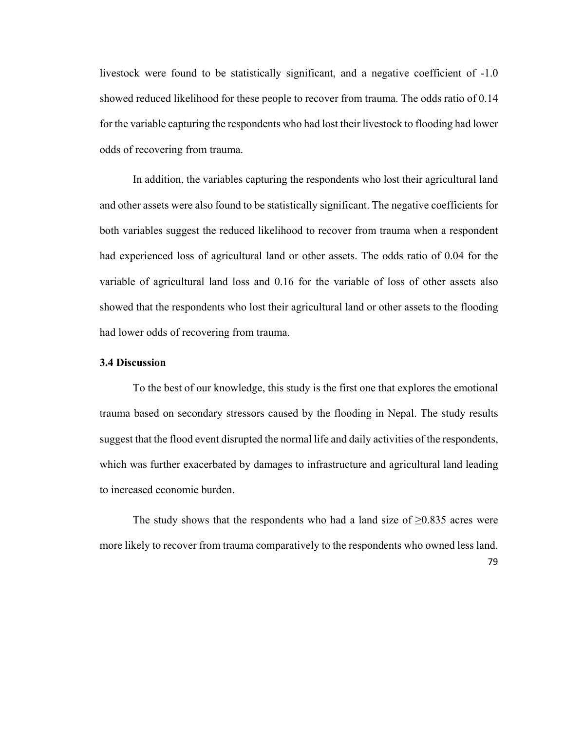livestock were found to be statistically significant, and a negative coefficient of -1.0 showed reduced likelihood for these people to recover from trauma. The odds ratio of 0.14 for the variable capturing the respondents who had lost their livestock to flooding had lower odds of recovering from trauma.

In addition, the variables capturing the respondents who lost their agricultural land and other assets were also found to be statistically significant. The negative coefficients for both variables suggest the reduced likelihood to recover from trauma when a respondent had experienced loss of agricultural land or other assets. The odds ratio of 0.04 for the variable of agricultural land loss and 0.16 for the variable of loss of other assets also showed that the respondents who lost their agricultural land or other assets to the flooding had lower odds of recovering from trauma.

#### **3.4 Discussion**

To the best of our knowledge, this study is the first one that explores the emotional trauma based on secondary stressors caused by the flooding in Nepal. The study results suggest that the flood event disrupted the normal life and daily activities of the respondents, which was further exacerbated by damages to infrastructure and agricultural land leading to increased economic burden.

The study shows that the respondents who had a land size of  $\geq 0.835$  acres were more likely to recover from trauma comparatively to the respondents who owned less land.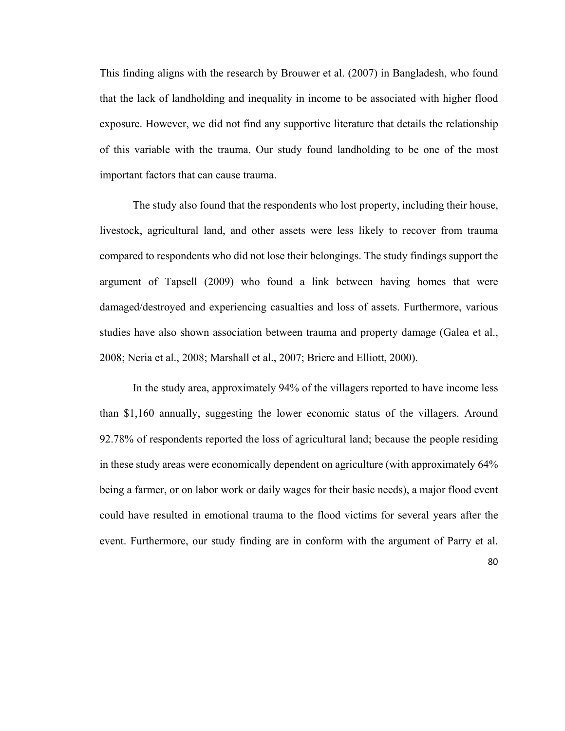This finding aligns with the research by Brouwer et al. (2007) in Bangladesh, who found that the lack of landholding and inequality in income to be associated with higher flood exposure. However, we did not find any supportive literature that details the relationship of this variable with the trauma. Our study found landholding to be one of the most important factors that can cause trauma.

The study also found that the respondents who lost property, including their house, livestock, agricultural land, and other assets were less likely to recover from trauma compared to respondents who did not lose their belongings. The study findings support the argument of Tapsell (2009) who found a link between having homes that were damaged/destroyed and experiencing casualties and loss of assets. Furthermore, various studies have also shown association between trauma and property damage (Galea et al., 2008; Neria et al., 2008; Marshall et al., 2007; Briere and Elliott, 2000).

In the study area, approximately 94% of the villagers reported to have income less than \$1,160 annually, suggesting the lower economic status of the villagers. Around 92.78% of respondents reported the loss of agricultural land; because the people residing in these study areas were economically dependent on agriculture (with approximately 64% being a farmer, or on labor work or daily wages for their basic needs), a major flood event could have resulted in emotional trauma to the flood victims for several years after the event. Furthermore, our study finding are in conform with the argument of Parry et al.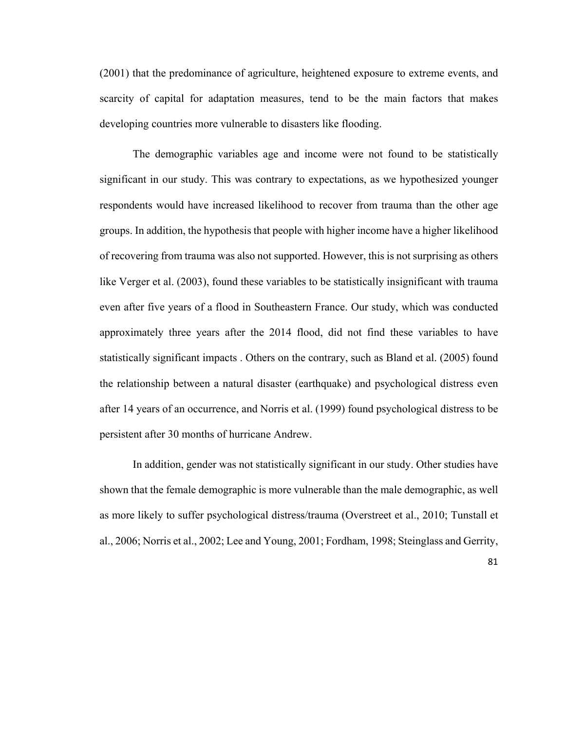(2001) that the predominance of agriculture, heightened exposure to extreme events, and scarcity of capital for adaptation measures, tend to be the main factors that makes developing countries more vulnerable to disasters like flooding.

The demographic variables age and income were not found to be statistically significant in our study. This was contrary to expectations, as we hypothesized younger respondents would have increased likelihood to recover from trauma than the other age groups. In addition, the hypothesis that people with higher income have a higher likelihood of recovering from trauma was also not supported. However, this is not surprising as others like Verger et al. (2003), found these variables to be statistically insignificant with trauma even after five years of a flood in Southeastern France. Our study, which was conducted approximately three years after the 2014 flood, did not find these variables to have statistically significant impacts . Others on the contrary, such as Bland et al. (2005) found the relationship between a natural disaster (earthquake) and psychological distress even after 14 years of an occurrence, and Norris et al. (1999) found psychological distress to be persistent after 30 months of hurricane Andrew.

In addition, gender was not statistically significant in our study. Other studies have shown that the female demographic is more vulnerable than the male demographic, as well as more likely to suffer psychological distress/trauma (Overstreet et al., 2010; Tunstall et al., 2006; Norris et al., 2002; Lee and Young, 2001; Fordham, 1998; Steinglass and Gerrity,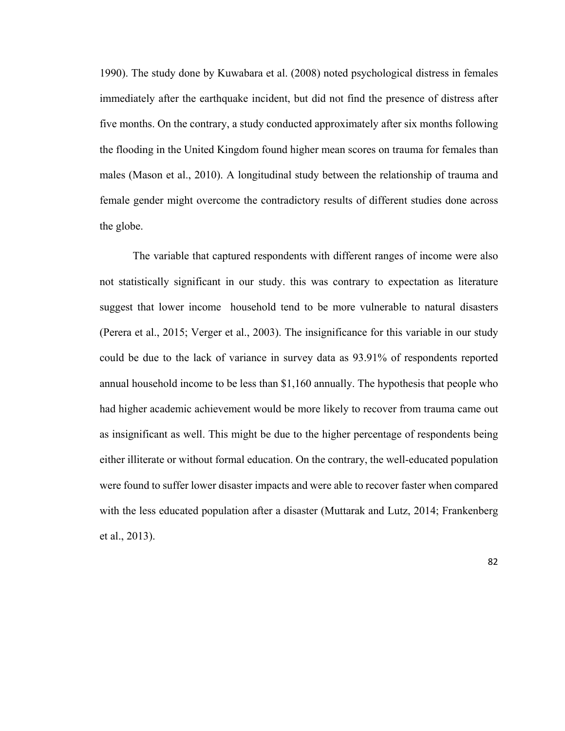1990). The study done by Kuwabara et al. (2008) noted psychological distress in females immediately after the earthquake incident, but did not find the presence of distress after five months. On the contrary, a study conducted approximately after six months following the flooding in the United Kingdom found higher mean scores on trauma for females than males (Mason et al., 2010). A longitudinal study between the relationship of trauma and female gender might overcome the contradictory results of different studies done across the globe.

The variable that captured respondents with different ranges of income were also not statistically significant in our study. this was contrary to expectation as literature suggest that lower income household tend to be more vulnerable to natural disasters (Perera et al., 2015; Verger et al., 2003). The insignificance for this variable in our study could be due to the lack of variance in survey data as 93.91% of respondents reported annual household income to be less than \$1,160 annually. The hypothesis that people who had higher academic achievement would be more likely to recover from trauma came out as insignificant as well. This might be due to the higher percentage of respondents being either illiterate or without formal education. On the contrary, the well-educated population were found to suffer lower disaster impacts and were able to recover faster when compared with the less educated population after a disaster (Muttarak and Lutz, 2014; Frankenberg et al., 2013).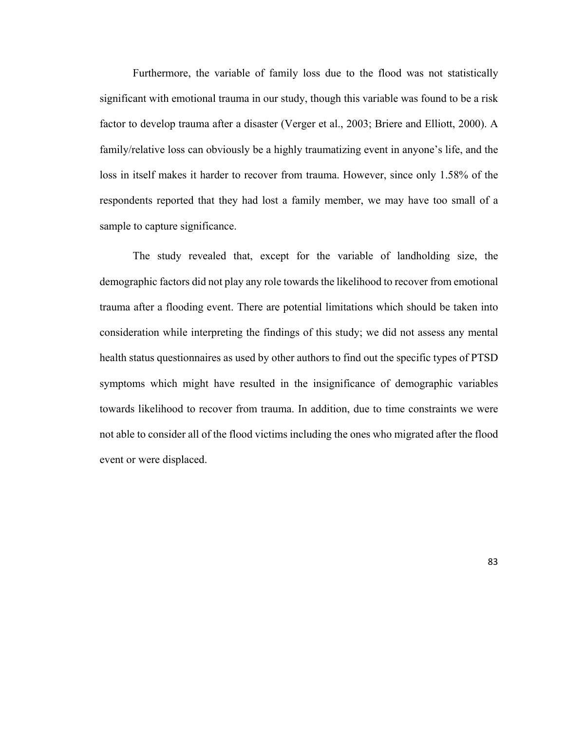Furthermore, the variable of family loss due to the flood was not statistically significant with emotional trauma in our study, though this variable was found to be a risk factor to develop trauma after a disaster (Verger et al., 2003; Briere and Elliott, 2000). A family/relative loss can obviously be a highly traumatizing event in anyone's life, and the loss in itself makes it harder to recover from trauma. However, since only 1.58% of the respondents reported that they had lost a family member, we may have too small of a sample to capture significance.

The study revealed that, except for the variable of landholding size, the demographic factors did not play any role towards the likelihood to recover from emotional trauma after a flooding event. There are potential limitations which should be taken into consideration while interpreting the findings of this study; we did not assess any mental health status questionnaires as used by other authors to find out the specific types of PTSD symptoms which might have resulted in the insignificance of demographic variables towards likelihood to recover from trauma. In addition, due to time constraints we were not able to consider all of the flood victims including the ones who migrated after the flood event or were displaced.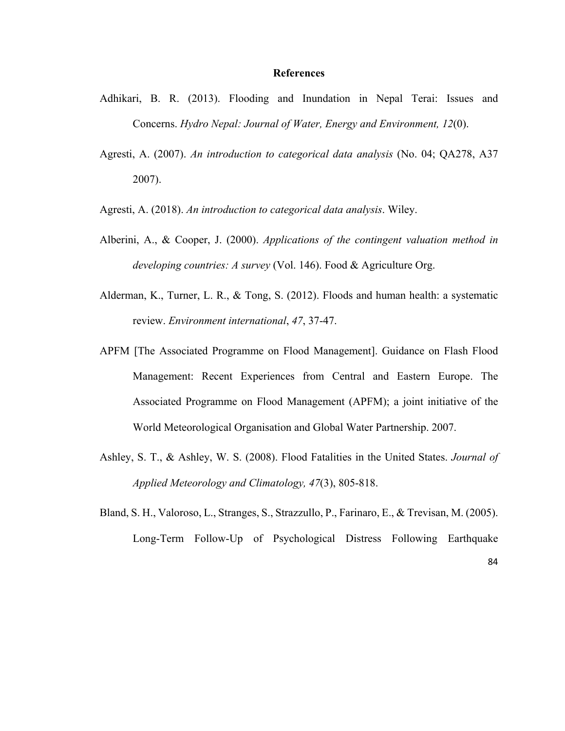#### **References**

- Adhikari, B. R. (2013). Flooding and Inundation in Nepal Terai: Issues and Concerns. *Hydro Nepal: Journal of Water, Energy and Environment, 12*(0).
- Agresti, A. (2007). *An introduction to categorical data analysis* (No. 04; QA278, A37 2007).
- Agresti, A. (2018). *An introduction to categorical data analysis*. Wiley.
- Alberini, A., & Cooper, J. (2000). *Applications of the contingent valuation method in developing countries: A survey* (Vol. 146). Food & Agriculture Org.
- Alderman, K., Turner, L. R., & Tong, S. (2012). Floods and human health: a systematic review. *Environment international*, *47*, 37-47.
- APFM [The Associated Programme on Flood Management]. Guidance on Flash Flood Management: Recent Experiences from Central and Eastern Europe. The Associated Programme on Flood Management (APFM); a joint initiative of the World Meteorological Organisation and Global Water Partnership. 2007.
- Ashley, S. T., & Ashley, W. S. (2008). Flood Fatalities in the United States. *Journal of Applied Meteorology and Climatology, 47*(3), 805-818.
- Bland, S. H., Valoroso, L., Stranges, S., Strazzullo, P., Farinaro, E., & Trevisan, M. (2005). Long-Term Follow-Up of Psychological Distress Following Earthquake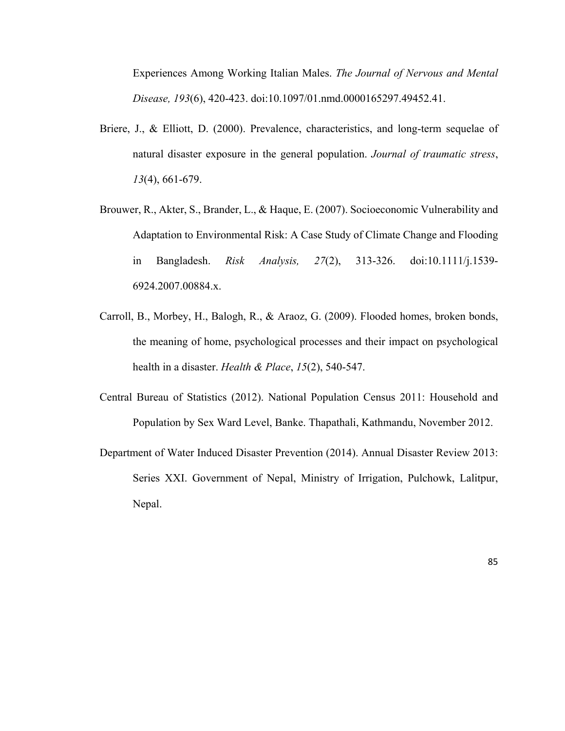Experiences Among Working Italian Males. *The Journal of Nervous and Mental Disease, 193*(6), 420-423. doi:10.1097/01.nmd.0000165297.49452.41.

- Briere, J., & Elliott, D. (2000). Prevalence, characteristics, and long-term sequelae of natural disaster exposure in the general population. *Journal of traumatic stress*, *13*(4), 661-679.
- Brouwer, R., Akter, S., Brander, L., & Haque, E. (2007). Socioeconomic Vulnerability and Adaptation to Environmental Risk: A Case Study of Climate Change and Flooding in Bangladesh. *Risk Analysis, 27*(2), 313-326. doi:10.1111/j.1539- 6924.2007.00884.x.
- Carroll, B., Morbey, H., Balogh, R., & Araoz, G. (2009). Flooded homes, broken bonds, the meaning of home, psychological processes and their impact on psychological health in a disaster. *Health & Place*, *15*(2), 540-547.
- Central Bureau of Statistics (2012). National Population Census 2011: Household and Population by Sex Ward Level, Banke. Thapathali, Kathmandu, November 2012.
- Department of Water Induced Disaster Prevention (2014). Annual Disaster Review 2013: Series XXI. Government of Nepal, Ministry of Irrigation, Pulchowk, Lalitpur, Nepal.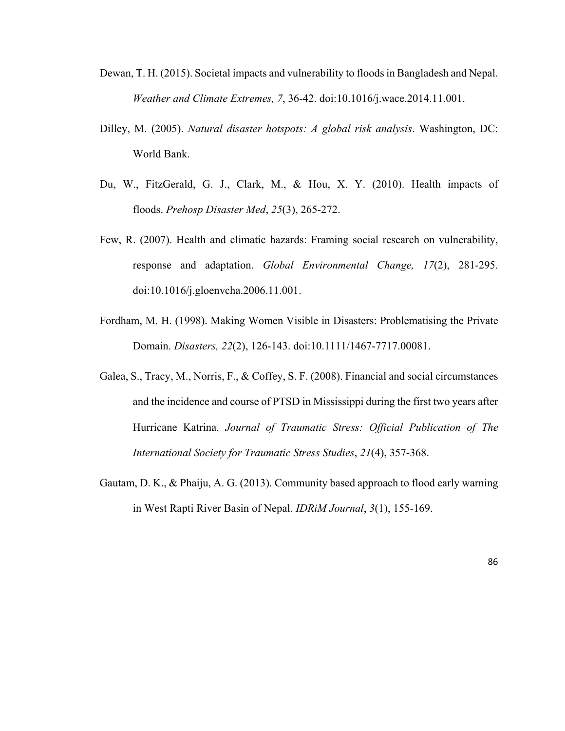- Dewan, T. H. (2015). Societal impacts and vulnerability to floods in Bangladesh and Nepal. *Weather and Climate Extremes, 7*, 36-42. doi:10.1016/j.wace.2014.11.001.
- Dilley, M. (2005). *Natural disaster hotspots: A global risk analysis*. Washington, DC: World Bank.
- Du, W., FitzGerald, G. J., Clark, M., & Hou, X. Y. (2010). Health impacts of floods. *Prehosp Disaster Med*, *25*(3), 265-272.
- Few, R. (2007). Health and climatic hazards: Framing social research on vulnerability, response and adaptation. *Global Environmental Change, 17*(2), 281-295. doi:10.1016/j.gloenvcha.2006.11.001.
- Fordham, M. H. (1998). Making Women Visible in Disasters: Problematising the Private Domain. *Disasters, 22*(2), 126-143. doi:10.1111/1467-7717.00081.
- Galea, S., Tracy, M., Norris, F., & Coffey, S. F. (2008). Financial and social circumstances and the incidence and course of PTSD in Mississippi during the first two years after Hurricane Katrina. *Journal of Traumatic Stress: Official Publication of The International Society for Traumatic Stress Studies*, *21*(4), 357-368.
- Gautam, D. K., & Phaiju, A. G. (2013). Community based approach to flood early warning in West Rapti River Basin of Nepal. *IDRiM Journal*, *3*(1), 155-169.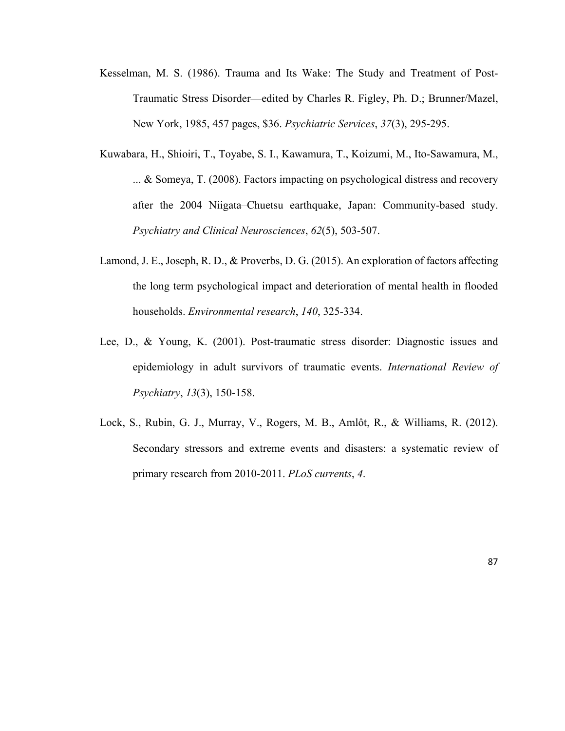- Kesselman, M. S. (1986). Trauma and Its Wake: The Study and Treatment of Post-Traumatic Stress Disorder—edited by Charles R. Figley, Ph. D.; Brunner/Mazel, New York, 1985, 457 pages, \$36. *Psychiatric Services*, *37*(3), 295-295.
- Kuwabara, H., Shioiri, T., Toyabe, S. I., Kawamura, T., Koizumi, M., Ito‐Sawamura, M., ... & Someya, T. (2008). Factors impacting on psychological distress and recovery after the 2004 Niigata–Chuetsu earthquake, Japan: Community‐based study. *Psychiatry and Clinical Neurosciences*, *62*(5), 503-507.
- Lamond, J. E., Joseph, R. D., & Proverbs, D. G. (2015). An exploration of factors affecting the long term psychological impact and deterioration of mental health in flooded households. *Environmental research*, *140*, 325-334.
- Lee, D., & Young, K. (2001). Post-traumatic stress disorder: Diagnostic issues and epidemiology in adult survivors of traumatic events. *International Review of Psychiatry*, *13*(3), 150-158.
- Lock, S., Rubin, G. J., Murray, V., Rogers, M. B., Amlôt, R., & Williams, R. (2012). Secondary stressors and extreme events and disasters: a systematic review of primary research from 2010-2011. *PLoS currents*, *4*.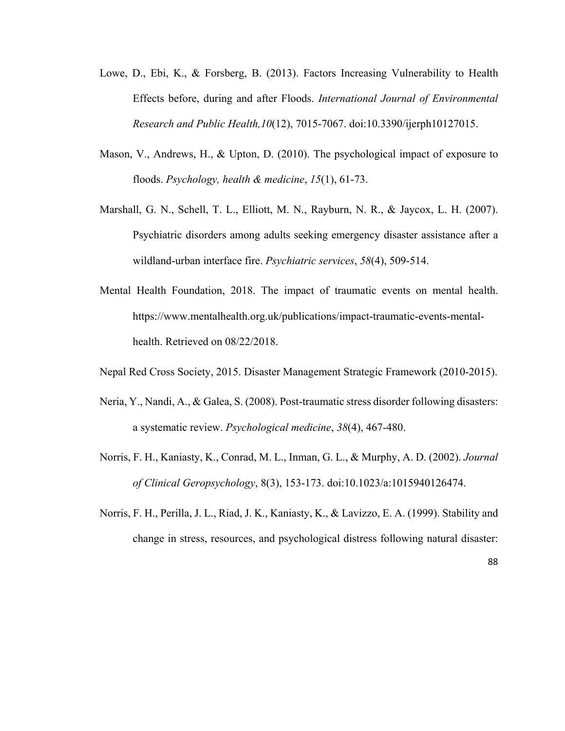- Lowe, D., Ebi, K., & Forsberg, B. (2013). Factors Increasing Vulnerability to Health Effects before, during and after Floods. *International Journal of Environmental Research and Public Health,10*(12), 7015-7067. doi:10.3390/ijerph10127015.
- Mason, V., Andrews, H., & Upton, D. (2010). The psychological impact of exposure to floods. *Psychology, health & medicine*, *15*(1), 61-73.
- Marshall, G. N., Schell, T. L., Elliott, M. N., Rayburn, N. R., & Jaycox, L. H. (2007). Psychiatric disorders among adults seeking emergency disaster assistance after a wildland-urban interface fire. *Psychiatric services*, *58*(4), 509-514.
- Mental Health Foundation, 2018. The impact of traumatic events on mental health. https://www.mentalhealth.org.uk/publications/impact-traumatic-events-mentalhealth. Retrieved on 08/22/2018.
- Nepal Red Cross Society, 2015. Disaster Management Strategic Framework (2010-2015).
- Neria, Y., Nandi, A., & Galea, S. (2008). Post-traumatic stress disorder following disasters: a systematic review. *Psychological medicine*, *38*(4), 467-480.
- Norris, F. H., Kaniasty, K., Conrad, M. L., Inman, G. L., & Murphy, A. D. (2002). *Journal of Clinical Geropsychology*, 8(3), 153-173. doi:10.1023/a:1015940126474.
- Norris, F. H., Perilla, J. L., Riad, J. K., Kaniasty, K., & Lavizzo, E. A. (1999). Stability and change in stress, resources, and psychological distress following natural disaster: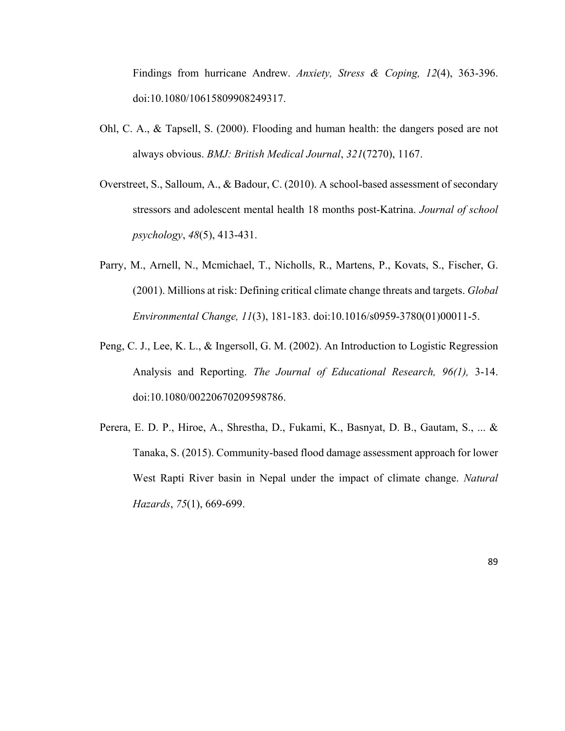Findings from hurricane Andrew. *Anxiety, Stress & Coping, 12*(4), 363-396. doi:10.1080/10615809908249317.

- Ohl, C. A., & Tapsell, S. (2000). Flooding and human health: the dangers posed are not always obvious. *BMJ: British Medical Journal*, *321*(7270), 1167.
- Overstreet, S., Salloum, A., & Badour, C. (2010). A school-based assessment of secondary stressors and adolescent mental health 18 months post-Katrina. *Journal of school psychology*, *48*(5), 413-431.
- Parry, M., Arnell, N., Mcmichael, T., Nicholls, R., Martens, P., Kovats, S., Fischer, G. (2001). Millions at risk: Defining critical climate change threats and targets. *Global Environmental Change, 11*(3), 181-183. doi:10.1016/s0959-3780(01)00011-5.
- Peng, C. J., Lee, K. L., & Ingersoll, G. M. (2002). An Introduction to Logistic Regression Analysis and Reporting. *The Journal of Educational Research, 96(1),* 3-14. doi:10.1080/00220670209598786.
- Perera, E. D. P., Hiroe, A., Shrestha, D., Fukami, K., Basnyat, D. B., Gautam, S., ... & Tanaka, S. (2015). Community-based flood damage assessment approach for lower West Rapti River basin in Nepal under the impact of climate change. *Natural Hazards*, *75*(1), 669-699.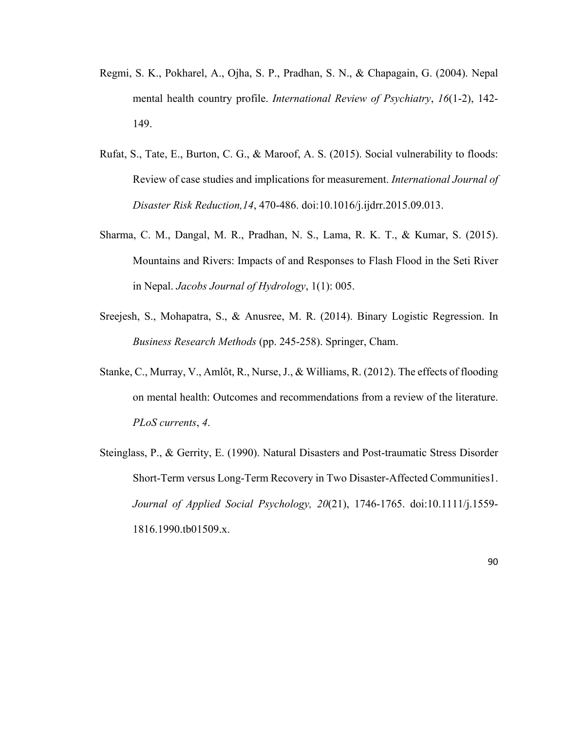- Regmi, S. K., Pokharel, A., Ojha, S. P., Pradhan, S. N., & Chapagain, G. (2004). Nepal mental health country profile. *International Review of Psychiatry*, *16*(1-2), 142- 149.
- Rufat, S., Tate, E., Burton, C. G., & Maroof, A. S. (2015). Social vulnerability to floods: Review of case studies and implications for measurement. *International Journal of Disaster Risk Reduction,14*, 470-486. doi:10.1016/j.ijdrr.2015.09.013.
- Sharma, C. M., Dangal, M. R., Pradhan, N. S., Lama, R. K. T., & Kumar, S. (2015). Mountains and Rivers: Impacts of and Responses to Flash Flood in the Seti River in Nepal. *Jacobs Journal of Hydrology*, 1(1): 005.
- Sreejesh, S., Mohapatra, S., & Anusree, M. R. (2014). Binary Logistic Regression. In *Business Research Methods* (pp. 245-258). Springer, Cham.
- Stanke, C., Murray, V., Amlôt, R., Nurse, J., & Williams, R. (2012). The effects of flooding on mental health: Outcomes and recommendations from a review of the literature. *PLoS currents*, *4*.
- Steinglass, P., & Gerrity, E. (1990). Natural Disasters and Post-traumatic Stress Disorder Short-Term versus Long-Term Recovery in Two Disaster-Affected Communities1. *Journal of Applied Social Psychology, 20*(21), 1746-1765. doi:10.1111/j.1559- 1816.1990.tb01509.x.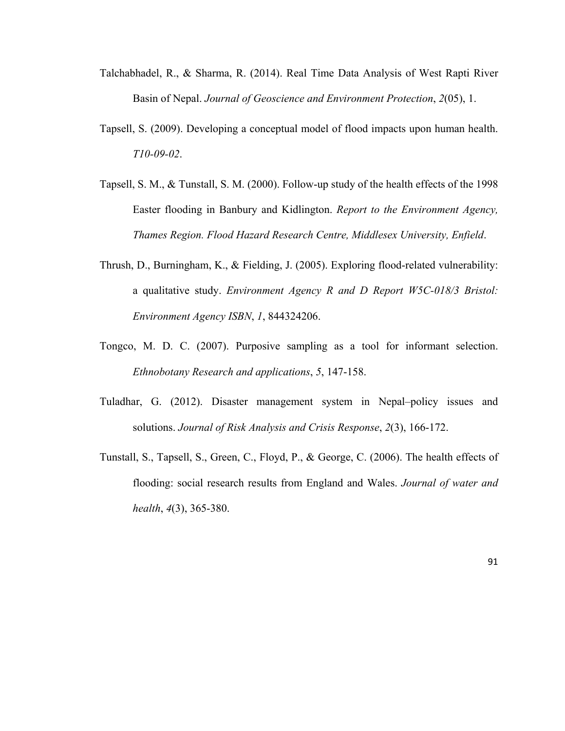- Talchabhadel, R., & Sharma, R. (2014). Real Time Data Analysis of West Rapti River Basin of Nepal. *Journal of Geoscience and Environment Protection*, *2*(05), 1.
- Tapsell, S. (2009). Developing a conceptual model of flood impacts upon human health. *T10-09-02*.
- Tapsell, S. M., & Tunstall, S. M. (2000). Follow-up study of the health effects of the 1998 Easter flooding in Banbury and Kidlington. *Report to the Environment Agency, Thames Region. Flood Hazard Research Centre, Middlesex University, Enfield*.
- Thrush, D., Burningham, K., & Fielding, J. (2005). Exploring flood-related vulnerability: a qualitative study. *Environment Agency R and D Report W5C-018/3 Bristol: Environment Agency ISBN*, *1*, 844324206.
- Tongco, M. D. C. (2007). Purposive sampling as a tool for informant selection. *Ethnobotany Research and applications*, *5*, 147-158.
- Tuladhar, G. (2012). Disaster management system in Nepal–policy issues and solutions. *Journal of Risk Analysis and Crisis Response*, *2*(3), 166-172.
- Tunstall, S., Tapsell, S., Green, C., Floyd, P., & George, C. (2006). The health effects of flooding: social research results from England and Wales. *Journal of water and health*, *4*(3), 365-380.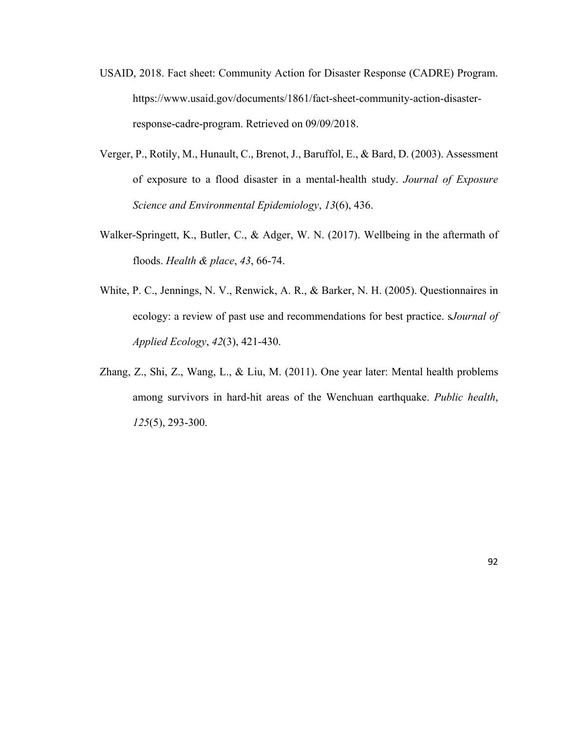- USAID, 2018. Fact sheet: Community Action for Disaster Response (CADRE) Program. https://www.usaid.gov/documents/1861/fact-sheet-community-action-disasterresponse-cadre-program. Retrieved on 09/09/2018.
- Verger, P., Rotily, M., Hunault, C., Brenot, J., Baruffol, E., & Bard, D. (2003). Assessment of exposure to a flood disaster in a mental-health study. *Journal of Exposure Science and Environmental Epidemiology*, *13*(6), 436.
- Walker-Springett, K., Butler, C., & Adger, W. N. (2017). Wellbeing in the aftermath of floods. *Health & place*, *43*, 66-74.
- White, P. C., Jennings, N. V., Renwick, A. R., & Barker, N. H. (2005). Questionnaires in ecology: a review of past use and recommendations for best practice. s*Journal of Applied Ecology*, *42*(3), 421-430.
- Zhang, Z., Shi, Z., Wang, L., & Liu, M. (2011). One year later: Mental health problems among survivors in hard-hit areas of the Wenchuan earthquake. *Public health*, *125*(5), 293-300.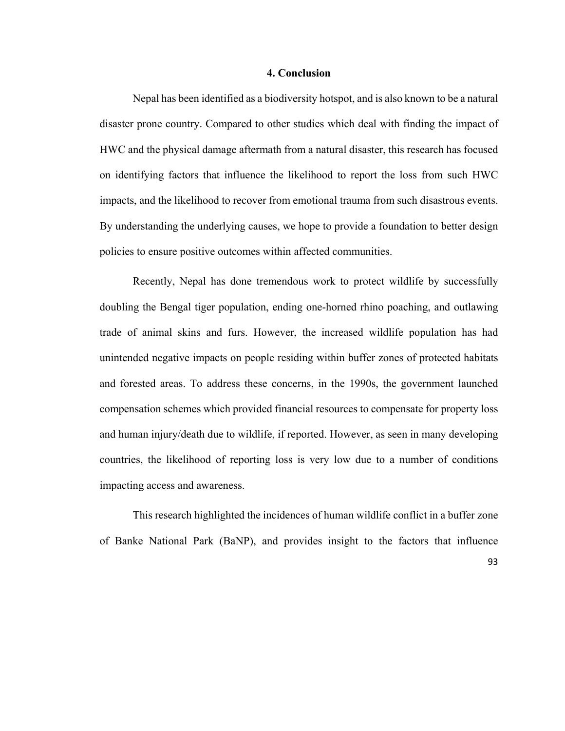#### **4. Conclusion**

Nepal has been identified as a biodiversity hotspot, and is also known to be a natural disaster prone country. Compared to other studies which deal with finding the impact of HWC and the physical damage aftermath from a natural disaster, this research has focused on identifying factors that influence the likelihood to report the loss from such HWC impacts, and the likelihood to recover from emotional trauma from such disastrous events. By understanding the underlying causes, we hope to provide a foundation to better design policies to ensure positive outcomes within affected communities.

Recently, Nepal has done tremendous work to protect wildlife by successfully doubling the Bengal tiger population, ending one-horned rhino poaching, and outlawing trade of animal skins and furs. However, the increased wildlife population has had unintended negative impacts on people residing within buffer zones of protected habitats and forested areas. To address these concerns, in the 1990s, the government launched compensation schemes which provided financial resources to compensate for property loss and human injury/death due to wildlife, if reported. However, as seen in many developing countries, the likelihood of reporting loss is very low due to a number of conditions impacting access and awareness.

This research highlighted the incidences of human wildlife conflict in a buffer zone of Banke National Park (BaNP), and provides insight to the factors that influence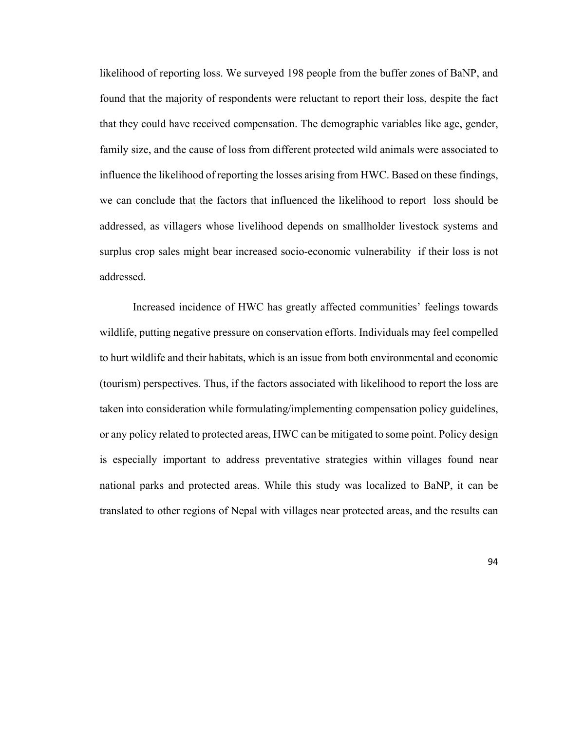likelihood of reporting loss. We surveyed 198 people from the buffer zones of BaNP, and found that the majority of respondents were reluctant to report their loss, despite the fact that they could have received compensation. The demographic variables like age, gender, family size, and the cause of loss from different protected wild animals were associated to influence the likelihood of reporting the losses arising from HWC. Based on these findings, we can conclude that the factors that influenced the likelihood to report loss should be addressed, as villagers whose livelihood depends on smallholder livestock systems and surplus crop sales might bear increased socio-economic vulnerability if their loss is not addressed.

Increased incidence of HWC has greatly affected communities' feelings towards wildlife, putting negative pressure on conservation efforts. Individuals may feel compelled to hurt wildlife and their habitats, which is an issue from both environmental and economic (tourism) perspectives. Thus, if the factors associated with likelihood to report the loss are taken into consideration while formulating/implementing compensation policy guidelines, or any policy related to protected areas, HWC can be mitigated to some point. Policy design is especially important to address preventative strategies within villages found near national parks and protected areas. While this study was localized to BaNP, it can be translated to other regions of Nepal with villages near protected areas, and the results can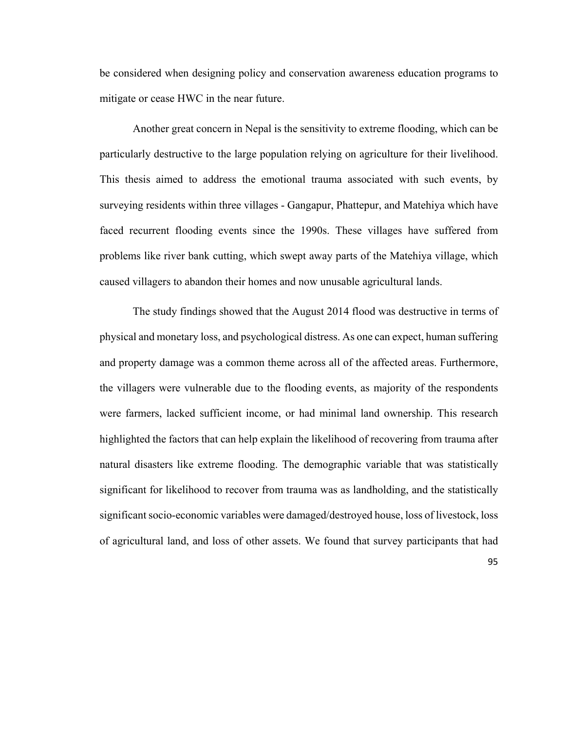be considered when designing policy and conservation awareness education programs to mitigate or cease HWC in the near future.

Another great concern in Nepal is the sensitivity to extreme flooding, which can be particularly destructive to the large population relying on agriculture for their livelihood. This thesis aimed to address the emotional trauma associated with such events, by surveying residents within three villages - Gangapur, Phattepur, and Matehiya which have faced recurrent flooding events since the 1990s. These villages have suffered from problems like river bank cutting, which swept away parts of the Matehiya village, which caused villagers to abandon their homes and now unusable agricultural lands.

The study findings showed that the August 2014 flood was destructive in terms of physical and monetary loss, and psychological distress. As one can expect, human suffering and property damage was a common theme across all of the affected areas. Furthermore, the villagers were vulnerable due to the flooding events, as majority of the respondents were farmers, lacked sufficient income, or had minimal land ownership. This research highlighted the factors that can help explain the likelihood of recovering from trauma after natural disasters like extreme flooding. The demographic variable that was statistically significant for likelihood to recover from trauma was as landholding, and the statistically significant socio-economic variables were damaged/destroyed house, loss of livestock, loss of agricultural land, and loss of other assets. We found that survey participants that had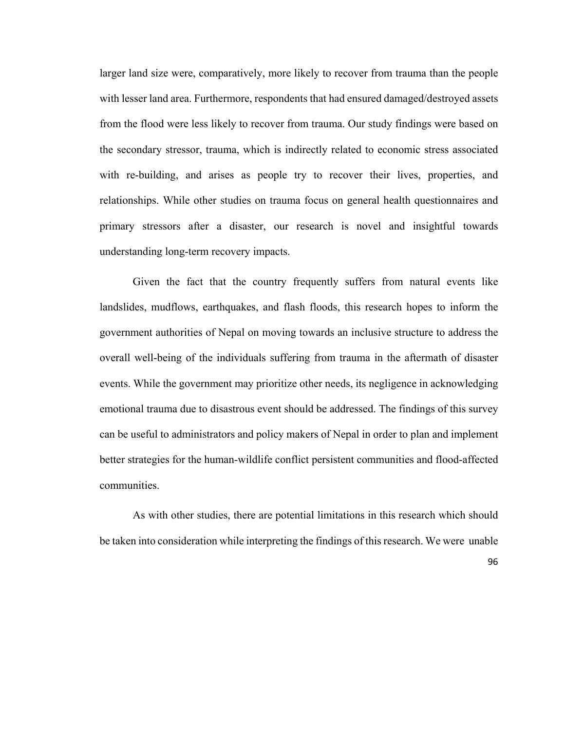larger land size were, comparatively, more likely to recover from trauma than the people with lesser land area. Furthermore, respondents that had ensured damaged/destroyed assets from the flood were less likely to recover from trauma. Our study findings were based on the secondary stressor, trauma, which is indirectly related to economic stress associated with re-building, and arises as people try to recover their lives, properties, and relationships. While other studies on trauma focus on general health questionnaires and primary stressors after a disaster, our research is novel and insightful towards understanding long-term recovery impacts.

Given the fact that the country frequently suffers from natural events like landslides, mudflows, earthquakes, and flash floods, this research hopes to inform the government authorities of Nepal on moving towards an inclusive structure to address the overall well-being of the individuals suffering from trauma in the aftermath of disaster events. While the government may prioritize other needs, its negligence in acknowledging emotional trauma due to disastrous event should be addressed. The findings of this survey can be useful to administrators and policy makers of Nepal in order to plan and implement better strategies for the human-wildlife conflict persistent communities and flood-affected communities.

As with other studies, there are potential limitations in this research which should be taken into consideration while interpreting the findings of this research. We were unable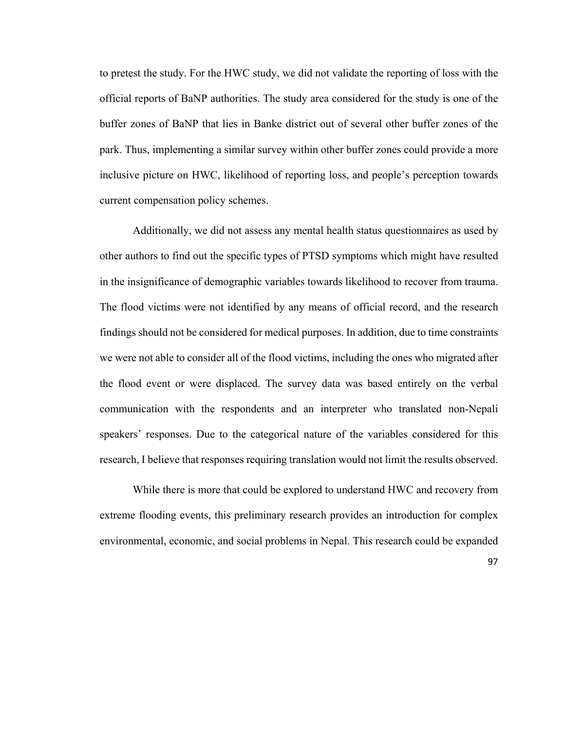to pretest the study. For the HWC study, we did not validate the reporting of loss with the official reports of BaNP authorities. The study area considered for the study is one of the buffer zones of BaNP that lies in Banke district out of several other buffer zones of the park. Thus, implementing a similar survey within other buffer zones could provide a more inclusive picture on HWC, likelihood of reporting loss, and people's perception towards current compensation policy schemes.

Additionally, we did not assess any mental health status questionnaires as used by other authors to find out the specific types of PTSD symptoms which might have resulted in the insignificance of demographic variables towards likelihood to recover from trauma. The flood victims were not identified by any means of official record, and the research findings should not be considered for medical purposes. In addition, due to time constraints we were not able to consider all of the flood victims, including the ones who migrated after the flood event or were displaced. The survey data was based entirely on the verbal communication with the respondents and an interpreter who translated non-Nepali speakers' responses. Due to the categorical nature of the variables considered for this research, I believe that responses requiring translation would not limit the results observed.

While there is more that could be explored to understand HWC and recovery from extreme flooding events, this preliminary research provides an introduction for complex environmental, economic, and social problems in Nepal. This research could be expanded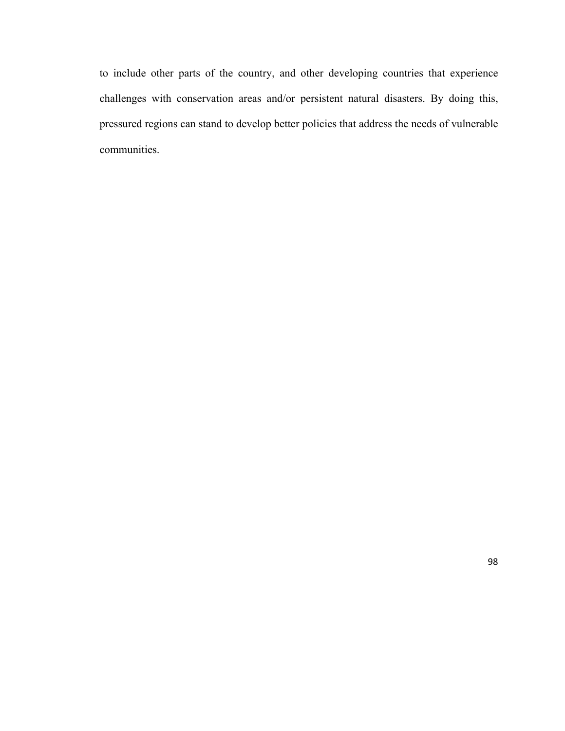to include other parts of the country, and other developing countries that experience challenges with conservation areas and/or persistent natural disasters. By doing this, pressured regions can stand to develop better policies that address the needs of vulnerable communities.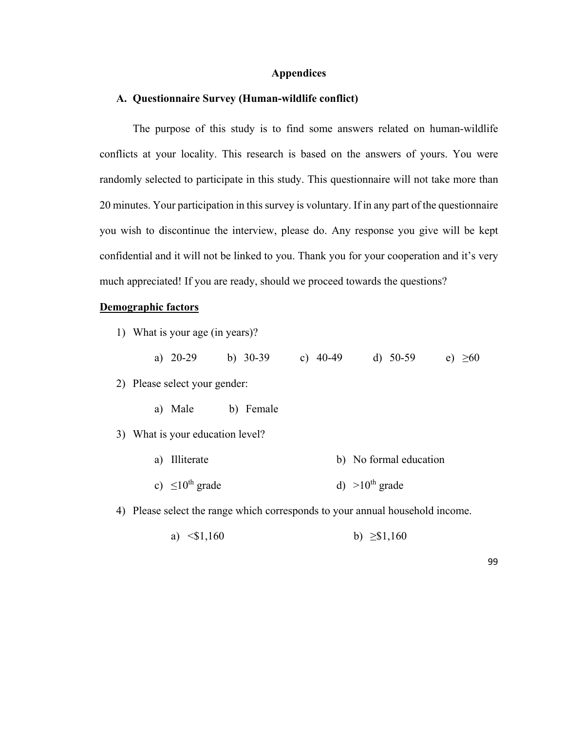### **Appendices**

#### **A. Questionnaire Survey (Human-wildlife conflict)**

The purpose of this study is to find some answers related on human-wildlife conflicts at your locality. This research is based on the answers of yours. You were randomly selected to participate in this study. This questionnaire will not take more than 20 minutes. Your participation in this survey is voluntary. If in any part of the questionnaire you wish to discontinue the interview, please do. Any response you give will be kept confidential and it will not be linked to you. Thank you for your cooperation and it's very much appreciated! If you are ready, should we proceed towards the questions?

#### **Demographic factors**

1) What is your age (in years)?

|  | a) $20-29$ |  | b) $30-39$ |  | c) $40-49$ |  | d) $50-59$ |  | e) $\geq 60$ |
|--|------------|--|------------|--|------------|--|------------|--|--------------|
|--|------------|--|------------|--|------------|--|------------|--|--------------|

- 2) Please select your gender:
	- a) Male b) Female
- 3) What is your education level?
	- a) Illiterate b) No formal education c)  $\leq 10^{\text{th}}$  grade d)  $>10^{\text{th}}$  grade

4) Please select the range which corresponds to your annual household income.

a)  $\leq 1,160$  b)  $\geq 1,160$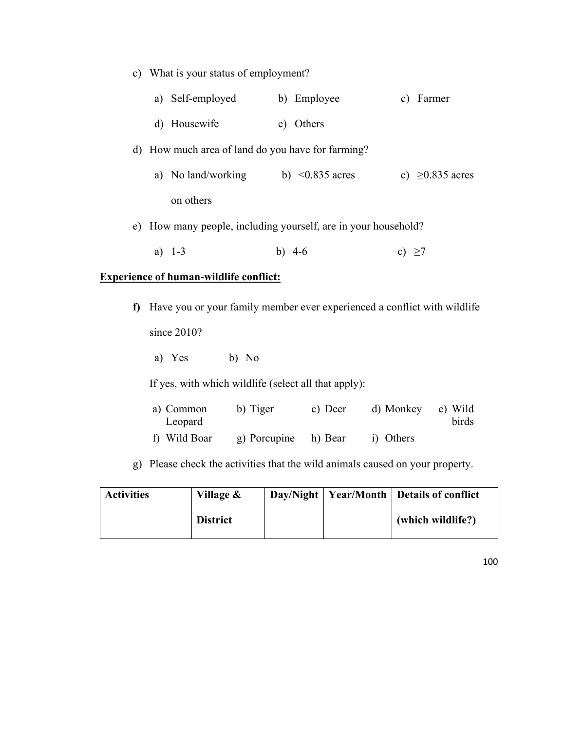|   | c) What is your status of employment?         |                                                                          |                       |  |  |  |
|---|-----------------------------------------------|--------------------------------------------------------------------------|-----------------------|--|--|--|
|   | a) Self-employed                              | b) Employee                                                              | c) Farmer             |  |  |  |
|   | d) Housewife                                  | e) Others                                                                |                       |  |  |  |
|   |                                               | d) How much area of land do you have for farming?                        |                       |  |  |  |
|   |                                               | a) No land/working b) $\leq 0.835$ acres                                 | c) $\geq 0.835$ acres |  |  |  |
|   | on others                                     |                                                                          |                       |  |  |  |
|   |                                               | e) How many people, including yourself, are in your household?           |                       |  |  |  |
|   | a) $1-3$                                      | b) $4-6$                                                                 | c) $\geq$ 7           |  |  |  |
|   | <b>Experience of human-wildlife conflict:</b> |                                                                          |                       |  |  |  |
| Ð |                                               | Have you or your family member ever experienced a conflict with wildlife |                       |  |  |  |
|   | since 2010?                                   |                                                                          |                       |  |  |  |
|   | a) Yes<br>b) No                               |                                                                          |                       |  |  |  |

If yes, with which wildlife (select all that apply):

| a) Common<br>Leopard | b) Tiger     | c) Deer | d) Monkey | e) Wild<br>birds |
|----------------------|--------------|---------|-----------|------------------|
| f) Wild Boar         | g) Porcupine | h) Bear | i) Others |                  |

g) Please check the activities that the wild animals caused on your property.

| <b>Activities</b> | Village &       |  | Day/Night   Year/Month   Details of conflict |
|-------------------|-----------------|--|----------------------------------------------|
|                   | <b>District</b> |  | (which wildlife?)                            |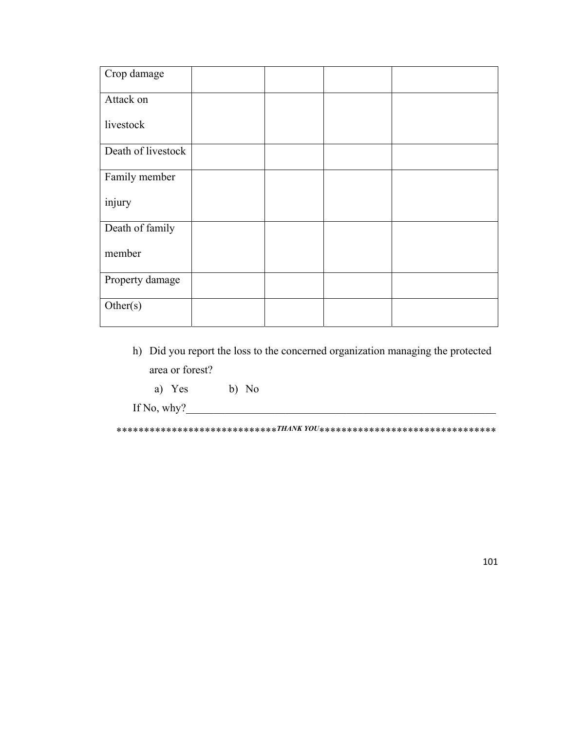| Crop damage        |  |  |
|--------------------|--|--|
| Attack on          |  |  |
| livestock          |  |  |
| Death of livestock |  |  |
| Family member      |  |  |
| injury             |  |  |
| Death of family    |  |  |
| member             |  |  |
| Property damage    |  |  |
| Other(s)           |  |  |

- h) Did you report the loss to the concerned organization managing the protected area or forest?
	- a) Yes b) No

If No, why? $\overline{\phantom{a}}$ 

\*\*\*\*\*\*\*\*\*\*\*\*\*\*\*\*\*\*\*\*\*\*\*\*\*\*\*\*\**THANK YOU*\*\*\*\*\*\*\*\*\*\*\*\*\*\*\*\*\*\*\*\*\*\*\*\*\*\*\*\*\*\*\*\*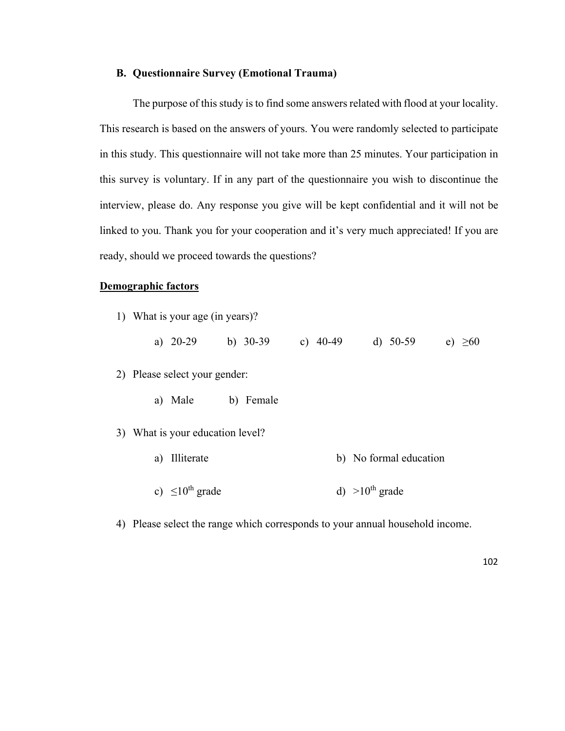### **B. Questionnaire Survey (Emotional Trauma)**

The purpose of this study is to find some answers related with flood at your locality. This research is based on the answers of yours. You were randomly selected to participate in this study. This questionnaire will not take more than 25 minutes. Your participation in this survey is voluntary. If in any part of the questionnaire you wish to discontinue the interview, please do. Any response you give will be kept confidential and it will not be linked to you. Thank you for your cooperation and it's very much appreciated! If you are ready, should we proceed towards the questions?

# **Demographic factors**

1) What is your age (in years)?

|  |  | a) $20-29$ | b) $30-39$ | c) $40-49$ | d) $50-59$ | e) $\geq 60$ |
|--|--|------------|------------|------------|------------|--------------|
|--|--|------------|------------|------------|------------|--------------|

2) Please select your gender:

- a) Male b) Female
- 3) What is your education level?
	- a) Illiterate b) No formal education
	- c)  $\leq 10^{th}$  grade d)  $>10^{th}$  grade

4) Please select the range which corresponds to your annual household income.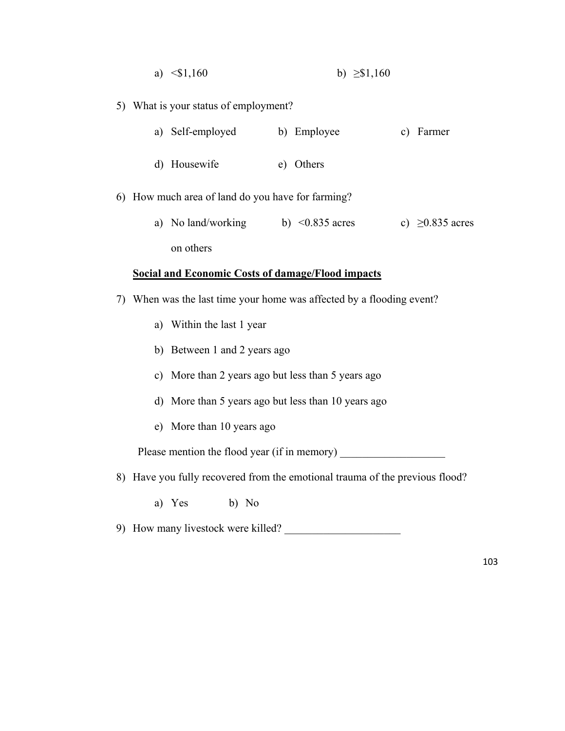- a)  $\leq$ \$1,160 b)  $\geq$ \$1,160
- 5) What is your status of employment?

| a) Self-employed | b) Employee | c) Farmer |
|------------------|-------------|-----------|
| d) Housewife     | e) Others   |           |

- 6) How much area of land do you have for farming?
	- a) No land/working on others b) <0.835 acres c)  $\geq 0.835$  acres

# **Social and Economic Costs of damage/Flood impacts**

- 7) When was the last time your home was affected by a flooding event?
	- a) Within the last 1 year
	- b) Between 1 and 2 years ago
	- c) More than 2 years ago but less than 5 years ago
	- d) More than 5 years ago but less than 10 years ago
	- e) More than 10 years ago

Please mention the flood year (if in memory)

- 8) Have you fully recovered from the emotional trauma of the previous flood?
	- a) Yes b) No
- 9) How many livestock were killed?